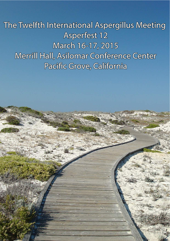# The Twelfth International Aspergillus Meeting Asperfest 12 March 16-17, 2015 Merrill Hall, Asilomar Conference Center Pacific Grove, California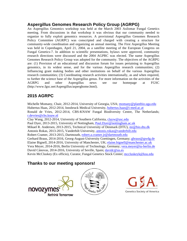# **Aspergillus Genomes Research Policy Group (AGRPG)**

An Aspergillus Genomics workshop was held at the March 2003 Asilomar Fungal Genetics meeting. From discussions in that workshop it was obvious that our community needed to organize to fully exploit genomics resources. A provisional Aspergillus Genomes Research Policy Committee (AGRPC) was conscripted and charged with creating a structure for community-wide coordination and organizing an annual meeting. The First Aspergillus Meeting was held in Copenhagen, April 21, 2004, as a satellite meeting of the European Congress on Fungal Genetics-7. In addition to scientific presentations, bylaws were approved, community research directions were discussed and the 2004 AGPRC was elected. The name Aspergillus Genomes Research Policy Group was adopted for the community. The objectives of the AGRPG are: (1) Provision of an educational and discussion forum for issues pertaining to Aspergillus genomics, in its widest sense, and for the various Aspergillus research communities; (2) Influencing grant making bodies and other institutions on behalf of the various Aspergillus research communities; (3) Coordinating research activities internationally, as and when required, to further the science base of the Aspergillus genus. For more information on the activities of the AGRPG and other Aspergillus news see our homepage at FGSC (http://www.fgsc.net/Aspergillus/asperghome.html).

# **2015 AGRPC**

Michelle Momany, Chair, 2012-2014, University of Georgia, USA; momany@plantbio.uga.edu Hubertus Haas, 2012-2014, Innsbruck Medical University, hubertus.haas@i-med.ac.at Ronald de Vries, 2012-2014, CBS-KNAW Fungal Biodiversity Centre, The Netherlands; r.devries@cbs.knaw.nl

Clay Wang, 2012-2014, University of Southern California, clayw@usc.edu Paul Dyer, 2013-2015, University of Nottingham, Paul.Dyer@nottingham.ac.uk Mikael R. Andersen, 2013-2015, Technical University of Denmark (DTU), mr@bio.dtu.dk Antonis Rokas, 2013-2015, Vanderbilt University, antonis.rokas@vanderbilt.edu Robert Cramer, 2013-2015, Dartmouth, robert.a.cramer.jr@dartmouth.edu Gerhard Braus, 2014-2016, Georg-August-University Goettingen, Germany; gbraus@gwdg.de Elaine Bignell, 2014-2016, University of Manchester, UK; elaine.bignell@manchester.ac.uk Vera Meyer, 2014-2016, Berlin University of Technology, Germany; vera.meyer@tu-berlin.de David Cánovas, 2014-2016, University of Seville, Spain; davidc@us.es Kevin McCluskey (Ex officio), Curator, Fungal Genetics Stock Center; mccluskeyk@ksu.edu

# **Thanks to our meeting sponsors!**





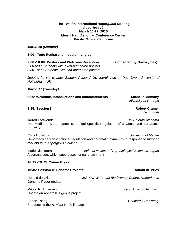#### **The Twelfth International Aspergillus Meeting Asperfest 12 March 16-17, 2015 Merrill Hall, Asilomar Conference Center Pacific Grove, California**

#### **March 16 (Monday)**

#### **3:00 - 7:00: Registration, poster hang up**

**7:00 -10:00: Posters and Welcome Reception (sponsored by Novozymes)** 7:00-8:30: Students with even-numbered posters 8:30-10:00: Students with odd-numbered posters

Judging for Novozymes Student Poster Prize coordinated by Paul Dyer, University of Nottingham, UK

#### **March 17 (Tuesday)**

#### **9:00: Welcome, introductions and announcements Michelle Momany**

University of Georgia

#### **9:15: Session I Robert Cramer**

**Dartmouth** 

Jarrod Fortwendel **Vancouver Community** Controller Management Controller Management Controller Univ. South Alabama Ras-Mediated Morphogenesis: Fungal-Specific Regulation of a Conserved Eukaryotic **Pathway** 

Chris Ho Wong **Chris Ho Wong Chris Ho Wong Lines** Christian Macau University of Macau Genome-wide transcriptional regulation and chromatin dynamics in response to nitrogen availability in Aspergillus nidulans

Marie Nishimura **National Institute of Agrobiological Sciences**, Japan A surface cue, which suppresses fungal attachment

#### **10:15 -10:45 Coffee Break**

Sequencing the A. niger N400 lineage

| 10:45: Session II: Genome Projects                        | <b>Ronald de Vries</b>                                  |
|-----------------------------------------------------------|---------------------------------------------------------|
| Ronald de Vries<br>Genome Paper update                    | <b>CBS-KNAW Fungal Biodiversity Centre, Netherlands</b> |
| Mikael R. Andersen<br>Update on Aspergillus genus project | Tech. Univ of Denmark                                   |
| Adrian Tsang                                              | Concordia University                                    |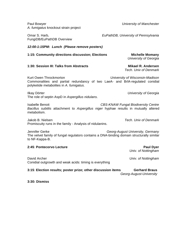| Paul Bowyer<br>A. fumigatus knockout strain project                                                                                                                                   | <b>University of Manchester</b>                 |  |
|---------------------------------------------------------------------------------------------------------------------------------------------------------------------------------------|-------------------------------------------------|--|
| Omar S. Harb,<br>FungiDB/EuPathDB Overview                                                                                                                                            | EuPathDB, University of Pennsylvania            |  |
| 12:00-1:15PM: Lunch (Please remove posters)                                                                                                                                           |                                                 |  |
| 1:15: Community directions discussion; Elections                                                                                                                                      | <b>Michelle Momany</b><br>University of Georgia |  |
| 1:30: Session III: Talks from Abstracts                                                                                                                                               | Mikael R. Andersen<br>Tech. Univ of Denmark     |  |
| Kurt Owen Throckmorton<br>University of Wisconsin-Madison<br>Commonalities and partial redundancy of two LaeA- and BrIA-regulated conidial<br>polyketide metabolites in A. fumigatus. |                                                 |  |
| Ilkay Dörter<br>The role of septin AspD in Aspergillus nidulans.                                                                                                                      | University of Georgia                           |  |
| <b>Isabelle Benoit</b><br><b>CBS-KNAW Fungal Biodiversity Centre</b><br>Bacillus subtilis attachment to Aspergillus niger hyphae results in mutually altered<br>metabolism.           |                                                 |  |
| Jakob B. Nielsen<br>Promiscuity runs in the family - Analysis of nidulanins.                                                                                                          | Tech. Univ of Denmark                           |  |
| Jennifer Gerke<br>Georg-August University, Germany<br>The velvet family of fungal regulators contains a DNA-binding domain structurally similar<br>to NF-Kappa-B.                     |                                                 |  |
| 2:45: Pontecorvo Lecture                                                                                                                                                              | <b>Paul Dyer</b><br>Univ. of Nottingham         |  |
| David Archer<br>Conidial outgrowth and weak acids: timing is everything                                                                                                               | Univ. of Nottingham                             |  |
| 3:15: Election results; poster prize; other discussion items                                                                                                                          | <b>Gerhard Braus</b><br>Georg-August-University |  |

**3:30: Dismiss**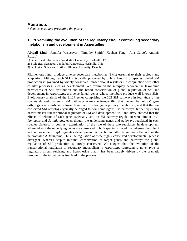# **Abstracts**

*\* denotes a student presenting the poster*

# **1. \*Examining the evolution of the regulatory circuit controlling secondary metabolism and development in Aspergillus**

Abigail Lind<sup>1</sup>, Jennifer Wisecaver<sup>2</sup>, Timothy Smith<sup>3</sup>, Xuehan Feng<sup>3</sup>, Ana Calvo<sup>3</sup>, Antonis  $Rokas$ <sup>1,2.</sup>

1) Biomedical Informatics, Vanderbilt University, Nashville, TN.;

2) Biological Sciences, Vanderbilt University, Nashville, TN;

3) Biological Sciences, Northern Illinois University, Dekalb, IL

Filamentous fungi produce diverse secondary metabolites (SMs) essential to their ecology and adaptation. Although each SM is typically produced by only a handful of species, global SM production is governed by widely conserved transcriptional regulators in conjunction with other cellular processes, such as development. We examined the interplay between the taxonomic narrowness of SM distribution and the broad conservation of global regulation of SM and development in *Aspergillus*, a diverse fungal genus whose members produce well-known SMs. Evolutionary analysis of the 2,124 genes comprising the 262 SM pathways in four *Aspergillus*  species showed that most SM pathways were species-specific, that the number of SM gene orthologs was significantly lower than that of orthologs in primary metabolism, and that the few conserved SM orthologs typically belonged to non-homologous SM pathways. RNA sequencing of two master transcriptional regulators of SM and development, *veA* and *mtfA,* showed that the effects of deletion of each gene, especially *veA*, on SM pathway regulation were similar in *A. fumigatus* and *A. nidulans,* even though the underlying genes and pathways regulated in each species differed. In contrast, examination of the role of these two regulators in development, where 94% of the underlying genes are conserved in both species showed that whereas the role of *veA* is conserved, *mtfA* regulates development in the homothallic *A. nidulans* but not in the heterothallic *A. fumigatus.* Thus, the regulation of these highly conserved developmental genes is divergent, whereas–despite minimal conservation of target genes and pathways–the global regulation of SM production is largely conserved. We suggest that the evolution of the transcriptional regulation of secondary metabolism in *Aspergillus* represents a novel type of regulatory circuit rewiring and hypothesize that it has been largely driven by the dramatic turnover of the target genes involved in the process.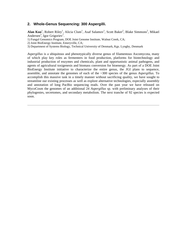#### **2. Whole-Genus Sequencing: 300 Aspergilli.**

Alan Kuo<sup>1</sup>, Robert Riley<sup>1</sup>, Alicia Clum<sup>1</sup>, Asaf Salamov<sup>1</sup>, Scott Baker<sup>2</sup>, Blake Simmons<sup>2</sup>, Mikael Andersen<sup>3</sup>, Igor Grigoriev<sup>1</sup>.

1) Fungal Genomics Program, DOE Joint Genome Institute, Walnut Creek, CA;

2) Joint BioEnergy Institute, Emeryville, CA;

3) Department of Systems Biology, Technical University of Denmark, Kgs. Lyngby, Denmark

*Aspergillus* is a ubiquitous and phenotypically diverse genus of filamentous Ascomycota, many of which play key roles as fermenters in food production, platforms for biotechnology and industrial production of enzymes and chemicals, plant and opportunistic animal pathogens, and agents of agricultural toxigenesis and biomass conversion for bioenergy. As part of a DOE Joint BioEnergy Institute initiative to characterize the entire genus, the JGI plans to sequence, assemble, and annotate the genomes of each of the ~300 species of the genus *Aspergillus.* To accomplish this massive task in a timely manner without sacrificing quality, we have sought to streamline our existing processes as well as explore alternative technologies, especially assembly and annotation of long PacBio sequencing reads. Over the past year we have released on MycoCosm the genomes of an additional 24 *Aspergillus* sp. with preliminary analyses of their phylogenies, secretomes, and secondary metabolism. The next tranche of 92 species is expected soon.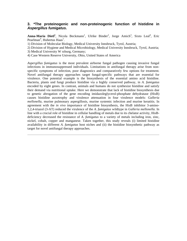#### **3. \*The proteinogenic and non-proteinogenic function of histidine in Aspergillus fumigatus.**

Anna-Maria Dietl<sup>1</sup>, Nicola Beckmann<sup>1</sup>, Ulrike Binder<sup>2</sup>, Jorge Amich<sup>3</sup>, Sixto Leal<sup>4</sup>, Eric Pearlman<sup>4</sup>, Hubertus Haas<sup>1</sup>.

1) Division of Molecular Biology, Medical University Innsbruck, Tyrol, Austria;

2) Division of Hygiene and Medical Microbiology, Medical University Innsbruck, Tyrol, Austria;

3) Medical University W rzburg, Germany;

4) Case Western Reserve University, Ohio, United States of America

*Aspergillus fumigatus* is the most prevalent airborne fungal pathogen causing invasive fungal infections in immunosuppressed individuals. Limitations in antifungal therapy arise from nonspecific symptoms of infection, poor diagnostics and comparatively few options for treatment. Novel antifungal therapy approaches target fungal-specific pathways that are essential for virulence. One potential example is the biosynthesis of the essential amino acid histidine. Bacteria, plants und fungi produce histidine via a highly conserved pathway, in *A. fumigatus*  encoded by eight genes. In contrast, animals and humans do not synthesize histidine and satisfy their demand via nutritional uptake. Here we demonstrate that lack of histidine biosynthesis due to genetic abrogation of the gene encoding imidazoleglycerol-phosphate dehydratase (HisB) causes histidine auxotrophy and virulence attenuation in four virulence models: *Galleria mellonella,* murine pulmonary aspergillosis, murine systemic infection and murine keratitis. In agreement with the *in vivo* importance of histidine biosynthesis, the HisB inhibitor 3-amino-1,2,4-triazol (3-AT) reduced the virulence of the *A. fumigatus* wildtype in *Galleria mellonella.* In line with a crucial role of histidine in cellular handling of metals due to its chelator activity, HisBdeficiency decreased the resistance of *A. fumigatus* to a variety of metals including iron, zinc, nickel, cobalt, copper and manganese. Taken together, this study reveals (i) limited histidine availability in different *A. fumigatus* host niches and (ii) the histidine biosynthetic pathway as target for novel antifungal therapy approaches.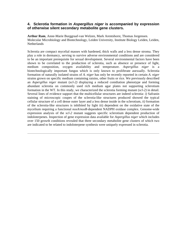#### **4. Sclerotia formation in Aspergillus niger is accompanied by expression of otherwise silent secondary metabolite gene clusters.**

**Arthur Ram**, Anne-Marie Burggraaf-van Welzen, Mark Arentshorst, Thomas Jorgensen. Molecular Microbiology and Biotechnology, Leiden University, Institute Biology Leiden, Leiden, **Netherlands** 

Sclerotia are compact mycelial masses with hardened, thick walls and a less dense stroma. They play a role in dormancy, serving to survive adverse environmental conditions and are considered to be an important prerequisite for sexual development. Several environmental factors have been shown to be correlated to the production of sclerotia, such as absence or presence of light, medium composition, oxygen availability and temperature. *Aspergillus niger* is a biotechnologically important fungus which is only known to proliferate asexually. Sclerotia formation of naturally isolated strains of *A. niger* has only be recently reported in certain *A. niger*  strains grown on specific medium containing raisins, other fruits or rice. We previously described an *Aspergillus niger* mutant (*scl-2)* displaying a reduced conidiation phenotype and forming abundant sclerotia on commonly used rich medium agar plates not supporting sclerotium formation in the WT. In this study, we characterized the sclerotia forming mutant (*scl-2)* in detail. Several lines of evidence support that the multicellular structures are indeed sclerotia: *i)* Safranin staining of microscopic coupes of the sclerotia-like structures produced showed the typical cellular structure of a cell dense outer layer and a less dense inside in the sclerotium, *ii)* formation of the sclerotia-like structures is inhibited by light iii) dependent on the oxidative state of the mycelium requiring a functional *noxA*/*noxR*-dependent NADPH oxidase complex. Genome-wide expression analysis of the *scl-2* mutant suggests specific sclerotium dependent production of indoloterpenes. Inspection of gene expression data available for *Aspergillus niger* which includes over 150 growth conditions revealed that three secondary metabolite gene clusters of which two are indicated to be related to indoloterpene synthesis were uniquely expressed in sclerotia.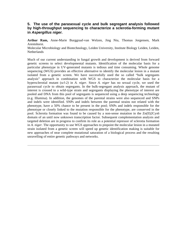#### **5. The use of the parasexual cycle and bulk segregant analysis followed by high-throughput sequencing to characterize a sclerotia-forming mutant in Aspergillus niger.**

**Arthur Ram,** Anne-Marie Burggraaf-van Welzen, Jing Niu, Thomas Jorgensen, Mark Arentshorst.

Molecular Microbiology and Biotechnology, Leiden University, Institute Biology Leiden, Leiden, Netherlands

Much of our current understanding in fungal growth and development is derived from forward genetic screens to select developmental mutants. Identification of the molecular basis for a particular phenotype in UV-generated mutants is tedious and time consuming. Whole genome sequencing (WGS) provides an effective alternative to identify the molecular lesion in a mutant isolated from a genetic screen. We have successfully used the so called "bulk segregants analysis" approach in combination with WGS to characterize the molecular basis for a hypersclerotial mutant (*scl-2)* in *A. niger.* Since *A. niger* has no sexual cycle, we used the parasexual cycle to obtain segregants. In the bulk-segregant analysis approach, the mutant of interest is crossed to a wild-type strain and segregants displaying the phenotype of interest are pooled and DNA from this pool of segregants is sequenced using a deep sequencing technology (e.g. Illumina). In addition, the genomes of the parental strains were also sequenced and SNPs and indels were identified. SNPs and indels between the parental strains not related with the phenotype, have a 50% chance to be present in the pool; SNPs and indels responsible for the phenotype or closely linked to the mutation responsible for the phenotype, are conserved in the pool. Sclerotia formation was found to be caused by a non-sense mutation in the Zn(II)2Cys6 domain of an until now unknown transcription factor. Subsequent complementation analysis and targeted deletion are in progress to confirm its role as a potential repressor of sclerotia formation in *A. niger.* The opportunity to use WGS approaches to pinpoint the molecular lesion in a mutated strain isolated from a genetic screen will speed up genetic identification making is suitable for new approaches of near complete mutational saturation of a biological process and the resulting unravelling of entire genetic pathways and networks.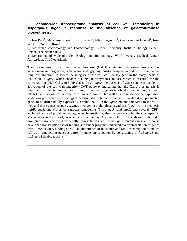# **6. Genome-wide transcriptome analysis of cell wall remodeling in Aspergillus niger in response to the absence of galactofuranose biosynthesis.**

Joohae Park<sup>1</sup>, Mark Arentshorst<sup>1</sup>, Boris Tefsen<sup>2</sup>, Ellen Lagendijk<sup>1</sup>, Cees van den Hondel<sup>1</sup>, Irma van Die<sup>2</sup>, Arthur Ram<sup>1</sup>.

1) Molecular Microbiology and Biotechnology, Leiden University, Institute Biology Leiden, Leiden, The Netherlands;

2) Department of Molecular Cell Biology and Immunology, VU University Medical Center, Amsterdam, The Netherlands

The biosynthesis of cell wall galactofuranose (Gal *f)* containing glycostructures such as galactomannan, *N*-glycans, *O*-glycans and glycosylinositolphosphoceramides in filamentous fungi are important to secure the integrity of the cell wall. A key gene in the biosynthesis of UDP-Galf is *ugmA* which encodes a UDP-galactopyranose mutase which is essential for the conversion of UDP-Gal  $p$  to UDP-Gal  $f$ . In  $A$ , *niger*, the absence of Gal  $f$  synthesis results in activation of the cell wall integrity (CWI)-pathway indicating that the Gal *f* biosynthesis is important for maintaining cell wall strength. To identify genes involved in maintaining cell wall integrity in response to the absence of galactofuranose biosynthesis, a genome-wide expression study was performed with the *ugmA* deletion strain. RNAseq analysis revealed 432 upregulated genes to be differentially expressed (Q-value <0.05) in the *ugmA* mutant compared to the wildtype and these genes encode enzymes involved in alpha-glucan synthesis (*agsA*), chitin synthesis (*gfaB, gnsA,* and *chsA*), beta-glucan remodeling (*bgxA, gelF,* and *dfgC)* and several (GPI) anchored cell wall protein encoding genes. Interestingly, also the gene encoding the CWI-specific Map-kinase-kinase (*mkkA)* was induced in the *ugmA* mutant. *In silico* analysis of the 1-kb promoter regions of the differentially up-regulated genes in the *ugmA* mutant using an in house developed transcription factor binding site finder program, indicated overrepresentation of genes with RlmA or SteA binding sites. The importance of the RlmA and SteA transcription to induce cell wall remodelling genes is currently under investigation by constructing a *rlmA-ugmA* and *steA-ugmA* double mutants.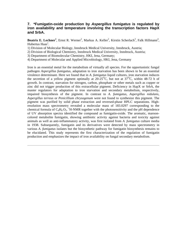#### **7. \*Fumigatin-oxide production by Aspergillus fumigatus is regulated by iron availability and temperature involving the transcription factors HapX and SrbA.**

Beatrix E. Lechner<sup>1</sup>, Ernst R. Werner<sup>2</sup>, Markus A. Keller<sup>2</sup>, Kirstin Scherlach<sup>3</sup>, Falk Hillmann<sup>4</sup>, Hubertus Haas<sup>1</sup>.

1) Division of Molecular Biology, Innsbruck Medical University, Innsbruck, Austria;

2) Division of Biological Chemistry, Innsbruck Medical University, Innsbruck, Austria;

3) Department of Biomolecular Chemistry, HKI, Jena, Germany;

4) Department of Molecular and Applied Microbiology, HKI, Jena, Germany

Iron is an essential metal for the metabolism of virtually all species. For the opportunistic fungal pathogen *Aspergillus fumigatus,* adaptation to iron starvation has been shown to be an essential virulence determinant. Here we found that in *A. fumigatus* liquid cultures, iron starvation induces the secretion of a yellow pigment optimally at  $20\text{-}25\text{°C}$ , but not at  $37\text{°C}$ , within 48-72 h of growth. In contrast, starvation for nitrogen, carbon, phosphate or other metals such as copper or zinc did not trigger production of this extracellular pigment. Deficiency in HapX or SrbA, the master regulators for adaptation to iron starvation and secondary metabolism, respectively, impaired biosynthesis of the pigment. In contrast to *A. fumigatus, Aspergillus nidulans, Aspergillus terreus* or *Penicillium chrysogenum* were not found to synthesize this pigment. The pigment was purified by solid phase extraction and reversed-phase HPLC separations. Highresolution mass spectrometry revealed a molecular mass of 183.0297 corresponding to the chemical formula of  $C_8H_8O_5$ . <sup>1</sup>H-NMR together with the photosensitivity and the pH dependence of UV absorption spectra identified the compound as fumigatin-oxide. The aromatic, marooncolored metabolite fumigatin, showing antibiotic activity against bacteria and toxicity against animals as well as anti-inflammatory activity, was first isolated from *A. fumigatus* culture media in 1938. Subsequently, fumigatin and its derivatives were detected by mass spectrometry in various *A. fumigatus* isolates but the biosynthetic pathway for fumigatin biosynthesis remains to be elucidated. This study represents the first characterization of the regulation of fumigatin production and emphasizes the impact of iron availability on fungal secondary metabolism.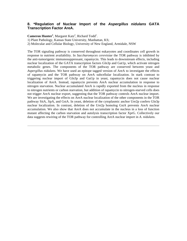#### **8. \*Regulation of Nuclear Import of the Aspergillus nidulans GATA Transcription Factor AreA.**

Cameron Hunter<sup>1</sup>, Margaret Katz<sup>2</sup>, Richard Todd<sup>1</sup>.

1) Plant Pathology, Kansas State University, Manhattan, KS;

2) Molecular and Cellular Biology, University of New England, Armidale, NSW

The TOR signaling pathway is conserved throughout eukaryotes and coordinates cell growth in response to nutrient availability. In *Saccharomyces cerevisiae* the TOR pathway is inhibited by the anti-tumorigenic immunosuppressant, rapamycin. This leads to downstream effects, including nuclear localization of the GATA transcription factors Gln3p and Gat1p, which activate nitrogen metabolic genes. The components of the TOR pathway are conserved between yeast and *Aspergillus nidulans.* We have used an epitope tagged version of AreA to investigate the effects of rapamycin and the TOR pathway on AreA subcellular localization. In stark contrast to triggering nuclear import of Gln3p and Gat1p in yeast, rapamycin does not cause nuclear localization of AreA. Instead, rapamycin prevents AreA nuclear accumulation in response to nitrogen starvation. Nuclear accumulated AreA is rapidly exported from the nucleus in response to nitrogen nutrients or carbon starvation, but addition of rapamycin to nitrogen-starved cells does not trigger AreA nuclear export, suggesting that the TOR pathway controls AreA nuclear import. We are investigating the effects on AreA nuclear localization of the other components in the TOR pathway SitA, JipA, and GstA. In yeast, deletion of the cytoplasmic anchor Ure2p confers Gln3p nuclear localization. In contrast, deletion of the Ure2p homolog GstA prevents AreA nuclear accumulation. We also show that AreA does not accumulate in the nucleus in a loss of function mutant affecting the carbon starvation and autolysis transcription factor XprG. Collectively our data suggests rewiring of the TOR pathway for controlling AreA nuclear import in *A. nidulans.*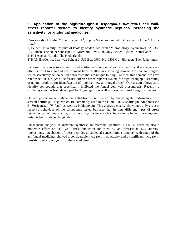#### **9. Application of the high-throughput Aspergillus fumigatus cell wallstress reporter system to identify synthetic peptides increasing the sensitivity for antifungal medicines.**

Cees van den Hondel<sup>1,2,</sup> Ellen Lagendijk<sup>1</sup>, Sophie Meier zu Ummeln<sup>1</sup>, Christien Lokman<sup>3</sup>, Arthur  $Ram^1$ .

1) Leiden University, Institute of Biology Leiden, Molecular Microbiology, Sylviusweg 72, 2333 BE Leiden, The Netherlandsept Mol Microbiol. Inst Biol, Univ Leiden, Leiden, Netherlands; 2) HiTexacoat, Gouda, The Netherlands;

3) HAN BioCentre, Laan van Scheut 2, P.O.Box 6960, NL-6503 GL Nijmegen, The Netherlands

Increased resistance to currently used antifungal compounds and the fact that these agents are often harmful to man and environment have resulted in a growing demand for new antifungals, which selectively act on cellular processes that are unique to fungi. To meet this demand, we have established in *A. niger* a luciferin/luciferase based reporter system for high-throughput screening of natural products for identification of potential new antifungal drugs). Our system allows us to identify compounds that specifically inhibited the fungal cell wall biosynthesis. Recently a similar system has been developed for *A. fumigatus* as well as for other non-Aspergillus species.

On our poster we will show the validation of our system by analysing its performance with several antifungal drugs which are commonly used in the clinic like Caspofungin, Amphotericin B, Voriconazol (V fend) as well as Nikkomycin. This analysis clearly shows not only a doses response behaviour of the compounds tested but also that in time different types of stress responses occur. Importantly, also the analysis shows a clear indication whether the compound tested is fungistatic or fungicidal.

Subsequent analysis of different synthetic antimicrobial peptides, HTX1-4, revealed also a moderate effect on cell wall stress induction indicated by an increase in Lux activity. Interestingly, incubation of these peptides at sublethal concentrations together with some of the antifungal medicines showed a considerable increase in lux activity and a significant increase in sensitivity of *A. fumigatus* for these medicines.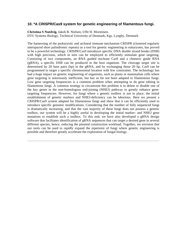# **10. \*A CRISPR/Cas9 system for genetic engineering of filamentous fungi.**

**Christina S Noedvig,** Jakob B. Nielsen, Uffe H. Mortensen. DTU Systems Biology, Technical University of Denmark, Kgs. Lyngby, Denmark

The harnessing of the prokaryotic and archaeal immune mechanism CRISPR (clustered regularly interspaced short palindromic repeats) as a tool for genetic engineering in eukaryotes, has proved to be a powerful technology. CRISPR/Cas9 introduces specific DNA double strand breaks (DSB) with high precision, which in turn can be employed to efficiently stimulate gene targeting. Consisting of two components, an RNA guided nuclease Cas9 and a chimeric guide RNA  $(gRNA)$ , a specific DSB can be produced in the host organism. The cleavage target site is determined by 20 base pairs (bp) in the gRNA, and by exchanging those 20 bp, Cas9 can be programmed to target a specific chromosomal location with few constraints. The technology has had a huge impact on genetic engineering of organisms, such as plants or mammalian cells where gene targeting is notoriously inefficient, but has so far not been adapted to filamentous fungi. Low gene targeting frequencies is a common problem when attempting to do gene editing in filamentous fungi. A common strategy to circumvent this problem is to delete or disable one of the key genes in the non-homologous end-joining (NHEJ) pathway to greatly enhance genetargeting frequencies. However, for fungi where a genetic toolbox is not in place, the initial establishment of genetic markers and NHEJ-deficiency can be laborious. Here we present a CRISPR/Cas9 system adapted for filamentous fungi and show that it can be efficiently used to introduce specific genomic modifications. Considering that the number of fully sequenced fungi is dramatically increasing, and that the vast majority of these fungi does not possess a genetic toolbox, our system will be a highly useful in developing the initial marker- and NHEJ gene mutations to establish such a toolbox. To this end, we have also developed a gRNA design software that facilitates identification of gRNA sequences that can target a desired gene in several different species, hence, reducing the plasmid construction workload. Together, we envision that our tools can be used to rapidly expand the repertoire of fungi where genetic engineering is possible and therefore greatly accelerate the exploration of fungal biology.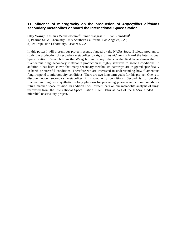#### **11. Influence of microgravity on the production of Aspergillus nidulans secondary metabolites onboard the International Space Station.**

Clay Wang<sup>1</sup>, Kasthuri Venkateswaran<sup>2</sup>, Junko Yaegashi<sup>1</sup>, Jillian Romsdahl<sup>1</sup>. 1) Pharma Sci & Chemistry, Univ Southern California, Los Angeles, CA.; 2) Jet Propulsion Laboratory, Pasadena, CA

In this poster I will present our project recently funded by the NASA Space Biology program to study the production of secondary metabolites by *Aspergillus nidulans* onboard the International Space Station. Research from the Wang lab and many others in the field have shown that in filamentous fungi secondary metabolite production is highly sensitive to growth conditions. In addition it has been shown that many secondary metabolism pathways are triggered specifically in harsh or stressful conditions. Therefore we are interested in understanding how filamentous fungi respond to microgravity conditions. There are two long term goals for this project. One is to discover novel secondary metabolites in microgravity conditions. Second is to develop filamentous fungi as a synthetic biology platform for producing pharmaceutical compounds for future manned space mission. In addition I will present data on our metabolite analysis of fungi recovered from the International Space Station Filter Debri as part of the NASA funded ISS microbial observatory project.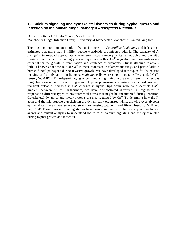#### **12. Calcium signaling and cytoskeletal dynamics during hyphal growth and infection by the human fungal pathogen Aspergillus fumigatus.**

#### **Constanze Seidel,** Alberto Muñoz, Nick D. Read.

Manchester Fungal Infection Group, University of Manchester, Manchester, United Kingdom

The most common human mould infection is caused by *Aspergillus fumigatus,* and it has been estimated that more than 3 million people worldwide are infected with it. The capacity of *A. fumigatus* to respond appropriately to external signals underpins its saprotrophic and parasitic lifestyles, and calcium signaling plays a major role in this.  $Ca^{2+}$ -signaling and homeostasis are essential for the growth, differentiation and virulence of filamentous fungi although relatively little is known about the role of  $Ca^{2+}$  in these processes in filamentous fungi, and particularly in human fungal pathogens during invasive growth. We have developed techniques for the routine imaging of  $Ca^{2+}$ -dynamics in living A. fumigatus cells expressing the genetically encoded  $Ca^{2+}$ sensor, GCaMP6s. Time-lapse-imaging of continuously growing hyphae of different filamentous fungi has shown that, instead of growing hyphae possessing a constant tip-focused gradient, transient pulsatile increases in  $Ca^{2+}$ -changes in hyphal tips occur with no discernible  $Ca^{2+}$ gradient between pulses. Furthermore, we have demonstrated different  $Ca^{2+}$ -signatures in response to different types of environmental stress that might be encountered during infection. Cytoskeletal dynamics and motor proteins are also regulated by  $Ca^{2+}$ . To determine how the Factin and the microtubule cytoskeleton are dynamically organized whilst growing over alveolar epithelial cell layers, we generated strains expressing  $\alpha$ -tubulin and lifeact fused to GFP and tagRFP-T. These live-cell imaging studies have been combined with the use of pharmacological agents and mutant analyses to understand the roles of calcium signaling and the cytoskeleton during hyphal growth and infection.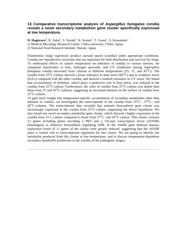#### **13. Comparative transcriptome analysis of Aspergillus fumigatus conidia reveals a novel secondary metabolism gene cluster specifically expressed at low temperature.**

**D. Hagiwara<sup>1</sup>**, K. Sakai<sup>1</sup>, S. Suzuki<sup>2</sup>, K. Kamei<sup>1</sup>, T. Gonoi<sup>1</sup>, S. Kawamoto<sup>1</sup>.

1) Medical Mycology Research Center, Chiba university, Chiba, Japan;

2) National Food Research Institute, Ibaraki, Japan

Filamentous fungi vigorously produce asexual spores (conidia) under appropriate conditions. Conidia are reproductive structures that are important for both distribution and survival for fungi. To understand effects of culture temperature on tolerance of conidia to various stresses, we compared sensitivities to heat, hydrogen peroxide, and UV irradiation among *Aspergillus fumigatus* conidia harvested from cultures at different temperatures (25, 37, and  $45^{\circ}$ C). The conidia from  $25^{\circ}$ C-culture showed a lower tolerance to heat stress (60 $^{\circ}$ C) and to oxidative stress  $(H<sub>2</sub>O<sub>2</sub>)$  compared with the other conidia, and showed a marked resistance to UV stress. We found that accumulation of trehalose, which plays a protective role in heat stress, was reduced in the conidia from  $25^{\circ}$ C-culture. Furthermore, the color of conidia from  $25^{\circ}$ C-culture was darker than those from 37 and  $45^{\circ}$ C-cultures, suggesting an increased melanin on the surface of conidia from  $25^{\circ}$ C-culture.

To gain more insight into temperature-specific accumulation of secondary metabolites other than melanin in conidia, we investigated the transcriptome in the conidia from  $25^{\circ}C_{2}$ ,  $37^{\circ}C_{2}$ , and 45OC-cultures. The transcriptome data revealed that melanin biosynthesis gene cluster was increasingly expressed in the conidia from  $25^{\circ}$ C-culture, supporting the above hypothesis. We also found one novel secondary metabolite gene cluster, which showed a higher expression in the conidia from 25 C-culture compared to those from  $37^{\circ}$ C- and  $45^{\circ}$ C-culture. This cluster contains 13 genes including genes encoding a PKS and a C6-type transcription factor (AfAflR) homologous to aflatoxin biosynthesis regulating AflR. In the AfaflR gene deletion mutant, expression levels of 11 genes of the cluster were greatly reduced, suggesting that the AfAflR plays a central role in transcriptional regulation for this cluster. We are going to identify the metabolite produced from this cluster at low-temperature, and to discuss temperature-dependent secondary metabolite production in the conidia of the pathogenic fungus.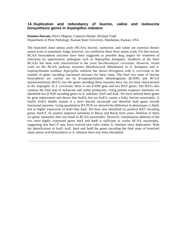#### **14. Duplication and redundancy of leucine, valine and isoleucine biosynthesis genes in Aspergillus nidulans**

**Damien Downes,** Pierre Migeon, Cameron Hunter, Richard Todd. Department of Plant Pathology, Kansas State University, Manhattan, Kansas, USA

The branched chain amino acids (BCAA) leucine, isoleucine, and valine are essential dietary amino acids in mammals; fungi, however, can synthesize these three amino acids. For this reason, BCAA biosynthesis enzymes have been suggested as possible drug targets for treatment of infections by opportunistic pathogens such as *Aspergillus fumigatus.* Synthesis of the three BCAAs has been well characterized in the yeast *Saccharomyces cerevisiae.* However, recent work on the BCAA pathway enzymes dihydroxyacid dehydratase in *A. fumigatus* and αisopropylmalate synthase *Aspergillus nidulans* has shown divergence with *S. cerevisiae* in the number of genes encoding functional enzymes for these steps. The final two steps of leucine biosynthesis are carried out by β-isopropylmalate dehydrogenase (β-IDH) and BCAA aminotransferase (BAT), but the genes encoding these enzymes have not yet been characterized in the Aspergilli. In *S. cerevisiae,* there is one β-IDH gene and two BAT genes. The BATs also catalyze the final step of isoleucine and valine production. Using protein sequence similarity we identified two β-IDH encoding genes in *A. nidulans*: *leuD* and *leuE.* We have deleted these genes by gene replacement and shown that *leuD*Δ, but not *leuE*Δ, causes a leaky leucine auxotrophy. A *leuD*Δ *leuE*Δ double mutant is a strict leucine auxotroph and therefore both genes encode functional enzymes. Using quantitative RT-PCR we showed the difference in phenotypes is likely due to higher expression of *leuD* than *leuE.* We have also identified six putative BAT encoding genes, *batA-F,* by protein sequence similarity to Bat1p and Bat2p from yeast. Deletion of these six genes separately does not result in BCAA auxotrophy. However, simultaneous deletion of the two most highly expressed genes *batA* and *batB* is sufficient to confer BCAA auxotrophy, suggesting that *batC-F* may have evolved new roles within *A. nidulans* since duplication. With the identification of *leuD, leuE, batA* and *batB* the genes encoding the final steps of branched chain amino acid biosynthesis in *A. nidulans* have now been elucidated.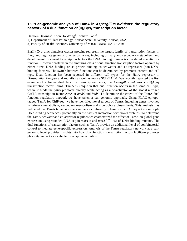#### **15. \*Pan-genomic analysis of TamA in Aspergillus nidulans: the regulatory**  network of a dual function Zn(II)<sub>2</sub>Cys<sub>6</sub> transcription factor.

**Damien Downes<sup>1</sup>**, Koon Ho Wong<sup>2</sup>, Richard Todd<sup>1</sup>.

1) Department of Plant Pathology, Kansas State University, Kansas, USA;

2) Faculty of Health Sciences, University of Macau, Macau SAR, China

 $Zn(I<sub>I</sub>)<sub>2</sub>Cys<sub>6</sub>$  zinc binuclear cluster proteins represent the largest family of transcription factors in fungi and regulate genes of diverse pathways, including primary and secondary metabolism, and development. For most transcription factors the DNA binding domain is considered essential for function. However proteins in the emerging class of dual function transcription factors operate by either direct DNA binding or as protein-binding co-activators and co-repressors (non-DNAbinding factors). The switch between functions can be determined by promoter context and cell type. Dual function has been reported in different cell types for the Hairy repressor in *Drosophilia, Xenopus* and zebrafish as well as mouse SCL/TAL-1. We recently reported the first example of a fungal dual function transcription factor, the *Aspergillus nidulans*  $Zn(II)$ <sub>2</sub>Cys<sub>6</sub> transcription factor TamA. TamA is unique in that dual function occurs in the same cell type, where it binds the *gdhA* promoter directly while acting as a co-activator of the global nitrogen GATA transcription factor AreA at *amdS* and *fmdS*. To determine the extent of the TamA dual function regulatory network we have taken a pan-genomic approach. Using FLAG-epitopetagged TamA for ChIP-seq, we have identified novel targets of TamA, including genes involved in primary metabolism, secondary metabolism and siderophore biosynthesis. This analysis has indicated that TamA target sites lack sequence conformity. Therefore TamA may act via multiple DNA-binding sequences, potentially on the basis of interaction with novel proteins. To determine the TamA activator and co-activator regulons we characterized the effect of TamA on global gene expression using stranded RNA-seq in *tamA* Δ and *tamA* C90L loss-of-DNA binding mutants. The dual functions of transcription factors such as TamA provide an additional level of combinatorial control to mediate gene-specific expression. Analysis of the TamA regulatory network at a pangenomic level provides insights into how dual function transcription factors facilitate promoter plasticity and act as a vehicle for adaptive evolution.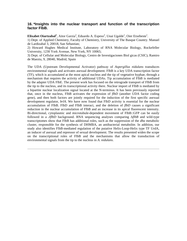#### **16. \*Insights into the nuclear transport and function of the transcription factor FlbB.**

Elixabet Oiartzabal<sup>1</sup>, Aitor Garzia<sup>2</sup>, Eduardo A. Espeso<sup>3</sup>, Unai Ugalde<sup>1</sup>, Oier Etxebeste<sup>1</sup>.

1) Dept. of Applied Chemistry, Faculty of Chemistry, University of The Basque Country. Manuel de Lardizabal 3, 20018, San Sebastian;

2) Howard Hughes Medical Institute, Laboratory of RNA Molecular Biology, Rockefeller University, 1230 York Avenue, New York, NY 10065;

3) Dept. of Cellular and Molecular Biology, Centro de Investigaciones Biol gicas (CSIC), Ramiro de Maeztu, 9, 28040, Madrid, Spain

The UDA (Upstream Developmental Activator) pathway of *Aspergillus nidulans* transduces environmental signals and activates asexual development. FlbB is a key UDA transcription factor (TF), which is accumulated at the most apical nucleus and the tip of vegetative hyphae, through a mechanism that requires the activity of additional UDAs. Tip accumulation of FlbB is mediated by the adapter UDA FlbE. The present work has focused on the retrograde transport of FlbB from the tip to the nucleus, and its transcriptional activity there. Nuclear import of FlbB is mediated by a bipartite nuclear localization signal located at the N-terminus. It has been previously reported that, once in the nucleus, FlbB activates the expression of *flbD* (another UDA factor coding gene), and then both factors are jointly required for the induction of the first specific asexual development regulator, *brlA.* We have now found that FlbD activity is essential for the nuclear accumulation of FlbB. FlbD and FlbB interact, and the deletion of *flbD* causes a significant reduction in the nuclear accumulation of FlbB and an increase in its apical fluorescent intensity. Bi-directional, cytoplasmic and microtubule-dependent movement of FlbB::GFP can be easily followed in a *ΔflbD* background. RNA sequencing analyses comparing Δ*flbB* and wild-type transcriptomes show that FlbB has additional roles, such as the suppression of the *dba* metabolic cluster, responsible for the synthesis of DHMBA, an antibacterial metabolite. In addition, our study also identifies FlbB-mediated regulation of the putative Helix-Loop-Helix type TF UrdA, an inducer of asexual and repressor of sexual development. The results presented widen the scope on the transcriptional roles of FlbB and the mechanisms that allow the transduction of environmental signals from the tip to the nucleus in *A. nidulans*.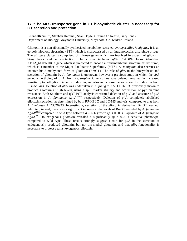#### **17. \*The MFS transporter gene in GT biosynthetic cluster is necessary for GT secretion and protection.**

**Elizabeth Smith,** Stephen Hammel, Sean Doyle, Grainne O' Keeffe, Gary Jones. Department of Biology, Maynooth University, Maynooth, Co. Kildare, Ireland

Gliotoxin is a non ribosomally synthesized metabolite, secreted *by Aspergillus fumigatus.* It is an epipolythiodioxopiperazine (ETP) which is characterised by an intramolecular disulphide bridge. The *gli* gene cluster is comprised of thirteen genes which are involved in aspects of gliotoxin biosynthesis and self-protection. The cluster includes *gliA* (CADRE locus identifier: AFUA\_6G09710), a gene which is predicted to encode a transmembrane gliotoxin efflux pump, which is a member of the Major Facilitator Superfamily (MFS). *A. fumigatus* also secretes an inactive bis-S-methylated form of gliotoxin (BmGT). The role of *gliA* in the biosynthesis and secretion of gliotoxin by *A. fumigatus* is unknown, however a previous study in which the *sirA*  gene, an ortholog of *gliA,* from *Leptosphaeria maculans* was deleted, resulted in increased sensitivity to both gliotoxin and sirodesmin, and also an increase the secretion of sirodesmin from *L. maculans.* Deletion of *gliA* was undertaken in *A. fumigatus* ATCC26933, previously shown to produce gliotoxin at high levels, using a split marker strategy and acquisition of pyrithiamine resistance. Both Southern and qRT-PCR analysis confirmed deletion of *gliA* and absence of *gliA*  expression in *A. fumigatus* Δ*gliA*26933, respectively. Deletion of *gliA* completely abolished gliotoxin secretion, as determined by both RP-HPLC and LC-MS analysis, compared to that from *A. fumigatus* ATCC26933. Interestingly, secretion of the gliotoxin derivative, BmGT was not inhibited, indeed, there was a significant increase in the levels of BmGT secreted by *A. fumigatus*  Δ*gliA*26933 compared to wild type between 48-96 h growth (*p* < 0.001). Exposure of *A. fumigatus*   $\Delta g l i A^{26933}$  to exogenous gliotoxin revealed a significantly ( $p < 0.001$ ) sensitive phenotype, compared to wild type. These results strongly suggest a role for *gliA* in the secretion of endogenously produced gliotoxin, but not bis-methyl gliotoxin, and that *gliA* functionality is necessary to protect against exogenous gliotoxin.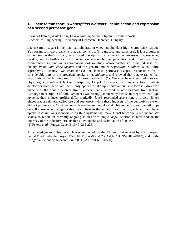#### **18. Lactose transport in Aspergillus nidulans: Identification and expression of a second permease gene.**

**Erzsébet Fekete,** Anita Orosz, László Kulcsár, Michel Flipphi, Levente Karaffa. Biochemical Engineering, University of Debrecen, Debrecen, Hungary

Lactose (milk sugar) is the main carbohydrate in whey, an abundant high-energy dairy residue. Yet, for most micro-organisms that can convert it (into glucose and galactose), it is a gratuitous carbon source that is slowly assimilated. To optimalise fermentation processes that use whey residue, and to further its use in second-generation biofuel generation and its removal from contaminated soil and water (bioremediation), we study lactose catabolism in the industrial cell factory *Penicillium chrysogenum* and the genetic model *Aspergillus nidulans,* a soil-borne saprophyte. Recently, we characterised the lactose permease LacpA, responsible for a considerable part of the prevalent uptake in *A. nidulans,* and showed that uptake rather than hydrolysis is the limiting step in its lactose catabolism (1). We now have identified a second physiologically relevant lactose transporter, LacpB. Glycerol-grown mycelia from mutants deleted for both *lacpA* and *lacpB* only appear to take up minute amounts of lactose. Moreover, mycelia of the double deletant strains appear unable to produce new biomass from lactose. Although transcription of both *lacp* genes was strongly induced by lactose in pregrown wild-type mycelia, their inducer profiles differ markedly. *lacpB* responded also strongly to *beta* -linked glucopyranose dimers, cellobiose and sophorose, while these inducers of the cellulolytic system did not provoke any *lacpA* response. Nevertheless, *lacpA* / *B* double mutants grew like wild type on cellobiose which suggests that, in contrast to the situation with lactose, efficient cellobiose uptake in *A. nidulans* is mediated by third systems that make *lacpB* functionally redundant. We shall also report on currently ongoing studies with single *lacpB* deletion mutants and on the interplay of the inductory circuits that allow uptake and assimilation of lactose. (1) Fekete *et al.*, Fungal Genet Biol 49: 215-225.

Acknowledgement: This research was supported by the EU and co-financed by the European Social Fund under the project ENVIKUT (TAMOP-4.2.2.A-11/1/KONV-2012-0043), and by the Hungarian Scientific Research Fund (OTKA Grant K1006600).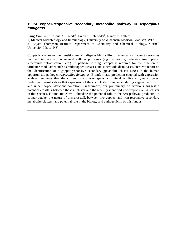### **19. \*A copper-responsive secondary metabolite pathway in Aspergillus fumigatus.**

Fang Yun Lim<sup>1</sup>, Joshua A. Baccile<sup>2</sup>, Frank C. Schroeder<sup>2</sup>, Nancy P. Keller<sup>1</sup>. 1) Medical Microbiology and Immunology, University of Wisconsin-Madison, Madison, WI.; 2) Boyce Thompson Institute Department of Chemistry and Chemical Biology, Cornell University, Ithaca, NY

Copper is a redox-active transition metal indispensible for life. It serves as a cofactor to enzymes involved in various fundamental cellular processes (e.g. respiration, reductive iron uptake, superoxide detoxification, etc.). In pathogenic fungi, copper is required for the function of virulence modulators such as multicopper laccases and superoxide dismutases. Here we report on the identification of a copper-responsive secondary metabolite cluster (*crm*) in the human opportunistic pathogen *Aspergillus fumigatus*. Bioinformatic prediction coupled with expression analyses suggests that the current *crm* cluster spans a minimal of five enzymatic genes. Preliminary results show that expression of the *crm* cluster is enhanced during vegetative growth and under copper-deficient condition. Furthermore, our preliminary observations suggest a potential crosstalk between the *crm* cluster and the recently identified iron-responsive *has* cluster in this species. Future studies will elucidate the potential role of the *crm* pathway product(s) in copper-uptake, the nature of this crosstalk between two copper- and iron-responsive secondary metabolite clusters, and potential role in the biology and pathogenicity of this fungus.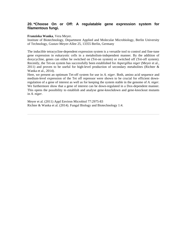# **20. \*Choose On or Off: A regulatable gene expression system for filamentous fungi.**

#### **Franziska Wanka**, Vera Meyer.

Institute of Biotechnology, Department Applied and Molecular Microbiology, Berlin University of Technology, Gustav-Meyer-Allee 25, 13355 Berlin, Germany

The inducible tetracycline-dependent expression system is a versatile tool to control and fine-tune gene expression in eukaryotic cells in a metabolism-independent manner. By the addition of doxycycline, genes can either be switched on (Tet-on system) or switched off (Tet-off system). Recently, the Tet-on system has successfully been established for *Aspergillus niger* (Meyer et al., 2011) and proven to be useful for high-level production of secondary metabolites (Richter & Wanka et al., 2014).

Here, we present an optimum Tet-off system for use in *A. niger.* Both, amino acid sequence and medium-level expression of the Tet off repressor were shown to be crucial for efficient downregulation of a gene of interest as well as for keeping the system stable in the genome of *A. niger.*  We furthermore show that a gene of interest can be down-regulated in a Dox-dependent manner. This opens the possibility to establish and analyse gene-knockdown and gene-knockout mutants in *A. niger.*

Meyer et al. (2011) Appl Environ Microbiol 77:2975-83 Richter & Wanka et al. (2014). Fungal Biology and Biotechnology 1:4.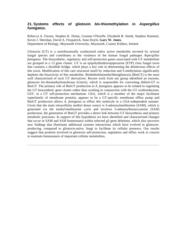## **21. Systems effects of gliotoxin bis-thiomethylation in Aspergillus fumigatus.**

Rebecca A. Owens, Stephen K. Dolan, Grainne O'Keeffe, Elizabeth B. Smith, Stephen Hammel, Kevin J. Sheridan, David A. Fitzpatrick, Sean Doyle, **Gary W. Jones**. Department of Biology, Maynooth University, Maynooth, County Kildare, Ireland

Gliotoxin (GT) is a nonribosomally synthesized redox active metabolite secreted by several fungal species and contributes to the virulence of the human fungal pathogen *Aspergillus fumigatus.* The biosynthetic, regulatory and self-protection genes associated with GT metabolism are grouped in a 13 gene cluster. GT is an epipolythiodioxopiperazine (ETP) class fungal toxin that contains a disulfide bridge, which plays a key role in determining the deleterious effects of this toxin. Modification of this rare structural motif by reduction and *S*-methylation significantly depletes the bioactivity of this metabolite. Bisdethiobis(methylthio)gliotoxin (BmGT) is the most well characterized of such GT derivatives. Recent work from our group identified an enzyme, gliotoxin *bis*-thiomethyltransferase (GtmA), which is responsible for converting dithiol-GT to BmGT. The primary role of BmGT production in *A. fumigatus* appears to be related to regulating the GT biosynthetic gene cluster rather than working in conjunction with the GT oxidoreductase, GliT, in a GT self-protection mechanism. GliA, which is a member of the major facilitator superfamily of membrane proteins, appears to be a GT-specific membrane efflux pump and BmGT production allows *A. fumigatus* to efflux this molecule in a GliA-independent manner. Given that the main intracellular methyl donor source is *S*-adenosylmethionine (SAM), which is generated via the methyl/methionine cycle and involves *S*-adenosylhomocysteine (SAH) production, the generation of BmGT provides a direct link between GT biosynthesis and primary metabolic processes. In support of this hypothesis we have identified and characterized changes that occur in SAM and SAH homeostasis within selected *gli* gene deletions, which also uncovers new findings that illuminate additional systems interactions which have evolved in gliotoxinproducing, compared to gliotoxin-naïve, fungi to facilitate its cellular presence. Our results suggest that proteins involved in gliotoxin self-protection, regulation and efflux work in concert to maintain homeostasis of important cellular metabolites.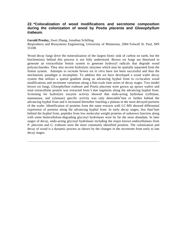#### **22. \*Colocalization of wood modifications and secretome composition during the colonization of wood by Postia placenta and Gloeophyllum trabeum.**

**Gerald Presley,** Jiwei Zhang, Jonathan Schilling.

Bioproducts and Biosystems Engineering, University of Minnesota, 2004 Folwell St. Paul, MN 55108.

Wood decay fungi drive the mineralization of the largest biotic sink of carbon on earth, but the biochemistry behind this process is not fully understood. Brown rot fungi are theorized to generate an extracellular fenton system to generate hydroxyl radicals that degrade wood polysaccharides. They also secrete hydrolytic enzymes which may be spatially separated from the fenton system. Attempts to recreate brown rot *in vitro* have not been successful and thus the mechanistic paradigm is incomplete. To address this we have developed a wood wafer decay system that utilizes a spatial gradient along an advancing hyphal front to co-localize wood modifications and secretome variations along a fine-scale time series of decay stages. Two model brown rot fungi, *Gloeophyllum trabeum* and *Postia placenta* were grown up spruce wafers and total extracellular protein was extracted from 5 mm segments along the advancing hyphal front. Screening for hydrolytic enzyme activity showed that endo-acting hydrolase (cellulase, mannanase, and xylanase) specific activity was only detectable<sup>5</sup>mm or farther behind the advancing hyphal front and it increased thereafter reaching a plateau in the most decayed portions of the wafer. Identification of proteins from the same extracts with LC-MS showed differential expression of proteins along the advancing hyphal front. In early decay stages, less than<sup>5</sup>mm behind the hyphal front, peptides from low molecular weight proteins of unknown function along with some hemicellulose-degrading glycosyl hydrolases were by far the most abundant. In later stages of decay, endo-acting glycosyl hydrolases including the major known endocellulases from *P. placenta* and *G. trabeum* were the most commonly identified proteins. The colonization and decay of wood is a dynamic process as shown by the changes in the secretome from early to late decay stages.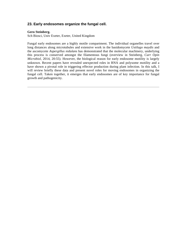# **23. Early endosomes organize the fungal cell.**

#### **Gero Steinberg.**

Sch Biosci, Univ Exeter, Exeter, United Kingdom

Fungal early endosomes are a highly motile compartment. The individual organelles travel over long distances along microtubules and extensive work in the basidomycete *Ustilago maydis* and the ascomycete *Aspergillus nidulans* has demonstrated that the molecular machinery, underlying this process is conserved amongst the filamentous fungi (overview in Steinberg, *Curr Opin Microbiol,* 2014, 20:55). However, the biological reason for early endosome motility is largely unknown. Recent papers have revealed unexpected roles in RNA and polysome motility and a have shown a pivotal role in triggering effector production during plant infection. In this talk, I will review briefly these data and present novel roles for moving endosomes in organizing the fungal cell. Taken together, it emerges that early endosomes are of key importance for fungal growth and pathogenicity.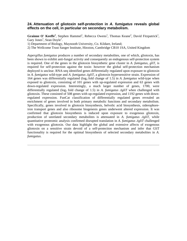#### **24. Attenuation of gliotoxin self-protection in A. fumigatus reveals global effects on the cell, in particular on secondary metabolism.**

Grainne O' Keeffe<sup>1</sup>, Stephen Hammel<sup>1</sup>, Rebecca Owens<sup>1</sup>, Thomas Keane<sup>2</sup>, David Fitzpatrick<sup>1</sup>, Gary Jones<sup>1</sup>, Sean Doyle<sup>1</sup>.

1) Department of Biology, Maynooth University, Co. Kildare, Ireland;

2) The Wellcome Trust Sanger Institute, Hinxton, Cambridge CB10 1SA, United Kingdom

*Aspergillus fumigatus* produces a number of secondary metabolites, one of which, gliotoxin, has been shown to exhibit anti-fungal activity and consequently an endogenous self-protection system is required. One of the genes in the gliotoxin biosynthetic gene cluster in *A. fumigatus, gliT,* is required for self-protection against the toxin- however the global self-protection mechanism deployed is unclear. RNA-seq identified genes differentially regulated upon exposure to gliotoxin in *A. fumigatus* wild-type and *A. fumigatus ΔgliT,* a gliotoxin hypersensitive strain. Expression of 164 genes was differentially regulated (log2 fold change of 1.5) in *A. fumigatus* wild-type when exposed to gliotoxin, consisting of 101 genes with up-regulated expression and 63 genes with down-regulated expression. Interestingly, a much larger number of genes, 1700, were differentially regulated ( $\log_2$  fold change of 1.5) in *A. fumigatus*  $\Delta g l \bar{l}$  when challenged with gliotoxin. These consisted of 508 genes with up-regulated expression, and 1192 genes with downregulated expression. FunCat classification of differentially regulated genes revealed an enrichment of genes involved in both primary metabolic functions and secondary metabolism. Specifically, genes involved in gliotoxin biosynthesis, helvolic acid biosynthesis, siderophoreiron transport genes and also ribosome biogenesis genes underwent altered expression. It was confirmed that gliotoxin biosynthesis is induced upon exposure to exogenous gliotoxin, production of unrelated secondary metabolites is attenuated in *A. fumigatus ΔgliT,* while quantitative proteomic analysis confirmed disrupted translation in *A. fumigatus ΔgliT* challenged with exogenous gliotoxin. Our data highlight the global and extensive affects of exogenous gliotoxin on a sensitive strain devoid of a self-protection mechanism and infer that GliT functionality is required for the optimal biosynthesis of selected secondary metabolites in *A. fumigatus.*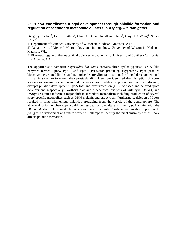#### **25. \*PpoA coordinates fungal development through phialide formation and regulation of secondary metabolite clusters in Aspergillus fumigatus.**

Gregory Fischer<sup>1</sup>, Erwin Berthier<sup>2</sup>, Chun-Jun Guo<sup>3</sup>, Jonathan Palmer<sup>2</sup>, Clay C.C. Wang<sup>3</sup>, Nancy Keller $^{2,1}$ .

1) Department of Genetics, University of Wisconsin-Madison, Madison, WI.;

2) Department of Medical Microbiology and Immunology, University of Wisconsin-Madison, Madison, WI.;

3) Pharmacology and Pharmaceutical Sciences and Chemistry, University of Southern California, Los Angeles, CA

The opportunistic pathogen *Aspergillus fumigatus* contains three cyclooxygenase (COX)-like enzymes termed PpoA, PpoB, and PpoC (**P**si-factor **p**roducing **o**xygenase). Ppos produce bioactive oxygenated lipid signaling molecules (oxylipins) important for fungal development and similar in structure to mammalian prostaglandins. Here, we identified that disruption of PpoA accelerates asexual development, shifts secondary metabolite production, and significantly disrupts phialide development. PpoA loss and overexpression (OE) increased and delayed spore development, respectively. Northern blot and biochemical analysis of wild-type, *ΔppoA,* and *OE::ppoA* strains indicate a major shift in secondary metabolism including production of several spore specific metabolites such as DHN melanin and endocrocin. Furthermore, deletion of PpoA resulted in long, filamentous phialides protruding from the vesicle of the conidiophore. The abnormal phialide phenotype could be rescued by co-culture of the *ΔppoA* strain with the *OE::ppoA* strain. This work demonstrates the critical role PpoA-derived oxylipins play in *A. fumigatus* development and future work will attempt to identify the mechanism by which PpoA affects phialide formation.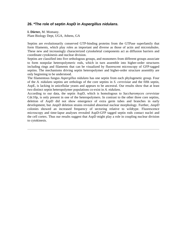# **26. \*The role of septin AspD in Aspergillus nidulans.**

**I. Dörter,** M. Momany. Plant Biology Dept, UGA, Athens, GA

Septins are evolutionarily conserved GTP-binding proteins from the GTPase superfamily that form filaments, which play roles as important and diverse as those of actin and microtubules. These new and increasingly characterized cytoskeletal components act as diffusion barriers and coordinate cytokinesis and nuclear division.

Septins are classified into five orthologous groups, and monomers from different groups associate to form nonpolar heteropolymeric rods, which in turn assemble into higher-order structures including rings and filaments that can be visualized by fluorescent microscopy of GFP-tagged septins. The mechanisms driving septin heteropolymer and higher-order structure assembly are only beginning to be understood.

The filamentous fungus *Aspergillus nidulans* has one septin from each phylogenetic group. Four of the *A. nidulans* septins are orthologs of the core septins in *S. cerevisiae* and the fifth septin, AspE, is lacking in unicellular yeasts and appears to be ancestral. Our results show that at least two distinct septin heteropolymer populations co-exist in *A. nidulans.* 

According to our data, the septin AspD, which is homologous to *Saccharomyces cerevisiae*  Cdc10p, is only present in one of the heteropolymers. In contrast to the other three core septins, deletion of AspD did not show emergence of extra germ tubes and branches in early development, but *ΔaspD* deletion strains revealed abnormal nuclear morphology. Further, *ΔaspD*  colonies showed an increased frequency of sectoring relative to wildtype. Fluorescence microscopy and time-lapse analyses revealed AspD-GFP tagged septin rods contact nuclei and the cell cortex. Thus our results suggest that AspD might play a role in coupling nuclear division to cytokinesis.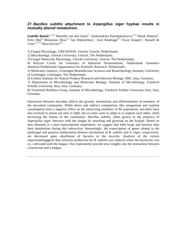#### **27. Bacillus subtilis attachment to Aspergillus niger hyphae results in mutually altered metabolism.**

Isabelle Benoit<sup>1,2,3,4,</sup> Marielle van den Esker<sup>5</sup>, Aleksandrina Patyshakuliyeva<sup>1,2,3,</sup> Derek Mattern<sup>6</sup>, Felix Blei<sup>8,</sup> Miaomiao Zhou<sup>1,3,</sup> Jan Dijksterhuis<sup>1</sup>, Axel Brakhage<sup>6,7,</sup> Oscar Kuipers<sup>5</sup>, Ronald de Vries<sup>1,2,3,4,</sup> Ákos Kovács<sup>5,8.</sup>

1) Fungal Physiology, CBS-KNAW, Utrecht, Utrecht, Netherlands;

2) Microbiology, Utrecht University, Utrecht, The Netherlands;

3) Fungal Molecular Physiology, Utrecht University, Utrecht, The Netherlands;

4) Kluyver Centre for Genomics of Industrial Fermentations, Netherlands Genomics Initiative/Netherlands Organization for Scientific Research, Netherlands;

5) Molecular Genetics, Groningen Biomolecular Sciences and Biotechnology Institute, University of Groningen, Groningen, The Netherlands;

6) Leibniz Institute for Natural Product Research and Infection Biology, HKI, Jena, Germany;

7) Department of Microbiology and Molecular Biology, Institute of Microbiology, Friedrich Schiller University Jena, Jena, Germany;

8) Terrestrial Biofilms Group, Institute of Microbiology, Friedrich Schiller University Jena, Jena, Germany

Interaction between microbes affects the growth, metabolism and differentiation of members of the microbial community. While direct and indirect competition, like antagonism and nutrient consumption have a negative effect on the interacting members of the population, microbes have also evolved in nature not only to fight, but in some cases to adapt to or support each other, while increasing the fitness of the community. *Bacillus subtilis,* when grown in the presence of *Aspergillus niger* interacts with the fungus by attaching and growing on the hyphae. Based on data obtained in a dual transcriptome experiment, we suggest that both fungi and bacteria alter their metabolism during this interaction. Interestingly, the transcription of genes related to the antifungal and putative antibacterial defense mechanism of *B. subtilis* and *A. niger,* respectively, are decreased upon attachment of bacteria to the mycelia. Analysis of the culture supernatantsuggests that surfactin production by *B. subtilis* was reduced when the bacterium was co- cultivated with the fungus. Our experiments provide new insights into the interaction between a bacterium and a fungus.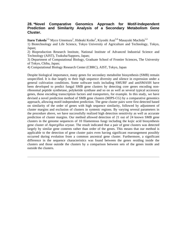#### **28. \*Novel Comparative Genomics Approach for Motif-Independent Prediction and Similarity Analysis of a Secondary Metabolism Gene Cluster.**

Itaru Takeda<sup>1,2,</sup> Myco Umemura<sup>2</sup>, Hideaki Koike<sup>2</sup>, Kiyoshi Asai<sup>3,4,</sup> Masayuki Machida<sup>1,2.</sup>

1) Biotechnology and Life Science, Tokyo University of Agriculture and Technology, Tokyo, Japan;

2) Bioproduction Research Institute, National Institute of Advanced Industrial Science and Technology (AIST), Tsukuba/Sapporo, Japan;

3) Department of Computational Biology, Graduate School of Frontier Sciences, The University of Tokyo, Chiba, Japan;

4) Computational Biology Research Center (CBRC), AIST, Tokyo, Japan

Despite biological importance, many genes for secondary metabolite biosynthesis (SMB) remain unspecified. It is due largely to their high sequence diversity and silence in expression under a general cultivation conditions. Some software tools including SMURF and antiSMASH have been developed to predict fungal SMB gene clusters by detecting core genes encoding nonribosomal peptide synthetase, polyketide synthase and so on as well as several typical accessory genes, those encoding transcription factors and transporters, for example. In this study, we have devised a novel prediction method of SMB gene clusters (MIPS-CG) by a comparative genomics approach, allowing motif-independent prediction. The gene cluster pairs were first detected based on similarity of the order of genes with high sequence similarity, followed by adjustment of cluster margins and exclusion of clusters in syntenic regions. By varying several parameters in the procedure above, we have successfully realized high detection sensitivity as well as accurate prediction of cluster margins. Our method allowed detection of 21 out of 24 known SMB gene clusters in the genome sequences of 10 filamentous fungi including the kojic acid biosynthesis gene cluster of *Aspergillus oryzae.* The result indicated that a pair of gene clusters was detected largely by similar gene contents rather than order of the genes. This means that our method is applicable to the detection of gene cluster pairs even having significant rearrangement possibly occurred during evolution from a common ancestral gene cluster. Furthermore, a significant difference in the sequence characteristics was found between the genes residing inside the clusters and those outside the clusters by a comparison between sets of the genes inside and outside the clusters.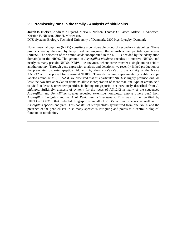#### **29. Promiscuity runs in the family - Analysis of nidulanins.**

**Jakob B. Nielsen,** Andreas Klitgaard, Maria L. Nielsen, Thomas O. Larsen, Mikael R. Andersen, Kristian F. Nielsen, Uffe H. Mortensen.

DTU Systems Biology, Technical University of Denmark, 2800 Kgs. Lyngby, Denmark

Non-ribosomal peptides (NRPs) constitute a considerable group of secondary metabolites. These products are synthesized by large modular enzymes, the non-ribosomal peptide synthetases (NRPS). The selection of the amino acids incorporated in the NRP is decided by the adenylation domain(s) in the NRPS. The genome of *Aspergillus nidulans* encodes 14 putative NRPSs, and nearly as many pseudo NRPSs, NRPS-like enzymes, where some transfer a single amino acid to another moiety. Through gene expression analysis and deletions, we recently linked production of the prenylated cyclo-tetrapeptide nidulanin A, Phe-Kyn-Val-Val, to the activity of the NRPS AN1242 and the prenyl transferase AN11080. Through feeding experiments by stable isotope labeled amino acids (SILAAs), we observed that this particular NRPS is highly promiscuous. At least the two first adenylation domains allow incorporation of more than one type of amino acid to yield at least 8 other tetrapeptides including fungisporin, not previously described from *A. nidulans.* Strikingly, analysis of synteny for the locus of AN1242 in many of the sequenced *Aspergillus* and *Penicillium* species revealed extensive homology, among others *pes1* from *Aspergillus fumigatus* and *hcpA* of *Penicillium chrysogenum.* This was further verified by UHPLC-qTOFMS that detected fungisporins in all of 20 *Penicillium* species as well as 15 *Aspergillus* species analyzed. This cocktail of tetrapeptides synthetized from one NRPS and the presence of the gene cluster in so many species is intriguing and points to a central biological function of nidulanins.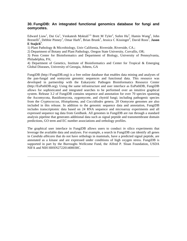#### **30. FungiDB: An integrated functional genomics database for fungi and oomycetes.**

Edward Liaw<sup>1</sup>, Dai Gu<sup>1</sup>, Venkatesh Moktali<sup>1,2,</sup> Brett M Tyler<sup>2</sup>, Sufen Hu<sup>3</sup>, Hamin Wang<sup>3</sup>, John Brestelli<sup>3</sup>, Debbie Pinney<sup>3</sup>, Omar Harb<sup>3</sup>, Brian Brunk<sup>3</sup>, Jessica C Kissinger<sup>4</sup>, David Roos<sup>3</sup>, **Jason E Stajich<sup>1</sup>** .

1) Plant Pathology & Microbiology, Univ California, Riverside, Riverside, CA.;

2) Department of Botany and Plant Pathology, Oregon State University, Corvallis, OR;

3) Penn Center for Bioinformatics and Department of Biology, University of Pennsylvania, Philadelphia, PA;

4) Department of Genetics, Institute of Bioinformatics and Center for Tropical & Emerging Global Diseases, University of Georgia, Athens, GA

FungiDB (http://FungiDB.org) is a free online database that enables data mining and analyses of the pan-fungal and oomycete genomic sequences and functional data. This resource was developed in partnership with the Eukaryotic Pathogen Bioinformatics Resource Center (http://EuPathDB.org). Using the same infrastructure and user interface as EuPathDB, FungiDB allows for sophisticated and integrated searches to be performed over an intuitive graphical system. Release 3.2 of FungiDB contains sequence and annotation for over 70 species spanning the Ascomycota, Basidiomycota, zygomycete, and chytrid fungi; including pathogenic species from the *Cryptococcus, Histoplasma,* and *Coccidiodes* genera. 20 Oomycete genomes are also included in this release. In addition to the genomic sequence data and annotation, FungiDB includes transcriptomic data based on 24 RNA sequence and microarray experiments and all expressed sequence tag data from GenBank. All genomes in FungiDB are run through a standard analysis pipeline that generates additional data such as signal peptide and transmembrane domain predictions, GO term and EC number associations and orthology profiles.

The graphical user interface in FungiDB allows users to conduct *in* silico experiments that leverage the available data and analyses. For example, a search in FungiDB can identify all genes in *Candida albicans* that do not have orthologs in mammals, have a predicted signal peptide, are annotated as a kinase and are expressed under conditions of high oxygen stress. FungiDB is supported in part by the Burroughs Wellcome Fund, the Alfred P. Sloan Foundation, USDA NIFA and NIH HHSN272201400030C.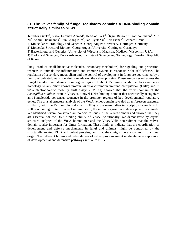#### **31. The velvet family of fungal regulators contains a DNA-binding domain structurally similar to NF-κB.**

**Jennifer Gerke<sup>1</sup>**, Yasar Luqman Ahmed<sup>2</sup>, Hee-Soo Park<sup>3</sup>, Özgür Bayram<sup>1</sup>, Piotr Neumann<sup>2</sup>, Min Ni<sup>3</sup>, Achim Dickmanns<sup>2</sup>, Sun Chang Kim<sup>4</sup>, Jae-Hyuk Yu<sup>3</sup>, Ralf Ficner<sup>2</sup>, Gerhard Braus<sup>1</sup>.

1) Molecular Microbiology and Genetics, Georg-August University, Göttingen, Germany;

2) Molecular Structural Biology, Georg-August University, Göttingen, Germany;

3) Bacteriology and Genetics, University of Wisconsin-Madison, Madison, Wisconsin, USA;

4) Biological Sciences, Korea Advanced Institute of Science and Technology, Dae-Jon, Republic of Korea

Fungi produce small bioactive molecules (secondary metabolites) for signaling and protection, whereas in animals the inflammation and immune system is responsible for self-defense. The regulation of secondary metabolism and the control of development in fungi are coordinated by a family of velvet-domain containing regulators, the velvet proteins. These are conserved across the fungal kingdom and share a homologous region of about 150 amino acids that lacks sequence homology to any other known protein. *In vivo* chromatin immuno-precipitation (ChIP) and *in vitro* electrophoretic mobility shift assays (EMSAs) showed that the velvet-domain of the *Aspergillus nidulans* protein VosA is a novel DNA-binding domain that specifically recognizes an 11-nucleotide consensus sequence in the promoter regions of key developmental regulatory genes. The crystal structure analysis of the VosA velvet-domain revealed an unforeseen structural similarity with the Rel homology domain (RHD) of the mammalian transcription factor NF-κB. RHD-containing proteins control inflammation, the immune system and development in animals. We identified several conserved amino acid residues in the velvet-domain and showed that they are essential for the DNA-binding ability of VosA. Additionally, we demonstrate by crystal structure analyses of the VosA homodimer and the VosA-VelB heterodimer that the velvetdomain is also important for dimer formation. These findings indicate that the coordination of development and defense mechanisms in fungi and animals might be controlled by the structurally related RHD and velvet proteins, and that they might have a common functional origin. The different homo- and heterodimers of velvet proteins might modulate gene expression of developmental and defensive pathways similar to NF-κB.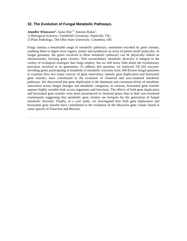### **32. The Evolution of Fungal Metabolic Pathways.**

**Jennifer Wisecaver<sup>1</sup>**, Jason Slot<sup>1,2,</sup> Antonis Rokas<sup>1</sup>.

1) Biological Sciences, Vanderbilt University, Nashville, TN.;

2) Plant Pathology, The Ohio State University, Columbus, OH.

Fungi contain a remarkable range of metabolic pathways, sometimes encoded by gene clusters, enabling them to digest most organic matter and synthesize an array of potent small molecules. In fungal genomes, the genes involved in these metabolic pathways can be physically linked on chromosomes, forming gene clusters. This extraordinary metabolic diversity is integral to the variety of ecological strategies that fungi employ, but we still know little about the evolutionary processes involved in its generation. To address this question, we analyzed 247,202 enzymeencoding genes participating in hundreds of metabolic reactions from 208 diverse fungal genomes to examine how two major sources of gene innovation, namely gene duplication and horizontal gene transfer, have contributed to the evolution of clustered and non-clustered metabolic pathways. We discovered that gene duplication is the dominant and consistent driver of metabolic innovation across fungal lineages and metabolic categories; in contrast, horizontal gene transfer appears highly variable both across organisms and functions. The effects of both gene duplication and horizontal gene transfer were more pronounced in clustered genes than in their non-clustered counterparts suggesting that metabolic gene clusters are hotspots for the generation of fungal metabolic diversity. Finally, as a case study, we investigated how both gene duplication and horizontal gene transfer have contributed to the evolution of the bikaverin gene cluster found in some species of *Fusarium* and *Botrytis.*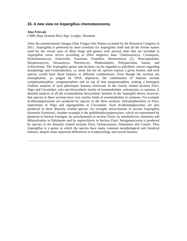#### **33. A new view on Aspergillus chemotaxonomy.**

#### **Jens Frisvad.**

CMB, Dept Systems Biol, Kgs. Lyngby, Denmark

After the nomenclatural changes (One Fungus One Name) accepted by the Botanical Congress in 2011, Aspergillus is preferred by most scientists for Aspergillus itself and all the former names used for the sexual state of these fungi and genera with asexual state that are included in Aspergillus *sensu stricto* according to DNA sequence data: Chaetosartorya, Cristaspora, Dichotomomyces, Emericella, Eurotium, Fennellia, Hemisartorya (?), Neocarpenteles, Neopetromyces, Neosartorya, Petromyces, Phialosimplex, Polypaecilum, Saitoa, and Sclerocleista. The Aspergillus genus and sections can be regarded as polythetic classes regarding morphology and exometabolites, i.e. most, but not all, species express a given feature, and each species would have those features in different combinations. Even though the sections are monophyletic, as judged by DNA sequences, the combination of features include symplesiomorphies, synapomorphies and on top of that autapomorphies, making a hennigian cladistic analysis of such phenotypic features irrelevant. In the closely related sections Flavi, Nigri and Circumdati, only one biosynthetic family of exometabolites, ochratoxins, is common. A detailed analysis of all the exometabolite biosynthetic families in the Aspergilli shows, however, that species in these sections have very similar kinds of exometabolites in common. For example di-diketopiperazines are produced by species in the three sections: Ditryptophenalins in Flavi, asperazines in Nigri and aspergamides in Circumdati. Such di-diketopiperazines are also produced in more distantly related species, for example eurocristatine in section Aspergillus (formerly Eurotium). Another example is the epidithiodioxopiperazines, which are represented by gliotoxin in Section Fumigati, by acetylaranotin in section Terrei, by emethallicins, emestrins and dithiosilvatins in Nidulantes and by aspirochlorin in Section Flavi. Sterigmatocystin is produced by species in the distantly related sections Flavi, Ochraceorosei, Nidulantes and Cremei. Thus Aspergillus is a genus in which the species have many common morphological and chemical features, despite some important differences in ecophysiology and sexual features.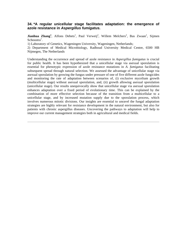### **34. \*A regular unicellular stage facilitates adaptation: the emergence of azole resistance in Aspergillus fumigatus.**

**Jianhua Zhang<sup>1</sup>**, Alfons Debets<sup>1</sup>, Paul Verweij<sup>2</sup>, Willem Melchers<sup>2</sup>, Bas Zwaan<sup>1</sup>, Sijmen Schoustra<sup>1</sup>.

1) Laboratory of Genetics, Wageningen University, Wageningen, Netherlands;

2) Department of Medical Microbiology, Radboud University Medical Centre, 6500 HB Nijmegen, The Netherlands

Understanding the occurrence and spread of azole resistance in *Aspergillus fumigatus* is crucial for public health. It has been hypothesized that a unicellular stage via asexual sporulation is essential for phenotypic expression of azole resistance mutations in *A. fumigatus* facilitating subsequent spread through natural selection. We assessed the advantage of unicellular stage via asexual sporulation by growing the fungus under pressure of one of five different azole fungicides and monitoring the rate of adaptation between scenarios of, (i) exclusive mycelium growth (multicellular stage) without asexual sporulation, and, (ii) growth allowing asexual sporulation (unicellular stage). Our results unequivocally show that unicellular stage via asexual sporulation enhances adaptation over a fixed period of evolutionary time. This can be explained by the combination of more effective selection because of the transition from a multicellular to a unicellular stage, and by increased mutation supply due to the sporulation process, which involves numerous mitotic divisions. Our insights are essential to unravel the fungal adaptation strategies are highly relevant for resistance development in the natural environment, but also for patients with chronic aspergillus diseases. Uncovering the pathways to adaptation will help to improve our current management strategies both in agricultural and medical fields.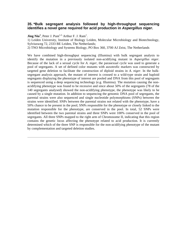#### **35. \*Bulk segregant analysis followed by high-throughput sequencing identifies a novel gene required for acid production in Aspergillus niger.**

**Jing Niu<sup>1</sup>**, Peter J. Punt<sup>1,2,</sup> Arthur F. J. Ram<sup>1</sup>.

1) Leiden University, Institute of Biology Leiden, Molecular Microbiology and Biotechnology, Sylviusweg 72, 2333 BE Leiden, The Netherlands; 2) TNO Microbiology and Systems Biology, PO Box 360, 3700 AJ Zeist, The Netherlands

We have combined high-throughput sequencing (Illumina) with bulk segregant analysis to identify the mutation in a previously isolated non-acidifying mutant in *Aspergillus niger*. Because of the lack of a sexual cycle for *A. niger*, the parasexual cycle was used to generate a pool of segregants. A set of defined color mutants with auxotrofic markers was constructed by targeted gene deletion to facilitate the construction of diploid strains in *A. niger*. In the bulksegregant analysis approach, the mutant of interest is crossed to a wild-type strain and haploid segregants displaying the phenotype of interest are pooled and DNA from this pool of segregants is sequenced using a deep sequencing technology (e.g. Illumina). The mutation causing the nonacidifying phenotype was found to be recessive and since about 50% of the segregants (78 of the 140 segregants analysed) showed the non-acidifying phenotype, the phenotype was likely to be caused by a single mutation. In addition to sequencing the genomic DNA pool of segregants, the parental strains were also sequenced and single nucleotide polymorphisms (SNPs) between the strains were identified. SNPs between the parental strains not related with the phenotype, have a 50% chance to be present in the pool; SNPs responsible for the phenotype or closely linked to the mutation responsible for the phenotype, are conserved in the pool. In total, 52 SNPs were identified between the two parental strains and three SNPs were 100% conserved in the pool of segregants. All three SNPs mapped to the right arm of Chromosome II, indicating that this region contains the genetic locus affecting the phenotype related to acid production. It is currently determined which of the three SNP is responsible for the non-acidifying phenotype of the mutant by complementation and targeted deletion studies.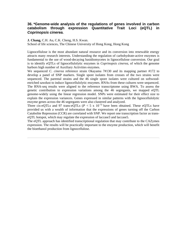## **36. \*Genome-wide analysis of the regulations of genes involved in carbon catabolism through expression Quantitative Trait Loci (eQTL) in Coprinopsis cinerea.**

#### **J. Chang,** C.H. Au, C.K. Cheng, H.S. Kwan.

School of life sciences, The Chinese University of Hong Kong, Hong Kong

Lignocellulose is the most abundant natural resource and its conversion into renewable energy attracts many research interests. Understanding the regulation of carbohydrate-active enzymes is fundamental to the use of wood-decaying basidiomycetes in lignocellulose conversion. Our goal is to identify eQTLs of lignocellulolytic enzymes in *Coprinopsis cinerea,* of which the genome harbors high number of Auxiliary Activities enzymes.

We sequenced *C. cinerea* reference strain Okayama 7#130 and its mapping partner #172 to develop a panel of SNP markers. Single spore isolates from crosses of the two strains were sequenced. The parental strains and the 46 single spore isolates were cultured on softwoodenriched sawdust to induce lignocellulolytic enzymes. RNAs from these cultures were sequenced. The RNA-seq results were aligned to the reference transcriptome using BWA. To assess the genetic contribution to expression variations among the 46 segregants, we mapped eQTL genome-widely using the linear regression model. SNPs were estimated for their effect size to explain the expression variances. Genes expressed in similar patterns with the lignocellulolytic enzyme genes across the 46 segregants were also clustered and analyzed.

Three cis-eQTLs and 97 trans-eQTLs ( $P < 5 \times 10^{-5}$ ) have been obtained. These eOTLs have provided us with a wealth of information that the expressions of genes turning off the Carbon Catabolite Repression (CCR) are correlated with SNP. We report one transcription factor as transeQTL hotspot, which may regulate the expression of laccase3 and laccase5.

The eQTL approach has identified transcriptional regulation that may contribute to the CAZymes expression. The results will be practically important to the enzyme production, which will benefit the bioethanol production from lignocellulose.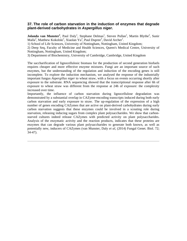### **37. The role of carbon starvation in the induction of enzymes that degrade plant-derived carbohydrates in Aspergillus niger.**

**Jolanda van Munster<sup>1</sup>**, Paul Daly<sup>1</sup>, Stephane Delmas<sup>1</sup>, Steven Pullan<sup>1</sup>, Martin Blythe<sup>2</sup>, Sunir Malla<sup>2</sup>, Matthew Kokolski<sup>1</sup>, Xiaolan Yu<sup>3</sup>, Paul Dupree<sup>3</sup>, David Archer<sup>1</sup>.

1) School of Life Sciences, University of Nottingham, Nottingham, United Kingdom;

2) Deep Seq, Faculty of Medicine and Health Sciences, Queen's Medical Centre, University of Nottingham, Nottingham, United Kingdom;

3) Department of Biochemistry, University of Cambridge, Cambridge, United Kingdom

The saccharification of lignocellulosic biomass for the production of second generation biofuels requires cheaper and more effective enzyme mixtures. Fungi are an important source of such enzymes, but the understanding of the regulation and induction of the encoding genes is still incomplete. To explore the induction mechanism, we analysed the response of the industrially important fungus *Aspergillus niger* to wheat straw, with a focus on events occurring shortly after exposure to the substrate. RNA sequencing showed that the transcriptional response after 6h of exposure to wheat straw was different from the response at 24h of exposure: the complexity increased over time.

Importantly, the influence of carbon starvation during lignocellulose degradation was demonstrated by a substantial overlap in CAZyme-encoding transcripts induced during both early carbon starvation and early exposure to straw. The up-regulation of the expression of a high number of genes encoding CAZymes that are active on plant-derived carbohydrates during early carbon starvation suggests that these enzymes could be involved in a scouting role during starvation, releasing inducing sugars from complex plant polysaccharides. We show that carbonstarved cultures indeed release CAZymes with predicted activity on plant polysaccharides. Analysis of the enzymatic activity and the reaction products, indicates that these proteins are enzymes that can degrade various plant polysaccharides to generate both known, as well as potentially new, inducers of CAZymes (van Munster, Daly *et al,* (2014) Fungal Genet. Biol. 72; 34-47).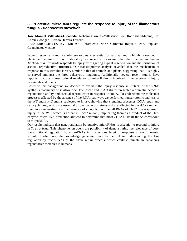### **38. \*Potential microRNAs regulate the response to injury of the filamentous fungus Trichoderma atroviride.**

**Jose Manuel Villalobos-Escobedo,** Nohemí Carreras-Villaseñor, Joel Rodríguez-Medina, Cei Abreu-Goodger, Alfredo Herrera-Estrella.

LANGEBIO-CINVESTAV, Km 9.6 Libramiento Norte Carretera Irapuato-León. Irapuato, Guanajuato, Mexico

Wound response in multicellular eukaryotes is essential for survival and is highly conserved in plants and animals. In our laboratory we recently discovered that the filamentous fungus *Trichoderma atroviride* responds to injury by triggering hyphal regeneration and the formation of asexual reproductive structures. Our transcriptomic analysis revealed that the mechanism of response to this stimulus is very similar to that of animals and plants, suggesting that it is highly conserved amongst the three eukaryotic kingdoms. Additionally, several recent studies have reported that post-transcriptional regulation by microRNAs is involved in the response to injury in animals and plants.

Based on this background we decided to evaluate the injury response in mutants of the RNAi synthesis machinery of *T. atroviride.* The *Δdcr2* and *Δrdr3* strains presented a dramatic defect in regeneration ability and asexual reproduction in response to injury. To understand the molecular processes affected by the absence of the RNAi pathway, we performed transcriptomic analysis of the WT and *Δdcr2* strains subjected to injury, showing that signaling processes, DNA repair and cell cycle progression are essential to overcome this stress and are affected in the *Δdcr2* mutant. Even more interesting was the presence of a population of small RNAs of 21-22nt in response to injury in the WT, which is absent in *Δdcr2* mutant, implicating them as a product of the Dcr2 enzyme. microRNA prediction allowed to determine that most 21-22 nt small RNAs correspond to microRNAs.

Our results indicate that gene regulation by putative-microRNAs is essential to respond to injury in *T. atroviride.* This phenomenon opens the possibility of demonstrating the relevance of posttranscriptional regulation by microRNAs in filamentous fungi in response to environmental stimuli. Furthermore, the knowledge generated may be helpful in understanding the fine regulation by microRNAs of the tissue repair process, which could culminate in enhancing regenerative therapies in humans.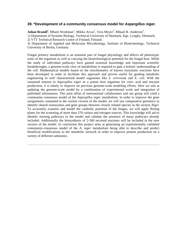### **39. \*Development of a community consensus model for Aspergillus niger.**

**Julian Brandl<sup>1</sup>**, Mhairi Workman<sup>1</sup>, Mikko Arvas<sup>2</sup>, Vera Meyer<sup>3</sup>, Mikael R. Andersen<sup>1</sup>.

1) Department of Systems Biology, Technical University of Denmark, Kgs. Lyngby, Denmark;

2) VTT Technical Research Centre of Finland, Finland;

3) Department of Applied and Molecular Microbiology, Institute of Biotechnology, Technical University of Berlin, Germany

Fungal primary metabolism is an essential part of fungal physiology and affects all phenotypic traits of the organism as well as carrying the biotechnological potential for the fungal host. While the study of individual pathways have gained essential knowledge and important scientific breakthroughs, a genome-scale view of metabolism is required to gain a holistic understanding of the cell. Mathematical models based on the stoichiometry of known enzymatic reactions have been developed in order to facilitate this approach and proven useful for guiding metabolic engineering in well characterized model organisms like *S. cerevisiae* and *E. coli.* With the sustained interest in *Aspergillus niger* as a potent host organism for citric acid and enzyme production, it is timely to improve on previous genome-scale modeling efforts. Here we aim at updating the genome-scale model by a combination of experimental work and integration of published information. This joint effort of international collaborators and our group will yield a community-consensus model of the *Aspergillus niger* metabolism. In order to improve the gene assignments contained in the current version of the model, we will use comparative genomics to identify shared isoenzymes and gene groups between closely related species in the section *Nigri.*  To accurately examine and model the catabolic potential of the fungus, we will apply Biolog plates for the screening of more than 270 carbon and nitrogen sources. This knowledge will aid to identify missing pathways in the model and validate the presence of many pathways already included. Additionally the biosynthesis of 2-300 secreted enzymes will be included in the new version of the model. In conclusion this project aims at generating an experimentally validated community-consensus model of the *A. niger* metabolism being able to describe and predict beneficial modifications to the metabolic network in order to improve protein production on a variety of different substrates.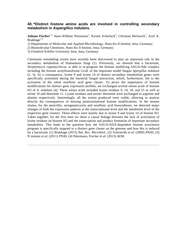### **40. \*Distinct histone amino acids are involved in controlling secondary metabolism in Aspergillus nidulans.**

**Juliane Fischer**<sup>1,3,</sup> Hans-Wilhem Nützmann<sup>1</sup>, Kirstin Scherlach<sup>2</sup>, Christian Hertweck<sup>2</sup>, Axel A. Brakhage $1,3$ .

1) Departments of Molecular and Applied Microbiology, Hans-Kn ll-Institut, Jena, Germany;

2) Biomolecular Chemistry, Hans-Kn ll-Institut, Jena, Germany;

3) Friedrich Schiller University Jena, Jena, Germany

Chromatin remodeling events have recently been discovered to play an important role in the secondary metabolism of filamentous fungi (1). Previously, we showed that a bacterium, *Streptomyces rapamycinicus,* is able to re-program the histone modifying SAGA/Ada complex including the histone acetyltransferase GcnE of the important model fungus *Apergillus nidulans*  (2, 3). As a consequence, lysine 9 and lysine 14 of distinct secondary metabolism genes were specifically acetylated during the bacterial fungal interaction, which, furthermore, led to the activation of the silent orsellinic acid gene cluster. To prove the importance of histone modifications for distinct gene expression profiles, we exchanged several amino acids of histone H3 of *A. nidulans* (4). These amino acids included lysine residues 9, 14, 18, and 23 as well as serine 10 and threonine 11. Lysine residues and serine/ threonine were exchanged to arginine and alanine respectively. Interestingly, all the strains produced were viable, allowing to analyse directly the consequences of missing posttranslational histone modifications. In the mutant strains, for the penicillin, sterigmatocystin and orsellinic acid biosyntheses, we detected major changes of both the expression patterns at the transcriptional level and the metabolite level of the respective gene clusters. These effects were mainly due to lysine 9 and lysine 14 of histone H3. Taken together, for the first time we show a causal linkage between the lack of acetylation of lysine residues on histone H3 and the transcription and product formation of important secondary metabolites. This leads to the question how the SAGA/ADA-dependent histone acetylation program is specifically targeted to a distinct gene cluster on the genome and how this is induced by a bacterium. (1) Brakhage (2013) *Nat. Rev. Microbiol.*, (2) Schroeckh *et al.* (2009) *PNAS,* (3) N tzmann *et al.* (2011) *PNAS,* (4) Nützmann, Fischer *et al.* (2013) *AEM.*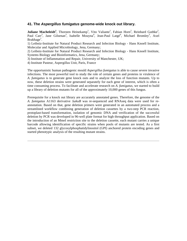### **41. The Aspergillus fumigatus genome-wide knock out library.**

**Juliane Macheleidt<sup>1</sup>**, Thorsten Heinekamp<sup>1</sup>, Vito Valiante<sup>1</sup>, Fabian Horn<sup>2</sup>, Reinhard Guthke<sup>2</sup>, Paul Carr<sup>3</sup>, Jane Gilsenan<sup>3</sup>, Isabelle Mouyna<sup>4</sup>, Jean-Paul Latgé<sup>4</sup>, Michael Bromley<sup>3</sup>, Axel Brakhage<sup>1</sup>.

1) Leibniz-Institute for Natural Product Research and Infection Biology - Hans Knoell Institute, Molecular and Applied Microbiology, Jena, Germany;

2) Leibniz-Institute for Natural Product Research and Infection Biology - Hans Knoell Institute, Systems Biology and Bioinformatics, Jena, Germany;

3) Institute of Inflammation and Repair, University of Manchester, UK;

4) Institute Pasteur, Aspergillus Unit, Paris, France

The opportunistic human pathogenic mould *Aspergillus fumigatus* is able to cause severe invasive infections. The most powerful tool to study the role of certain genes and proteins in virulence of *A. fumigatus* is to generate gene knock outs and to analyze the loss of function mutants. Up to now, these deletion strains were generated separately for each gene of interest, which is often a time consuming process. To facilitate and accelerate research on *A. fumigatus,* we started to build up a library of deletion mutants for all of the approximately 10,000 genes of this fungus.

Prerequisite for a knock out library are accurately annotated genes. Therefore, the genome of the *A. fumigatus* A1163 derivative Δ*akuB* was re-sequenced and RNAseq data were used for reannotation. Based on that, gene deletion primers were generated in an automated process and a streamlined workflow combining generation of deletion cassettes by a two-step PCR reaction, protoplast-based transformation, isolation of genomic DNA and verification of the successful deletion by PCR was developed in 96-well plate format for high throughput application. Based on the introduction of an MmeI restriction site to the deletion cassette, each mutant carries a unique barcode allowing identification of specific strains when pools of mutants are tested. As a first subset, we deleted 132 glycosylphosphatidylinositol (GPI) anchored protein encoding genes and started phenotypic analysis of the resulting mutant strains.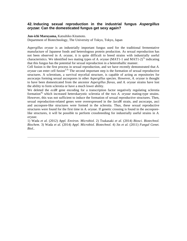## **42. Inducing sexual reproduction in the industrial fungus Aspergillus oryzae: Can the domesticated fungus get sexy again?**

**Jun-ichi Maruyama,** Katsuhiko Kitamoto.

Department of Biotechnology, The University of Tokyo, Tokyo, Japan

*Aspergillus oryzae* is an industrially important fungus used for the traditional fermentative manufacture of Japanese foods and heterologous protein production. As sexual reproduction has not been observed in *A. oryzae,* it is quite difficult to breed strains with industrially useful characteristics. We identified two mating types of *A. oryzae* (MAT1-1 and MAT1-2)<sup>1),</sup> indicating that this fungus has the potential for sexual reproduction in a heterothallic manner.

Cell fusion is the first process in sexual reproduction, and we have recently demonstrated that *A.*   $$ structures. A sclerotium, a survival mycelial structure, is capable of acting as repositories for ascocarps forming sexual ascospores in other *Aspergillus* species. However, *A. oryzae* is thought to have been domesticated from the ancestor *Aspergillus flavus,* and *A. oryzae* strains have lost the ability to form sclerotia or have a much lower ability.

We deleted the *ecdR* gene encoding for a transcription factor negatively regulating sclerotia formation<sup>4),</sup> which increased heterokaryotic sclerotia of the two *A. oryzae* mating-type strains. However, this was not sufficient to induce the formation of sexual reproductive structures. Then, sexual reproduction-related genes were overexpressed in the Δ*ecdR* strain, and ascocarps, asci and ascospore-like structures were formed in the sclerotia. Thus, these sexual reproductive structures were found for the first time in *A. oryzae.* If genetic crossing is found in the ascosporelike structures, it will be possible to perform crossbreeding for industrially useful strains in *A. oryzae.* 

1) Wada *et al.* (2012) *Appl. Environ. Microbiol.* 2) Tsukasaki *et al.* (2014) *Biosci. Biotechnol. Biochem.* 3) Wada *et al.* (2014) *Appl. Microbiol. Biotechnol.* 4) Jin *et al.* (2011) *Fungal Genet. Biol..*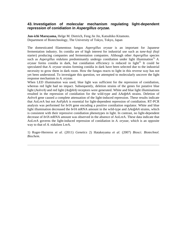#### **43. Investigation of molecular mechanism regulating light-dependent repression of conidiation in Aspergillus oryzae.**

**Jun-ichi Maruyama,** Helge M. Dietrich, Feng Jie Jin, Katsuhiko Kitamoto. Department of Biotechnology, The University of Tokyo, Tokyo, Japan

The domesticated filamentous fungus *Aspergillus oryzae* is an important for Japanese fermentation industry. Its conidia are of high interest for industrial use such as *tane-koji (koji*  starter) producing companies and fermentation companies. Although other *Aspergillus* species such as *Aspergillus nidulans* predominantly undergo conidiation under light illumination<sup>1),</sup>  $A$ .  $oryzae$  forms conidia in dark, but conidiation efficiency is reduced in light<sup>2).</sup> It could be speculated that *A. oryzae* strains forming conidia in dark have been selected due to the industrial necessity to grow them in dark room. How the fungus reacts to light in this reverse way has not yet been understood. To investigate this question, we attempted to molecularly uncover the light response mechanism in *A. oryzae.* 

When LED illumination was used, blue light was sufficient for the repression of conidiation, whereas red light had no impact. Subsequently, deletion strains of the genes for putative blue light (*AolreA)* and red light (*AofphA)* receptors were generated. White and blue light illuminations resulted in the repression of conidiation for the wild-type and Δ*AofphA* strains. Deletion of *AolreA* gene caused a complete attenuation of the light-induced repression. These results indicate that AoLreA but not AoFphA is essential for light-dependent repression of conidiation. RT-PCR analysis was performed for *brlA* gene encoding a positive conidiation regulator. White and blue light illumination decreased the *brlA* mRNA amount in the wild-type and Δ*AofphA* strains, which is consistent with their repressive conidiation phenotypes in light. In contrast, no light-dependent decrease of *brlA* mRNA amount was observed in the absence of AoLreA. These data indicate that AoLreA governs the light-induced repression of conidiation in *A. oryzae,* which is an opposite way to that of *A. nidulans* LreA.

1) Ruger-Herreros *et al.* (2011) *Genetics* 2) Hatakeyama *et al.* (2007) *Biosci. Biotechnol. Biochem.*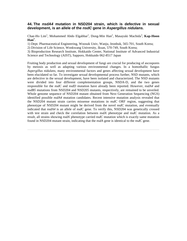#### **44. The nsdA4 mutation in NSD204 strain, which is defective in sexual development, is an allele of the nsdC gene in Aspergillus nidulans.**

Chae-Ho Lim<sup>1</sup>, Mohammed Abdo Elgabbar<sup>1</sup>, Dong-Min Han<sup>2</sup>, Masayuki Machida<sup>3</sup>, Kap-Hoon  $\mathbf{Han}^1$ .

1) Dept. Pharmaceutical Engineering, Woosuk Univ, Wanju, Jeonbuk, 565-701, South Korea;

2) Division of Life Science, Wonkwang University, Iksan, 570-749, South Korea;

3) Bioproduction Research Institute, Hokkaido Center, National Institute of Advanced Industrial Science and Technology (AIST), Sapporo, Hokkaido 062-8517 Japan

Fruiting body production and sexual development of fungi are crucial for producing of ascospores by meiosis as well as adapting various environmental changes. In a homothallic fungus *Aspergillus nidulans,* many environmental factors and genes affecting sexual development have been elucidated so far. To investigate sexual developmental process further, NSD mutants, which are defective in the sexual development, have been isolated and characterized. The NSD mutants were divided into four different complementation groups, NSDA-D, and the two genes responsible for the *nsdC* and *nsdD* mutation have already been reported. However, *nsdA4* and *nsdB5* mutations from NSD204 and NSD205 mutants, respectively, are remained to be unveiled. Whole genome sequence of NSD204 mutant obtained from Next Generation Sequencing (NGS) identified possible *nsdA4* mutation candidates. Recent intensive mutation analysis revealed that the NSD204 mutant strain carries missense mutations in *nsdC* ORF region, suggesting that phenotype of NSD204 mutant might be derived from the novel *nsdC* mutation, and eventually indicated that *nsdA4* is an allele of *nsdC* gene. To verify this, NSD204 was genetically crossed with test strain and check the correlation between *nsdA*- phenotype and *nsdC* mutation. As a result, all strains showing *nsdA*-phenotype carried *nsdC* mutation which is exactly same mutation found in NSD204 mutant strain, indicating that the *nsdA* gene is identical to the *nsdC* gene.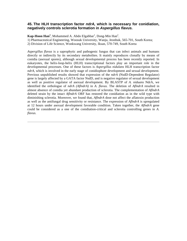### **45. The HLH transcription factor ndrA, which is necessary for conidiation, negatively controls sclerotia formation in Aspergillus flavus.**

Kap-Hoon Han<sup>1</sup>, Mohammed A. Abdo Elgabbar<sup>1</sup>, Dong-Min Han<sup>2</sup>.

1) Pharmaceutical Engineering, Woosuk University, Wanju, Jeonbuk, 565-701, South Korea;

2) Division of Life Science, Wonkwang University, Iksan, 570-749, South Korea

*Aspergillus flavus* is a saprophytic and pathogenic fungus that can infect animals and humans directly or indirectly by its secondary metabolites. It mainly reproduces clonally by means of conidia (asexual spores), although sexual developmental process has been recently reported. In eukaryotes, the helix-loop-helix (HLH) transcriptional factors play an important role in the developmental processes. One of these factors is *Aspergillus nidulans* HLH transcription factor *ndrA,* which is involved in the early stage of conidiophore development and sexual development. Previous unpublished results showed that expression of the *ndrA* (NsdD-Dependent Regulator) gene is largely affected by a GATA factor NsdD, and is negative regulator of sexual development as well as positive regulator of asexual development. By BLASTP of *A. niduans* NdrA, we identified the orthologue of *ndrA (AflndrA)* in *A. flavus.* The deletion of *AflndrA* resulted in almost absence of conidia yet abundant production of sclerotia. The complementation of *AflndrA*  deleted strain by the intact *AflndrA* ORF has restored the conidiation as in the wild type with diminishing sclerotia. Moreover, we found that, *AflndrA* dose not affect the aflatoxin production as well as the antifungal drug sensitivity or resistance. The expression of *AflndrA* is upregulated at 12 hours under asexual development favorable condition. Taken together, the *AflndrA* gene could be considered as a one of the conidiation-critical and sclerotia controlling genes in *A. flavus.*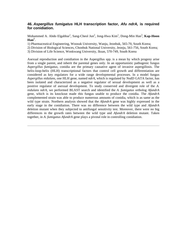## **46. Aspergillus fumigatus HLH transcription factor, Afu ndrA, is required for conidiation.**

Mohammed A. Abdo Elgabbar<sup>1</sup>, Sang-Cheol Jun<sup>2</sup>, Jong-Hwa Kim<sup>1</sup>, Dong-Min Han<sup>3</sup>, **Kap-Hoon**  $\mathbf{Han}^1$ .

1) Pharmaceutical Engineering, Woosuk University, Wanju, Jeonbuk, 565-70, South Korea;

2) Division of Biological Sciences, Chonbuk National University, Jeonju, 561-756, South Korea;

3) Division of Life Science, Wonkwang University, Iksan, 570-749, South Korea

Asexual reproduction and conidiation in the Aspergillus spp. is a mean by which progeny arise from a single parent, and inherit the parental genes only. In an opportunistic pathogenic fungus *Aspergillus fumigatus,* conidia are the primary causative agent of invasive aspergillosis. The helix-loop-helix (HLH) transcriptional factors that control cell growth and differentiation are considered as key regulators for a wide range developmental processes. In a model fungus *Aspergillus nidulans,* one HLH gene, named *ndrA,* which is regulated by NsdD GATA factor, has been isolated and characterized as a negative regulator of sexual development as well as a positive regulator of asexual development. To study conserved and divergent role of the *A. nidulans ndrA,* we performed BLAST search and identified the *A. fumigatus* ortholog *AfundrA*  gene, which is its knockout made this fungus unable to produce the conidia. The *AfundrA*  complemented strain was able to produce numerous amounts of conidia, which is as same as the wild type strain. Northern analysis showed that the *AfundrA* gene was highly expressed in the early stage in the conidiation. There was no difference between the wild type and *AfundrA*  deletion mutant when they subjected to antifungal sensitivity test. Moreover, there were no big differences in the growth rates between the wild type and *AfundrA* deletion mutant. Taken together, in *A. fumigatus AfundrA* gene plays a pivotal role in controlling conidiation.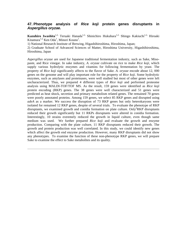# **47. Phenotype analysis of Rice koji protein genes disruptants in Aspergillus oryzae.**

Kazuhiro Iwashita<sup>1,2,</sup> Teruaki Hanada<sup>1,2,</sup> Shinichiro Hukuhara<sup>1,2,</sup> Shingo Kakiuchi<sup>1,2,</sup> Hiroaki Kitamura<sup>1,2,</sup> Ken Oda<sup>1</sup>, Minori Kouno<sup>1</sup>.

1) National Research Institute of Brewing, Higashihiroshima, Hiroshima, Japan;

2) Graduate School of Advanced Sciences of Matter, Hiroshima University, Higashihiroshima, Hiroshima, Japan

*Aspergillus oryzae* are used for Japanese traditional fermentation industry, such as Sake, Misopaste, and Rice vinegar. In sake industry, *A. oryzae* cultivate on rice to make *Rice koji,* which supply various hydrolytic enzymes and vitamins for following fermentation by yeast. The property of *Rice koji* significantly affects to the flavor of Sake. *A. oryzae* encode about 12, 000 genes on the genome and will play important role for the property of *Rice koji.* Some hydrolytic enzymes, such as amylases and proteinases, were well studied but most of other genes were left uncharacterized. Thus, we prepared 4 different types of *Rice koji* and performed proteome analysis using MALDI-TOF/TOF MS. As the result, 159 genes were identified as *Rice koji*  protein encoding (RKP) genes. The 38 genes were well characterized and 51 genes were predicted as heat shock, secretion and primary metabolism related genes. The remained 70 genes were poorly annotated proteins. Among 159 genes, we select 85 RKP genes and disrupted using *adeA* as a marker. We success the disruption of 73 RKP genes but only heterokaryons were isolated for remained 12 RKP genes, despite of several trials. To evaluate the phenotype of RKP disruptants, we examined growth and conidia formation on plate culture. Only<sup>2</sup>RKP disruptants reduced their growth significantly but 11 RKPs disruptants were altered in conidia formation. Interestingly, 10 strains extremely reduced the growth in liquid culture, even though same medium was used. We further prepared *Rice koji* and evaluate the growth and enzyme production. Comparing with the plate culture, 11 RKP disruptants reduced their growth. The growth and protein production was well correlated. In this study, we could identify new genes which affect the growth end enzyme production. However, many RKP disruptants did not show any phenotypes. To examine the function of these non-phenotype RKP genes, we will prepare Sake to examine the effect to Sake metabolites and its quality.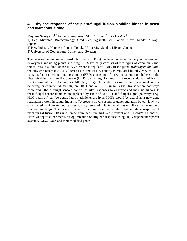### **48. Ethylene response of the plant-fungal fusion histidine kinase in yeast and filamentous fungi.**

Mayumi Nakayama<sup>1,2,</sup> Kentaro Furukawa<sup>3</sup>, Akira Yoshimi<sup>2</sup>, **Keietsu Abe**<sup>1,2.</sup>

1) Dept Microbial Biotechnology, Grad. Sch. Agricult. Sci., Tohoku Univ., Sendai, Miyagi, Japan;

2) New Industry Hatchery Center, Tohoku University, Sendai, Miyagi, Japan;

3) University of Gothenburg, Gothenburg, Sweden

The two-component signal transduction system (TCS) has been conserved widely in bacteria and eukaryotes, including plants and fungi. TCS typically consists of two types of common signal transducers: histidine kinase (HK), a response regulator (RR). In the plant *Arabidopsis thaliana,*  the ethylene receptor AtETR1 acts as HK and its HK activity is regulated by ethylene. AtETR1 contains (i) an ethylene-binding domain (EBD) consisting of three transmembrane helices in the N-terminal half, (ii) an HK domain (HKD) containing HK, and (iii) a receiver domain of RR in the C-terminal half. As well as AtETR1, fungal HKs also consist of an N-terminal sensor detecting environmental stimuli, an HKD and an RR. Fungal signal transduction pathways containing these fungal sensors control cellular responses to extrinsic and intrinsic signals. If these fungal sensor domains are replaced by EBD of AtETR1 and fungal signal pathways (e.g. HOG-pathway) can be controlled by ethylene, the hybrid HKs would be useful as a new gene regulation system in fungal industry. To create a novel system of gene regulation by ethylene, we constructed and examined expression systems of plant-fungal fusion HKs in yeast and filamentous fungi. Then we confirmed functional complementation and ethylene response of plant-fungal fusion HKs in a temperature-sensitive *sln1* yeast mutant and *Aspergillus nidulans.*  Here, we report experiments for optimization of ethylene response using HOG-dependent reporter systems, *8xCRE-lacZ* and their modified genes.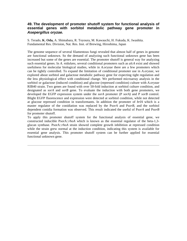### **49. The development of promoter shutoff system for functional analysis of essential genes with sorbitol metabolic pathway gene promoter in Asepergillus oryzae.**

S. Terado, **K. Oda,** A. Shimabara, R. Toyoura, M. Kawauchi, H. Fukuda, K. Iwashita. Fundamental Res. Division, Nat. Res. Inst. of Brewing, Hiroshima, Japan

The genome sequence of several filamentous fungi revealed that almost half of genes in genome are functional unknown. So the demand of analyzing such functional unknown gene has been increased but some of the genes are essential. The promoter shutoff is general way for analyzing such essential genes. In *A. nidulans,* several conditional promoters such as *alcA* exist and showed usefulness for molecular biological studies, while in *A.oryzae* there are a few promoters which can be tightly controlled. To expand the limitation of conditional promoter use in *A.oryzae,* we explored about sorbitol and galactose metabolic pathway gene for expecting tight regulation and the less physiological effect with conditional change. We performed microarray analysis in the sorbitol or galactose (induced condition) and glucose (repressed condition) culture with *A.oryzae*  RIB40 strain. Two genes are found with over 50-fold induction at sorbitol culture condition, and designated as *sorA* and *sorB* gene. To evaluate the induction with both gene promoters, we developed the EGFP expression system under the *sorA* promoter (P *sorA)* and P *sorB* control. Blight EGFP fluorescence and expression were detected at sorbitol condition, while not detected at glucose repressed condition in transformants. In addition the promoter of *brlA* which is a master regulator of the conidiation was replaced by the P*sorA* and P*sorB,* and the sorbitol dependent conidia formation was observed. This result indicated the useful of P*sorA* and P*sorB*  for promoter shutoff.

To apply this promoter shutoff system for the functional analysis of essential gene, we constructed inducible PsorA::*rhoA* which is known as the essential regulator of the beta-1,3 glucan synthase. PsorA::*rhoA* strain showed complete growth inhibition at repressed condition while the strain grew normal at the induction condition, indicating this system is available for essential gene analysis. This promoter shutoff system can be further applied for essential functional unknown gene.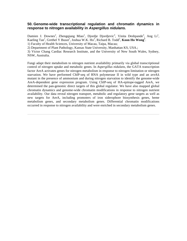#### **50. Genome-wide transcriptional regulation and chromatin dynamics in response to nitrogen availability in Aspergillus nidulans.**

Damien J. Downes<sup>2</sup>, Zhengqiang Miao<sup>1</sup>, Djordje Djordjevic<sup>3</sup>, Vinita Deshpande<sup>3</sup>, Ang Li<sup>1</sup>, Kaeling Tan<sup>1</sup>, Grethel Y Busot<sup>2</sup>, Joshua W.K. Ho<sup>3</sup>, Richard B. Todd<sup>2</sup>, Koon Ho Wong<sup>1</sup>. 1) Faculty of Health Sciences, University of Macau, Taipa, Macau;

2) Department of Plant Pathology, Kansas State University, Manhattan KS, USA.;

3) Victor Chang Cardiac Research Institute, and the University of New South Wales, Sydney, NSW, Australia.

Fungi adapt their metabolism to nitrogen nutrient availability primarily via global transcriptional control of nitrogen uptake and metabolic genes. In *Aspergillus nidulans,* the GATA transcription factor AreA activates genes for nitrogen metabolism in response to nitrogen limitation or nitrogen starvation. We have performed ChIP-seq of RNA polymerase II in wild type and an *areA*Δ mutant in the presence of ammonium and during nitrogen starvation to identify the genome-wide AreA-dependent gene expression program. Using ChIP-seq of HA-epitope-tagged AreA, we determined the pan-genomic direct targets of this global regulator. We have also mapped global chromatin dynamics and genome-wide chromatin modifications in response to nitrogen nutrient availability. Our data reveal nitrogen transport, metabolic and regulatory gene targets as well as new targets for AreA, including promoters of iron siderophore biosynthesis genes, heme metabolism genes, and secondary metabolism genes. Differential chromatin modifications occurred in response to nitrogen availability and were enriched in secondary metabolism genes.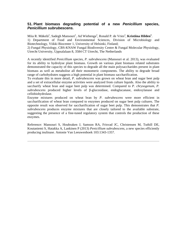### **51. Plant biomass degrading potential of a new Penicillium species, Penicillium subrubescens.**

Miia R. Mäkelä<sup>1</sup>, Sadegh Mansouri<sup>1</sup>, Ad Wiebenga<sup>2</sup>, Ronald P. de Vries<sup>2</sup>, **Kristiina Hilden<sup>1</sup>**. 1) Department of Food and Environmental Sciences, Division of Microbiology and Biotechnology, Viikki Biocenter 1, University of Helsinki, Finland;

2) Fungal Physiology, CBS-KNAW Fungal Biodiversity Centre & Fungal Molecular Physiology, Utrecht University, Uppsalalaan 8, 3584 CT Utrecht, The Netherlands

A recently identified *Penicillium* species, *P. subrubescens* (Mansouri et al. 2013), was evaluated for its ability to hydrolyse plant biomass. Growth on various plant biomass related substrates demonstrated the capacity of this species to degrade all the main polysaccharides present in plant biomass as well as metabolise all their monomeric components. The ability to degrade broad range of carbohydrates suggests a high potential in plant biomass saccharification.

To evaluate this in more detail, *P. subrubescens* was grown on wheat bran and sugar beet pulp and a set of extracellular enzyme activities were analyzed from culture liquids. Also the ability to saccharify wheat bran and sugar beet pulp was determined. Compared to *P. chrysogenum, P. subrubescens* produced higher levels of β-glucosidase, endoglucanase, endoxylanase and cellobiohydrolase.

Enzyme mixtures produced on wheat bran by *P. subrubescens* were more efficient in saccharification of wheat bran compared to enzymes produced on sugar beet pulp cultures. The opposite result was observed for saccharification of sugar beet pulp. This demonstrates that *P. subrubescens* produces enzyme mixtures that are closely tailored to the available substrate, suggesting the presence of a fine-tuned regulatory system that controls the production of these enzymes.

Reference: Mansouri S, Houbraken J, Samson RA, Frisvad JC, Christensen M, Tuthill DE, Koutaniemi S, Hatakka A, Lankinen P (2013) *Penicillium subrubescens,* a new species efficiently producing inulinase. Antonie Van Leeuwenhoek 103:1343-1357.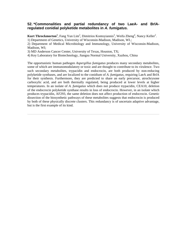#### **52. \*Commonalities and partial redundancy of two LaeA- and BrlAregulated conidial polyketide metabolites in A. fumigatus.**

Kurt Throckmorton<sup>1</sup>, Fang Yun Lim<sup>2</sup>, Dimitrios Kontoyiannis<sup>3</sup>, Weifa Zheng<sup>4</sup>, Nancy Keller<sup>2</sup>.

1) Department of Genetics, University of Wisconsin-Madison, Madison, WI.;

2) Department of Medical Microbiology and Immunology, University of Wisconsin-Madison, Madison, WI;

3) MD Anderson Cancer Center, University of Texas, Houston, TX;

4) Key Laboratory for Biotechnology, Jiangsu Normal University, Xuzhou, China

The opportunistic human pathogen *Aspergillus fumigatus* produces many secondary metabolites, some of which are immunomodulatory or toxic and are thought to contribute to its virulence. Two such secondary metabolites, trypacidin and endocrocin, are both produced by non-reducing polyketide synthases, and are localized to the conidium of *A. fumigatus,* requiring LaeA and BrlA for their synthesis. Furthermore, they are predicted to share an early precursor, atrochrysone carboxylic acid, and are both thermally regulated, being produced at lower levels at higher temperatures. In an isolate of *A. fumigatus* which does not produce trypacidin, CEA10, deletion of the endocrocin polyketide synthase results in loss of endocrocin. However, in an isolate which produces trypacidin, AF293, the same deletion does not affect production of endocrocin. Genetic dissection of the biosynthetic pathways of these metabolites suggests that endocrocin is produced by both of these physically discrete clusters. This redundancy is of uncertain adaptive advantage, but is the first example of its kind.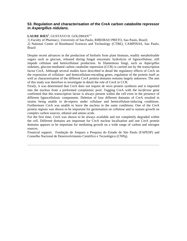### **53. Regulation and characterisation of the CreA carbon catabolite repressor in Aspergillus nidulans.**

### **LAURE RIES<sup>1</sup>** , GUSTAVO H. GOLDMAN1,2.

1) Faculty of Pharmacy, University of Sao Paulo, RIBEIRAO PRETO, Sao Paulo, Brazil; 2) National Center of Bioethanol Sciences and Technology (CTBE), CAMPINAS, Sao Paulo, Brazil

Despite recent advances in the production of biofuels from plant biomass, readily metabolisable sugars such as glucose, released during fungal enzymatic hydrolysis of lignocellulose, still impede cellulase and hemicellulase production. In filamentous fungi, such as *Aspergillus nidulans,* glucose-mediated carbon catabolite repression (CCR) is carried out by the transcription factor CreA. Although several studies have described in detail the regulatory effects of CreA on the expression of cellulase- and hemicellulase-encoding genes, regulation of the protein itself as well as characterisation of the different CreA protein domains remains largely unknown. The aim of this study was therefore to investigate in detail the role of CreA in CCR.

Firstly, it was determined that CreA does not require *de novo* protein synthesis and is imported into the nucleus from a preformed cytoplasmic pool. Tagging CreA with the *luciferase* gene confirmed that this transcription factor is always present within the cell even in the presence of different lignocellulosic components. Deletion of four different domains of CreA resulted in strains being unable to de-repress under cellulase and hemicellulase-inducing conditions. Furthermore CreA was unable to leave the nucleus in the same conditions. One of the CreA protein regions was shown to be important for germination on cellulose and to sustain growth on complex carbon sources, ethanol and amino acids.

For the first time, CreA was shown to be always available and not completely degraded within the cell. Different domains are important for CreA nuclear localisation and one CreA protein domains appears to be important for mediating growth on a wide range of carbon and nitrogen sources.

Financial support: Fundação de Amparo a Pesquisa do Estado de São Paulo (FAPESP) and Conselho Nacional de Desenvolvimento Científico e Tecnológico (CNPq).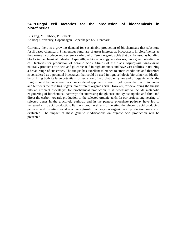## **54. \*Fungal cell factories for the production of biochemicals in biorefineries.**

**L. Yang,** M. Lübeck, P. Lübeck.

Aalborg University, Copenhagen, Copenhagen SV, Denmark

Currently there is a growing demand for sustainable production of biochemicals that substitute fossil based chemicals. Filamentous fungi are of great interests as biocatalysts in biorefineries as they naturally produce and secrete a variety of different organic acids that can be used as building blocks in the chemical industry. Aspergilli, as biotechnology workhorses, have great potentials as cell factories for production of organic acids. Strains of the black *Aspergillus carbonarius*  naturally produce citric acid and gluconic acid in high amounts and have vast abilities in utilizing a broad range of substrates. The fungus has excellent tolerance to stress conditions and therefore is considered as a potential biocatalyst that could be used in lignocellulosic biorefineries. Ideally, by utilizing both its large potentials for secretion of hydrolytic enzymes and of organic acids, the fungus could be considered in a consolidated approach where it hydrolyses the plant biomasses and ferments the resulting sugars into different organic acids. However, for developing the fungus into an efficient biocatalyst for biochemical production, it is necessary to include metabolic engineering of biochemical pathways for increasing the glucose and xylose uptake and flux, and direct the carbon towards production of the selected organic acids. In our project, engineering of selected genes in the glycolytic pathway and in the pentose phosphate pathway have led to increased citric acid production. Furthermore, the effects of deleting the gluconic acid producing pathway and inserting an alternative cytosolic pathway on organic acid production were also evaluated. The impact of these genetic modifications on organic acid production will be presented.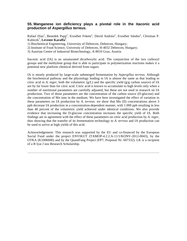### **55. Manganese ion deficiency plays a pivotal role in the itaconic acid production of Aspergillus terreus.**

Rafael Díaz<sup>1</sup>, Benedek Papp<sup>2</sup>, Erzsébet Fekete<sup>1</sup>, Dàvid Andrási<sup>2</sup>, Erzsébet Sándor<sup>2</sup>, Christian P. Kubicek<sup>3</sup> , **Levente Karaffa<sup>1</sup>** .

1) Biochemical Engineering, University of Debrecen, Debrecen, Hungary;

2) Institute of Food Science, University of Debrecen, H-4032 Debrecen, Hungary;

3) Austrian Centre of Industrial Biotechnology, A-8010 Graz, Austria

Itaconic acid (IA) is an unsaturated dicarboxylic acid. The conjunction of the two carboxyl groups and the methylene group that is able to participate in polymerization reactions makes it a potential new platform chemical derived from sugars.

IA is mostly produced by large-scale submerged fermentation by *Aspergillus terreus.* Although the biochemical pathway and the physiology leading to IA is almost the same as that leading to citric acid in *A. niger*, both the volumetric  $(g/L)$  and the specific yield  $(g/g \text{ carbon source})$  of IA are by far lower than for citric acid. Citric acid is known to accumulate to high levels only when a number of nutritional parameters are carefully adjusted, but these are not used in research on IA production. Two of those parameters are the concentration of the carbon source (D-glucose) and the concentration of Mn ions in the medium. We have here investigated the effect of variation in these parameters on IA production by *A. terreus*: we show that Mn (II) concentrations above 3 ppb decrease IA production in a concentration-dependent manner, with 1.000 ppb resulting in less than 40 percent of the volumetric yield achieved under identical conditions. We also provide evidence that increasing the D-glucose concentration increases the specific yield of IA. Both findings are in agreement with the effect of these parameters on citric acid production by *A. niger,*  thus showing that the transfer of its fermentation technology to *A. terreus* and IA production can be used to arrive at high yields of this acid.

Acknowledgement: This research was supported by the EU and co-financed by the European Social Fund under the project ENVIKUT (TAMOP-4.2.2.A-11/1/KONV-2012-0043), by the OTKA (K1006600) and by the QuantFung Project (FP7, Proposal Nr. 607332). LK is a recipient of a B lyai J nos Research Scholarship.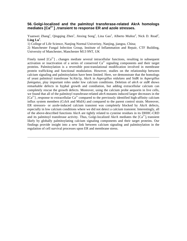### **56. Golgi-localized and the palmitoyl transferase-related AkrA homologs mediates [Ca2+ ] i transient to response ER and azole stresses.**

Yuanwei Zhang<sup>1</sup>, Qingqing Zhen<sup>1</sup>, Jinxing Song<sup>1</sup>, Lina Gao<sup>1</sup>, Alberto Muñoz<sup>2</sup>, Nick D. Read<sup>2</sup>,  $\mathbf{Ling} \mathbf{Lu}^1$ .

1) College of Life Science, Nanjing Normal Univeristy, Nanjing, jiangsu, China;

2) Manchester Fungal Infection Group, Institute of Inflammation and Repair, CTF Building, University of Manchester, Manchester M13 9NT, UK

Finely tuned  $[Ca^{2+}]$  i changes mediate several intracellular functions, resulting in subsequent activation or inactivation of a series of conserved  $Ca<sup>2+</sup>$  signaling components and their target proteins. Palmitoylation is a reversible post-translational modification involved in membrane protein trafficking and functional modulation. However, studies on the relationship between calcium signaling and palmitoylation have been limited. Here, we demonstrate that the homologs of yeast palmitoyl transferase ScAkr1p, AkrA in *Aspergillus nidulans* and SidR in *Aspergillus fumigatus,* play important roles under low calcium conditions. Deletion of *akrA* or *sidR* shows remarkable defects in hyphal growth and conidiation, but adding extracellular calcium can completely rescue the growth defects. Moreover, using the calcium probe aequorin in live cells, we found that all of the palmitoyl transferase-related *akrA* mutants induced larger decreases in the  $[Ca^{2+}]$  i response to extracellular  $Ca^{2+}$  compared to the previously identified high-affinity calcium influx system members (CchA and MidA) and compared to the parent control strain. Moreover, ER stressors- or azole-induced calcium transient was completely blocked by AkrA defects, especially in low calcium conditions where we did not detect a calcium transient. Interestingly, all of the above-described functions AkrA are tightly related to cysteine residues in its DHHC-CRD and its palmitoyl transferase activity. Thus, Golgi-localized AkrA mediates the  $[Ca^{2+}]$ <sub>i</sub> transient likely by globally palmitoylating calcium signaling components and their target proteins. Our findings provide insight into a new link between calcium signaling and palmitoylation in the regulation of cell survival processes upon ER and membrane stress.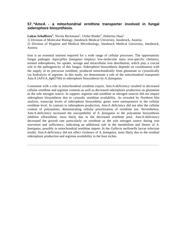## **57. \*AmcA - a mitochondrial ornithine transporter involved in fungal siderophore biosynthesis.**

Lukas Schafferer<sup>1</sup>, Nicola Beckmann<sup>1</sup>, Ulrike Binder<sup>2</sup>, Hubertus Haas<sup>1</sup>.

1) Division of Molecular Biology, Innsbruck Medical University, Innsbruck, Austria;

2) Division of Hygiene and Medical Microbiology, Innsbruck Medical University, Innsbruck, Austria

Iron is an essential nutrient required for a wide range of cellular processes. The opportunistic fungal pathogen *Aspergillus fumigatus* employs low-molecular mass iron-specific chelators, termed siderophores, for uptake, storage and intracellular iron distribution, which play a crucial role in the pathogenicity of this fungus. Siderophore biosynthesis depends on coordination with the supply of its precursor ornithine, produced mitochondrially from glutamate or cytosolically via hydrolysis of arginine. In this study, we demonstrate a role of the mitochondrial transporter AmcA (AFUA\_8g02760) in siderophore biosynthesis by *A. fumigatus.*

Consistent with a role in mitochondrial ornithine export, AmcA-deficiency resulted in decreased cellular ornithine and arginine contents as well as decreased siderophore production on glutamine as the sole nitrogen source. In support, arginine and ornithine as nitrogen sources did not impact siderophore biosynthesis due to cytosolic ornithine availability. As revealed by Northern blot analysis, transcript levels of siderophore biosynthetic genes were unresponsive to the cellular ornithine level. In contrast to siderophore production, AmcA deficiency did not alter the cellular content of polyamines, demonstrating cellular prioritization of ornithine use. Nevertheless, AmcA-deficiency increased the susceptibility of *A. fumigatus* to the polyamine biosynthesis inhibitor eflornithine, most likely due to the decreased ornithine pool. AmcA-deficiency decreased the growth rate particularly on ornithine as the sole nitrogen source during iron starvation and sufficiency, indicating an additional role in the metabolism and fitness of *A. fumigatus,* possibly in mitochondrial ornithine import. In the *Galleria mellonella* larvae infection model, AmcA-deficiency did not affect virulence of *A. fumigatus,* most likely due to the residual siderophore production and arginine availability in the host niches.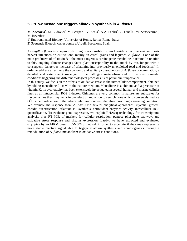### **58. \*How menadione triggers aflatoxin synthesis in A. flavus.**

M. Zaccaria<sup>1</sup>, M. Ludovici<sup>1</sup>, M. Scarpari<sup>1</sup>, V. Scala<sup>1</sup>, A.A. Fabbri<sup>1</sup>, C. Fanelli<sup>1</sup>, W. Sanseverino<sup>2</sup>, M. Reverberi<sup>1</sup>.

1) Environmental Biology, University of Rome, Roma, Roma, Italy;

2) Sequentia Biotech, carrer comte d'Urgell, Barcelona, Spain

*Aspergillus flavus* is a saprophytic fungus responsible for world-wide spread harvest and postharvest infections on cultivations, mainly on cereal grains and legumes. *A. flavus* is one of the main producers of aflatoxin B1, the most dangerous carcinogenic metabolite in nature. In relation to this, ongoing climate changes favor plant susceptibility to the attack by this fungus with a consequent, dangerous increase of aflatoxins into previously unexploited feed and foodstuff. In order to address effectively the economic and sanitary consequences of *A. flavus* contamination, a detailed and extensive knowledge of the pathogen metabolism and of the environmental conditions triggering the different biological processes, is of paramount importance.

In this study, we focus on the effects of oxidative stress in the intracellular compartment, obtained by adding menadione 0.1mM to the culture medium. Menadione is a chinone and a precursor of vitamin K, its cytotoxicity has been extensively investigated in several human and murine cellular lines as an intracellular ROS inductor. Chinones are very common in nature. As substrates for flavoenzymes they may incur in one electron reduction to semichinone which, conversely, reduce  $O<sup>2</sup>$  to superoxide anion in the intracellular environment, therefore providing a stressing condition. We evaluate the response from *A. flavus via* several analytical approaches: mycelial growth, conidia quantification, aflatoxin B1 synthesis, antioxidant enzymes activity, intracellular ROS quantification. To evaluate gene expression, we exploit RNAseq technology for transcriptome analysis, plus RT-PCR of markers for cellular respiration, pentose phosphate pathway, and oxidative stress response and sirtuins expression. Lastly, we have extracted and evaluated oxylipins by an MRM based LC-MS/MS method, in order to ascertain if they may represent a more stable reactive signal able to trigger aflatoxin synthesis and conidiogenesis through a remodulation of *A. flavus* metabolism in oxidative stress conditions.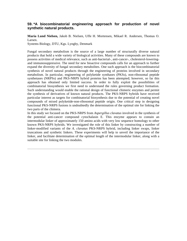### **59. \*A biocombinatorial engineering approach for production of novel synthetic natural products.**

**Maria Lund Nielsen,** Jakob B. Nielsen, Uffe H. Mortensen, Mikael R. Andersen, Thomas O. Larsen.

Systems Biology, DTU, Kgs. Lyngby, Denmark

Fungal secondary metabolism is the source of a large number of structurally diverse natural products that hold a wide variety of biological activities. Many of these compounds are known to possess activities of medical relevance, such as anti-bacterial-, anti-cancer-, cholesterol-loweringand immunosuppressive. The need for new bioactive compounds calls for an approach to further expand the diversity of fungal secondary metabolites. One such approach is the biocombinatorial synthesis of novel natural products through the engineering of proteins involved in secondary metabolism. In particular, engineering of polyketide synthases (PKSs), non-ribosomal peptide synthetases (NRPSs) and PKS-NRPS hybrid proteins has been attempted; however, so far this approach has obtained only limited success. In order to fully exploit the possibilities of combinatorial biosynthesis we first need to understand the rules governing product formation. Such understanding would enable the rational design of functional chimeric enzymes and permit the synthesis of derivatives of known natural products. The PKS-NRPS hybrids have received particular interest as targets for combinatorial biosynthesis due to the potential of creating novel compounds of mixed polyketide-non-ribosomal peptide origin. One critical step in designing functional PKS-NRPS fusions is undoubtedly the determination of the optimal site for linking the two parts of the chimera.

In this study we focused on the PKS-NRPS from *Aspergillus clavatus* involved in the synthesis of the potential anti-cancer compound cytochalasin E. This enzyme appears to contain an intermodular linker of approximately 150 amino acids with very low sequence homology to other known PKS-NRPS hybrids. We investigated the role of this linker by constructing a number of linker-modified variants of the *A. clavatus* PKS-NRPS hybrid, including linker swaps, linker truncations and synthetic linkers. These experiments will help to unveil the importance of the linker, and facilitate determination of the optimal length of the intermodular linker, along with a suitable site for linking the two modules.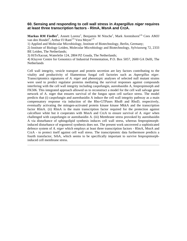#### **60. Sensing and responding to cell wall stress in Aspergillus niger requires at least three transcription factors - RlmA, MsnA and CrzA.**

Markus RM Fiedler<sup>1</sup>, Annett Lorenz<sup>1</sup>, Benjamin M Nitsche<sup>1</sup>, Mark Arentshorst<sup>2,4,</sup> Cees AMJJ van den Hondel<sup>3</sup>, Arthur FJ Ram<sup>2,4,</sup> Vera Meyer<sup>1,4.</sup>

1) Applied and Molecular Microbiology, Institute of Biotechnology, Berlin, Germany;

2) Institute of Biology Leiden, Molecular Microbiology and Biotechnology, Sylviusweg 72, 2333 BE Leiden, The Netherlands;

3) HiTeXacoat, Waterlelie 124, 2804 PZ Gouda, The Netherlands;

4) Kluyver Centre for Genomics of Industrial Fermentation, P.O. Box 5057, 2600 GA Delft, The **Netherlands** 

Cell wall integrity, vesicle transport and protein secretion are key factors contributing to the vitality and productivity of filamentous fungal cell factories such as *Aspergillus niger*. Transcriptomics signatures of *A. niger* and phenotypic analyses of selected null mutant strains were used to predict regulator proteins mediating the survival responses against compounds interfering with the cell wall integrity including caspofungin, aureobasidin A, fenpropimorph and FK506. This integrated approach allowed us to reconstruct a model for the cell wall salvage gene network of A. niger that ensures survival of the fungus upon cell surface stress. The model predicts that (i) caspofungin and aureobasidin A induce the cell wall integrity pathway as a main compensatory response via induction of the Rho-GTPases RhoB and RhoD, respectively, eventually activating the mitogen-activated protein kinase kinase MkkA and the transcription factor RlmA. (ii) RlmA is the main transcription factor required for the protection against calcofluor white but it cooperates with MsnA and CrzA to ensure survival of *A. niger* when challenged with caspofungin or aureobasidin A. (iii) Membrane stress provoked by aureobasidin A via disturbance of sphingolipid synthesis induces cell wall stress, whereas fenpropimorphinduced disturbance of ergosterol synthesis does not. The present work uncovered a sophisticated defence system of *A. niger* which employs at least three transcription factors - RlmA, MsnA and CrzA - to protect itself against cell wall stress. The transcriptomic data furthermore predicts a fourth transfactor, SrbA, which seems to be specifically important to survive fenpropimorphinduced cell membrane stress.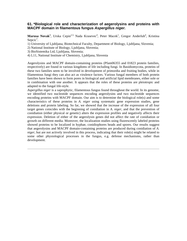### **61. \*Biological role and characterization of aegerolysins and proteins with MACPF domain in filamentous fungus Aspergillus niger.**

Marusa Novak<sup>1</sup>, Urska Cepin<sup>2,3,</sup> Nada Krasevec<sup>4</sup>, Peter Macek<sup>1</sup>, Gregor Anderluh<sup>4</sup>, Kristina  $Sepcic<sup>1</sup>$ .

- 1) University of Ljubljana, Biotechnical Faculty, Department of Biology, Ljubljana, Slovenia;
- 2) National Institute of Biology, Ljubljana, Slovenia;
- 3) BioSistemika Ltd, Ljubljana, Slovenia;
- 4) L11, National Institute of Chemistry, Ljubljana, Slovenia

Aegerolysins and MACPF domain-containing proteins (Pfam06355 and 01823 protein families, respectively) are found in various kingdoms of life including fungi. In Basidiomycota, proteins of these two families seem to be involved in development of primordia and fruiting bodies, while in filamentous fungi they can also act as virulence factors. Various fungal members of both protein families have been shown to form pores in biological and artificial lipid membranes, either sole or in combination with one another. It appears that the roles of these proteins are pleiotropic and adapted to the fungal life-style.

*Aspergillus niger* is a saprophytic, filamentous fungus found throughout the world. In its genome, we identified two nucleotide sequences encoding aegerolysins and two nucleotide sequences encoding proteins with MACPF domain. Our aim is to determine the biological role(s) and some characteristics of these proteins in *A. niger* using systematic gene expression studies, gene deletions and protein labeling. So far, we showed that the increase of the expression of all four target genes coincides with the beginning of conidiation in *A. niger,* and that the prevention of conidiation (either physical or genetic) alters the expression profiles and negatively affects their expression. Deletion of either of the aegerolysin genes did not affect the rate of conidiation or growth on different media. Moreover, the localization studies using fluorescently labeled proteins showed proteins to be localized in hyphae, conidiophores heads and spores. Our results suggest that aegerolysins and MACPF domain-containing proteins are produced during conidiation of *A. niger,* but are not actively involved in this process, indicating that their role(s) might be related to some other physiological processes in the fungus, e.g. defense mechanisms, rather than development.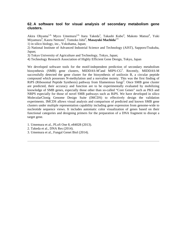## **62. A software tool for visual analysis of secondary metabolism gene clusters.**

Akira Ohyama<sup>1,4,</sup> Myco Umemura<sup>2,4,</sup> Itaru Takeda<sup>3</sup>, Takashi Kubo<sup>4</sup>, Makoto Matsui<sup>4</sup>, Yuki Miyamura<sup>4</sup>, Kaoru Nemoto<sup>4</sup>, Tomoko Ishii<sup>4</sup>, **Masayuki Machida**<sup>2,4.</sup>

1) in silico biology, inc., Yokohama, Japan;

2) National Institute of Advanced Industrial Science and Technology (AIST), Sapporo/Tsukuba, Japan;

3) Tokyo University of Agriculture and Technology, Tokyo, Japan;

4) Technology Research Association of Highly Efficient Gene Design, Tokyo, Japan

We developed software tools for the motif-independent prediction of secondary metabolism biosynthesis (SMB) gene clusters, MIDDAS-M<sup>1</sup>and MIPS-CG<sup>2</sup>. Recently, MIDDAS-M successfully detected the gene cluster for the biosynthesis of ustiloxin B, a circular peptide compound which possesses N-methylation and a norvaline moiety. This was the first finding of RiPS (Ribosomal Peptide Synthesis) pathway from filamentous fungi<sup>3</sup>. Once SMB gene cluster are predicted, their accuracy and function are to be experimentally evaluated by mobilizing knowledge of SMB genes, especially those other than so-called "Core Genes" such as PKS and NRPS especially for those of novel SMB pathways such as RiPS. We have developed in silico MolecularClonig Genome Design Suite (IMCDS) to effectively design the validation experiments. IMCDS allows visual analysis and comparison of predicted and known SMB gene clusters under multiple representation capability including gene expression from genome-wide to nucleotide sequence views. It includes automatic color visualization of genes based on their functional categories and designing primers for the preparation of a DNA fragment to disrupt a target gene.

- 1. Umemura et al., PLoS One 8, e84028 (2013).
- 2. Takeda et al., DNA Res (2014).
- 3. Umemura et al., Fungal Genet Biol (2014).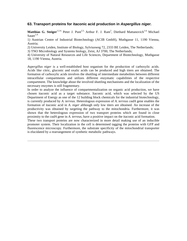### **63. Transport proteins for itaconic acid production in Aspergillus niger.**

Matthias G. Steiger<sup>1,2,4,</sup> Peter J. Punt<sup>2,3,</sup> Arthur F. J. Ram<sup>2</sup>, Diethard Mattanovich<sup>1,4,</sup> Michael Sauer $1,4$ .

1) Austrian Centre of Industrial Biotechnology (ACIB GmbH), Muthgasse 11, 1190 Vienna, Austria;

2) University Leiden, Institute of Biology, Sylviusweg 72, 2333 BE Leiden, The Netherlands;

3) TNO Microbiology and Systems biology, Zeist, AJ 3700, The Netherlands;

4) University of Natural Resources and Life Sciences, Department of Biotechnology, Muthgasse 18, 1190 Vienna, Austria.

*Aspergillus niger* is a well-established host organism for the production of carboxylic acids. Acids like citric, gluconic and oxalic acids can be produced and high titers are obtained. The formation of carboxylic acids involves the shuttling of intermediate metabolites between different intracellular compartments and utilizes different enzymatic capabilities of the respective compartment. The knowledge about the involved shuttling mechanisms and the localization of the necessary enzymes is still fragmentary.

In order to analyze the influence of compartmentalization on organic acid production, we have chosen itaconic acid as a target substance. Itaconic acid, which was selected by the US Department of Energy as one of the 12 building block chemicals for the industrial biotechnology, is currently produced by *A. terreus.* Heterologous expression of *A. terreus cadA* gene enables the formation of itaconic acid in *A. niger* although only low titers are obtained. An increase of the productivity was obtained by targeting the pathway to the mitochondria. Furthermore, it was shown that the heterologous expression of two transport proteins which are found in close proximity to the *cadA* gene in *A. terreus,* have a positive impact on the itaconic acid formation.

These two transport proteins are now characterized in more detail making use of an inducible promoter system. Their localization in the cell is determined tagging the proteins with GFP and fluorescence microscopy. Furthermore, the substrate specificity of the mitochondrial transporter is elucidated by a rearrangement of synthetic metabolic pathways.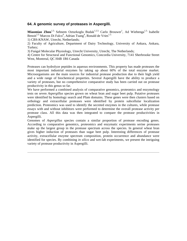#### **64. A genomic survey of proteases in Aspergilli.**

**Miaomiao Zhou**<sup>1,3,</sup> Sebnem Ozturkoglu Budak<sup>1,2,3,</sup> Carlo Brouwer<sup>1</sup>, Ad Wiebenga<sup>1,3,</sup> Isabelle Benoit<sup>1,3,</sup> Marcos Di Falco<sup>4</sup>, Adrian Tsang<sup>4</sup>, Ronald de Vries<sup>1,3.</sup>

1) CBS-KNAW, Utrecht, Netherlands;

2) Faculty of Agriculture, Department of Dairy Technology, University of Ankara, Ankara, Turkey;

3) Fungal Molecular Physiology, Utrecht University, Utrecht, The Netherlands;

4) Centre for Structural and Functional Genomics, Concordia University, 7141 Sherbrooke Street West, Montreal, QC H4B 1R6 Canada

Proteases can hydrolyze peptides in aqueous environments. This property has made proteases the most important industrial enzymes by taking up about 60% of the total enzyme market. Microorganisms are the main sources for industrial protease production due to their high yield and a wide range of biochemical properties. Several Aspergilli have the ability to produce a variety of proteases, but no comprehensive comparative study has been carried out on protease productivity in this genus so far.

We have performed a combined analysis of comparative genomics, proteomics and enzymology tests on seven *Aspergillus* species grown on wheat bran and sugar beet pulp. Putative proteases were identified by homology search and Pfam domains. These genes were then clusters based on orthology and extracellular proteases were identified by protein subcellular localization prediction. Proteomics was used to identify the secreted enzymes in the cultures, while protease essays with and without inhibitors were performed to determine the overall protease activity per protease class. All this data was then integrated to compare the protease productivities in Aspergilli.

Genomes of *Aspergillus* species contain a similar proportion of protease encoding genes. According to comparative genomics, proteomics and enzymatic experiments serine proteases make up the largest group in the protease spectrum across the species. In general wheat bran gives higher induction of proteases than sugar beet pulp. Interesting differences of protease activity, extracellular enzyme spectrum composition, protein occurrence and abundance were identified for species. By combining *in silico* and wet-lab experiments, we present the intriguing variety of protease productivity in Aspergilli.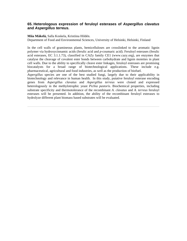### **65. Heterologous expression of feruloyl esterases of Aspergillus clavatus and Aspergillus terreus.**

**Miia Mäkelä,** Salla Koskela, Kristiina Hildén.

Department of Food and Environmental Sciences, University of Helsinki, Helsinki, Finland

In the cell walls of gramineous plants, hemicelluloses are crosslinked to the aromatic lignin polymer via hydroxycinnamic acids (ferulic acid and *p*-coumaric acid). Feruloyl esterases (ferulic acid esterases, EC 3.1.1.73), classified in CAZy family CE1 (www.cazy.org), are enzymes that catalyse the cleavage of covalent ester bonds between carbohydrate and lignin moieties in plant cell walls. Due to the ability to specifically cleave ester linkages, feruloyl esterases are promising biocatalysts for a broad range of biotechnological applications. These include e.g. pharmaceutical, agricultural and food industries, as well as the production of biofuel.

*Aspergillus* species are one of the best studied fungi, largely due to their applicability in biotechnology and relevance in human health. In this study, putative feruloyl esterase encoding genes from *Aspergillus clavatus* and *Aspergillus terreus* were cloned and expressed heterologously in the methylotrophic yeast *Pichia pastoris.* Biochemical properties, including substrate specificity and thermotolerance of the recombinant *A. clavatus* and *A. terreus* feruloyl esterases will be presented. In addition, the ability of the recombinant feruloyl esterases to hydrolyze different plant biomass based substrates will be evaluated.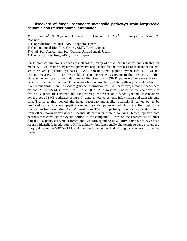### **66. Discovery of fungal secondary metabolic pathways from large-scale genomic and transcriptome information.**

**M. Umemura<sup>1</sup>**, N. Nagano<sup>2</sup>, H. Koike<sup>1</sup>, K. Tamano<sup>1</sup>, K. Abe<sup>3</sup>, K. Shin-ya<sup>4</sup>, K. Asai<sup>2</sup>, M. Machida<sup>1</sup>.

1) Bioproduction Res. Inst., AIST, Sapporo, Japan;

4) Biomedical Res. Inst., AIST, Tokyo, Japan

Fungi produce numerous secondary metabolites, many of which are bioactive and valuable for medicinal uses. Major biosynthetic pathways responsible for the synthesis of their main skeletal structures are polyketide synthases (PKSs), non-ribosomal peptide synthetases (NRPSs) and terpene cyclases, which are detectable in genome sequences owing to their sequence motifs. Other unknown types of secondary metabolite biosynthetic (SMB) pathways can even still exist, because it is just a fraction of the metabolites whose biosynthetic pathways are elucidated in filamentous fungi. Here, to explore genome information for SMB pathways, a motif-independent method, MIDDAS-M, is presented. The MIDDAS-M algorithm is based on the characteristics that SMB genes are clustered and cooperatively expressed on a fungal genome. It can detect novel types of SMB pathways using only gene-annotated genome information and transcriptome data. Thanks to this method, the fungal secondary metabolite, ustiloxin B, turned out to be produced by a ribosomal peptide synthetic (RiPS) pathway, which is the first report for filamentous fungi excluding *Amanita* mushroom. This RiPS pathway is quite unique and different from other known bacterial ones because its precursor protein contains 16-fold repeated core peptides that construct the cyclic portion of the compound. Based on the characteristics, other fungal RiPS pathways were searched and two corresponding novel RiPS compounds have been recently identified. In addition to RiPS, unknown but functionally characteristic gene clusters are sharply detected by MIDDAS-M, which might broaden the field of fungal secondary metabolites further.

<sup>2)</sup> Computational Biol. Res. Center, AIST, Tokyo, Japan;

<sup>3)</sup> Grad. Sch. Agricultural Sci., Tohoku Univ., Sendai, Japan;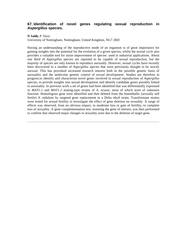## **67. Identification of novel genes regulating sexual reproduction in Aspergillus species.**

#### **N Salih,** P. Dyer.

University of Nottingham, Nottingham, United Kingdom, NG7 2RD

Having an understanding of the reproductive mode of an organism is of great importance for gaining insights into the potential for the evolution of a given species, whilst the sexual cycle also provides a valuable tool for strain improvement of species used in industrial applications. About one third of *Aspergillus* species are reported to be capable of sexual reproduction, but the majority of species are only known to reproduce asexually. However, sexual cycles have recently been discovered in a number of *Aspergillus* species that were previously thought to be strictly asexual. This has provoked increased research interest both in the possible genetic basis of asexuality and the molecular genetic control of sexual development. Studies are therefore in progress.to identify and characterise novel genes involved in sexual reproduction of *Aspergillus*  species, to provide insights into sexual development and identify candidate genes possibly linked to asexuality. In previous work a set of genes had been identified that was differentially expressed in *MAT1-1* and *MAT1-2* mating-type strains of *A. oryzae,* most of which were of unknown function. Homologous gene were identified and then deleted from the homothallic (sexually self fertile) *A. nidulans* by targeted gene replacement in a Delta *nkuA* strain. Transformant strains were tested for sexual fertility to investigate the effect of gene deletion on sexuality. A range of effects was observed, from no obvious impact, to moderate loss or gain of fertility, to complete loss of sexuality. A gene complementation test, restoring the gene of interest, was then performed to confirm that observed major changes in sexuality were due to the deletion of target gene.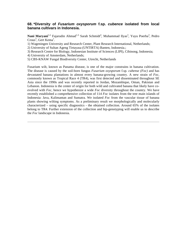### **68. \*Diversity of Fusarium oxysporum f.sp. cubence isolated from local banana cultivars in Indonesia.**

Nani Maryani<sup>1,2,</sup> Fajarudin Ahmad<sup>1,3,</sup> Sarah Schmidt<sup>4</sup>, Muhammad Ilyas<sup>3</sup>, Yuyu Poerba<sup>3</sup>, Pedro Crous<sup>5</sup>, Gert Kema<sup>1</sup>.

1) Wageningen University and Research Center, Plant Research International, Netherlands;

2) University of Sultan Ageng Tirtayasa (UNTIRTA) Banten, Indonesia.;

3) Research Centre for Biology, Indonesian Institute of Sciences (LIPI), Cibinong, Indonesia;

4) University of Amsterdam, Netherlands;

5) CBS-KNAW Fungal Biodiversity Center, Utrecht, Netherlands

Fusarium wilt, known as Panama disease, is one of the major constrains in banana cultivation. The disease is caused by the soil-born fungus *Fusarium oxysporum* f.sp. *cubense (Foc)* and has devastated banana plantations in almost every banana-growing country. A new strain of *Foc,*  commonly known as Tropical Race 4 (TR4), was first detected and disseminated throughout SE Asia since the 1990s and was recently reported in Jordan, Mozambique, Oman, Pakistan and Lebanon. Indonesia is the center of origin for both wild and cultivated banana that likely have coevolved with *Foc,* hence we hypothesize a wide *Foc* diversity throughout the country. We have recently established a comprehensive collection of 114 *Foc* isolates from the tree main islands of Indonesia: Java, Kalimantan and Sumatra. We isolated *Foc* from the vascular tissue of banana plants showing wilting symptoms. As a preliminary result we morphologically and molecularly characterized – using specific diagnostics - the obtained collection. Around 65% of the isolates belong to TR4. Further extension of the collection and htp-genotyping will enable us to describe the *Foc* landscape in Indonesia.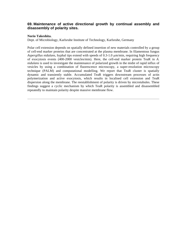#### **69. Maintenance of active directional growth by continual assembly and disassembly of polarity sites.**

#### **Norio Takeshita.**

Dept. of Microbiology, Karlsruhe Institute of Technology, Karlsruhe, Germany

Polar cell extension depends on spatially defined insertion of new materials controlled by a group of cell-end marker proteins that are concentrated at the plasma membrane. In filamentous fungus *Aspergillus nidulans,* hyphal tips extend with speeds of 0.3-1.0 µm/min, requiring high frequency of exocytosis events (400-2000 vesicles/min). Here, the cell-end marker protein TeaR in *A. nidulans* is used to investigate the maintenance of polarized growth in the midst of rapid influx of vesicles by using a combination of fluorescence microscopy, a super-resolution microscopy technique (PALM) and computational modelling. We report that TeaR cluster is spatially dynamic and transiently stable. Accumulated TeaR triggers downstream processes of actin polymerization and active exocytosis, which results in localised cell extension and TeaR dispersion along the membrane. The reestablishment of polarity is driven by microtubules. These findings suggest a cyclic mechanism by which TeaR polarity is assembled and disassembled repeatedly to maintain polarity despite massive membrane flow.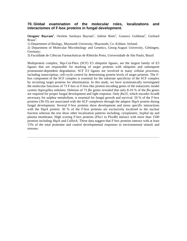#### **70. Global examination of the molecular roles, localizations and interactomes of F-box proteins in fungal development.**

Oezguer Bayram<sup>1</sup>, Oezlem Sarikaya Bayram<sup>1</sup>, Sabine Reen<sup>2</sup>, Gustavo Goldman<sup>3</sup>, Gerhard  $Braus<sup>2</sup>$ .

1) Department of Biology, Maynooth University, Maynooth, Co. Kildare, Ireland;

2) Department of Molecular Microbiology and Genetics, Georg-August University, Göttingen, Germany;

3) Faculdade de Ciências Farmacêuticas de Ribeirão Preto, Universidade de São Paulo, Brazil

Multiprotein complex, Skp-Cul-Fbox (SCF) E3 ubiquitin ligases, are the largest family of E3 ligases that are responsible for marking of target proteins with ubiquitin and subsequent proteasome-dependent degradation. SCF E3 ligases are involved in many cellular processes, including transcription, cell-cycle control by determining protein levels of target proteins. The Fbox component of the SCF complex is essential for the substrate specificity of the SCF complex by recruiting target proteins for ubiuitination. In this study, we have systematically investigated the molecular functions of 73 F-box or F-box-like protein encoding genes of the eukaryotic model system *Aspergillus nidulans.* Deletion of 73 *fbx* genes revealed that only 8-10 % of the *fbx* genes are required for proper fungal development and light response. Only *fbx25,* which encodes SconB necessary for sulphur metabolism, is essential for fungal growth and survival. 50 % of the F-box proteins (30-35) are associated with the SCF complexes through the adaptor SkpA protein during fungal development. Several F-box proteins show development and stress specific interactions with the SkpA protein. 30 % of the F-box proteins are exclusively localized to the nuclear fraction whereas the rest show other localization patterns including, cytoplasmic, hyphal tip and plasma membrane. High scoring F-box proteins (Fbx1 to Fbx48) interact with more than 1500 proteins including SkpA and CullinA. These data suggest that F-box proteins interact with at least 15% of the total proteome and control developmental responses to environmental stimuli and stresses.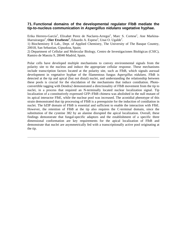#### **71. Functional domains of the developmental regulator FlbB mediate the tip-to-nucleus communication in Aspergillus nidulans vegetative hyphae.**

Erika Herrero-García<sup>2</sup>, Elixabet Perez de Naclares-Arregui<sup>1</sup>, Marc S. Cortese<sup>1</sup>, Ane Markina-Iñarrairaegui<sup>1</sup>, **Oier Etxebeste<sup>1</sup>**, Eduardo A. Espeso<sup>2</sup>, Unai O. Ugalde<sup>1</sup>.

1) Biochemistry II Lab., Dept. of Applied Chemistry, The University of The Basque Country, 20018, San Sebastian, Gipuzkoa, Spain;

2) Department of Cellular and Molecular Biology, Centro de Investigaciones Biológicas (CSIC), Ramiro de Maeztu 9, 28040 Madrid, Spain.

Polar cells have developed multiple mechanisms to convey environmental signals from the polarity site to the nucleus and induce the appropriate cellular response. These mechanisms include transcription factors located at the polarity site, such as FlbB, which signals asexual development in vegetative hyphae of the filamentous fungus *Aspergillus nidulans.* FlbB is detected at the tip and apical (but not distal) nuclei, and understanding the relationship between these pools is crucial for the elucidation of the mechanisms that induce conidiation. Photoconvertible tagging with Dendra2 demonstrated a directionality of FlbB movement from the tip to nuclei, in a process that required an N-terminally located nuclear localization signal. Tip localization of a constitutively expressed GFP::FlbB chimera was abolished in the null mutant of its apical interactor FlbE, while the nuclear pool was increased. The aconidial phenotype of this strain demonstrated that tip processing of FlbB is a prerequisite for the induction of conidiation in nuclei. The bZIP domain of FlbB is essential and sufficient to enable the interaction with FlbE. However, the retention of FlbB at the tip also requires the C-terminal domain, since the substitution of the cysteine 382 by an alanine disrupted the apical localization. Overall, these findings demonstrate that fungal-specific adaptors and the establishment of a specific three dimensional conformation are key requirements for the apical localization of FlbB and demonstrate that nuclei are asymmetrically fed with a transcriptionally active pool originating at the tip.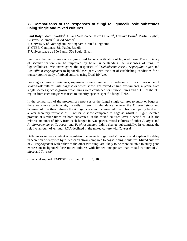#### **72. Comparisons of the responses of fungi to lignocellulosic substrates using single and mixed cultures.**

Paul Daly<sup>1</sup>, Matt Kokolski<sup>1</sup>, Juliana Velasco de Castro Oliveira<sup>2</sup>, Gustavo Borin<sup>2</sup>, Martin Blythe<sup>1</sup>, Gustavo Goldman<sup>2,3,</sup> David Archer<sup>1</sup>.

Fungi are the main source of enzymes used for saccharification of lignocellulose. The efficiency of saccharification can be improved by better understanding the responses of fungi to lignocelluloses. We investigated the responses of *Trichoderma reesei, Aspergillus niger* and *Penicillium chrysogenum* to lignocelluloses partly with the aim of establishing conditions for a transcriptomic study of mixed cultures using Dual-RNAseq.

For single culture experiments, supernatants were sampled for proteomics from a time-course of shake-flask cultures with bagasse or wheat straw. For mixed culture experiments, mycelia from single species glucose-grown pre-cultures were combined for straw cultures and qPCR of the ITS region from each fungus was used to quantify species-specific fungal RNA.

In the comparison of the proteomics responses of the fungal single cultures to straw or bagasse, there were more proteins significantly different in abundance between the *T. reesei* straw and bagasse cultures than between the *A. niger* straw and bagasse cultures. This could partly be due to a later secretory response of *T. reesei* to straw compared to bagasse whilst *A. niger* secreted proteins at similar times on both substrates. In the mixed cultures, over a period of 24 h, the relative amounts of RNA from each fungus in two species mixed cultures of either *A. niger* and *P. chrysogenum* or *T. reesei* and *P. chrysogenum* didn't change substantially. In contrast, the relative amount of *A. niger* RNA declined in the mixed culture with *T. reesei.* 

Differences in gene content or regulation between *A. niger* and *T. reesei* could explain the delay in secretion of enzymes by *T. reesei* on straw compared to bagasse single cultures. Mixed cultures of *P. chrysogenum* with either of the other two fungi are likely to be more suitable to study gene expression in lignocellulose mixed cultures with limited antagonism than mixed cultures of *A. niger* and *T. reesei.*

(Financial support: FAPESP, Brazil and BBSRC, UK.).

<sup>1)</sup> University of Nottingham, Nottingham, United Kingdom;

<sup>2)</sup> CTBE, Campinas, São Paulo, Brazil;

<sup>3)</sup> Universidade de São Paulo, São Paulo, Brazil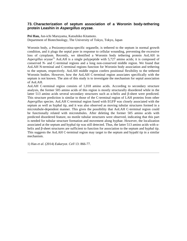#### **73. Characterization of septum association of a Woronin body-tethering protein Leashin in Aspergillus oryzae.**

**Pei Han,** Jun-ichi Maruyama, Katsuhiko Kitamoto. Department of Biotechnology, The University of Tokyo, Tokyo, Japan

Woronin body, a Pezizomycotina-specific organelle, is tethered to the septum in normal growth condition, and it plugs the septal pore in response to cellular wounding, preventing the excessive loss of cytoplasm. Recently, we identified a Woronin body tethering protein AoLAH in Aspergillus oryzae<sup>1).</sup> AoLAH is a single polypeptide with 5,727 amino acids; it is composed of conserved N- and C-terminal regions and a long non-conserved middle region. We found that AoLAH N-terminal and C-terminal regions function for Woronin body association and tethering to the septum, respectively. AoLAH middle region confers positional flexibility to the tethered Woronin bodies. However, how the AoLAH C-terminal region associates specifically with the septum is not known. The aim of this study is to investigate the mechanism for septal association of AoLAH.

AoLAH C-terminal region consists of 1,018 amino acids. According to secondary structure analysis, the former 505 amino acids of this region is mostly structurally disordered while in the latter 513 amino acids several secondary structures such as α-helix and β-sheet were predicted. This structure prediction is similar to those of the C-terminal region of LAH proteins from other *Aspergillus* species. AoLAH C-terminal region fused with EGFP was closely associated with the septum as well as hyphal tip, and it was also observed as moving tubular structures formed in a microtubule-dependent manner. This gives the possibility that AoLAH C-terminal region could be functionally related with microtubules. After deleting the former 505 amino acids with predicted disordered feature, no motile tubular structures were observed, indicating that this part is needed for tubular structure formation and movement along hyphae. However, the localization associated at the septum and hyphal tip was still detected. Thus, the latter 513 amino acids with  $\alpha$ helix and β-sheet structures are sufficient to function for association to the septum and hyphal tip. This suggests the AoLAH C-terminal region may target to the septum and hypahl tip in a similar mechanism.

1) Han *et al.* (2014) *Eukaryot. Cell* 13: 866-77.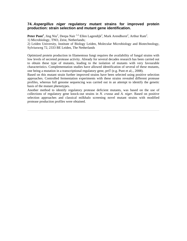#### **74. Aspergillus niger regulatory mutant strains for improved protein production: strain selection and mutant gene identification.**

Peter Punt<sup>1</sup>, Jing Niu<sup>2</sup>, Deepa Nair <sup>1,2,</sup> Ellen Lagendijk<sup>2</sup>, Mark Arendhorst<sup>2</sup>, Arthur Ram<sup>2</sup>. 1) Microbiology, TNO, Zeist, Netherlands;

2) Leiden University, Institute of Biology Leiden, Molecular Microbiology and Biotechnology, Sylviusweg 72, 2333 BE Leiden, The Netherlands

Optimized protein production in filamentous fungi requires the availability of fungal strains with low levels of secreted protease activity. Already for several decades research has been carried out to obtain these type of mutants, leading to the isolation of mutants with very favourable characteristics. Complementation studies have allowed identification of several of these mutants, one being a mutation in a transcriptional regulatory gene, prtT (e.g. Punt et al;., 2008).

Based on this mutant strain further improved strains have been selected using positive selection approaches. Controlled fermentation experiments with these strains revealed different protease profiles, whereas full genome sequencing was carried out in an attempt to identify the genetic basis of the mutant phenotypes.

Another method to identify regulatory protease deficient mutants, was based on the use of collections of regulatory gene knock-out strains in *N. crassa* and *A. niger.* Based on positive selection approaches and classical milkhalo screening novel mutant strains with modified protease production profiles were obtained.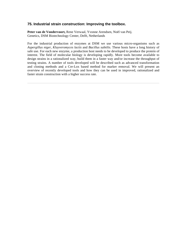#### **75. Industrial strain construction: Improving the toolbox.**

**Peter van de Vondervoort,** Rene Verwaal, Yvonne Arendsen, Noël van Peij. Genetics, DSM Biotechnology Center, Delft, Netherlands

For the industrial production of enzymes at DSM we use various micro-organisms such as *Aspergillus niger, Kluyveromyces lactis* and *Bacillus subtilis.* These hosts have a long history of safe use. For each new enzyme, a production host needs to be developed to produce the protein of interest. The field of molecular biology is developing rapidly. More tools become available to design strains in a rationalized way, build them in a faster way and/or increase the throughput of testing strains. A number of tools developed will be described such as advanced transformation and cloning methods and a Cre-Lox based method for marker removal. We will present an overview of recently developed tools and how they can be used in improved, rationalized and faster strain construction with a higher success rate.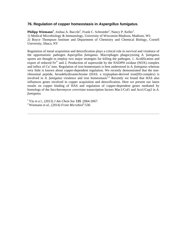#### **76. Regulation of copper homeostasis in Aspergillus fumigatus.**

Philipp Wiemann<sup>1</sup>, Joshua A. Baccile<sup>2</sup>, Frank C. Schroeder<sup>2</sup>, Nancy P. Keller<sup>1</sup>. 1) Medical Microbiology & Immunology, University of Wisconsin-Madison, Madison, WI; 2) Boyce Thompson Institute and Department of Chemistry and Chemical Biology, Cornell University, Ithaca, NY

Regulation of metal acquisition and detoxification plays a critical role in survival and virulence of the opportunistic pathogen *Aspergillus fumigatus.* Macrophages phagocytizing *A. fumigatus*  spores are thought to employ two major strategies for killing the pathogen, 1. Acidification and export of reduced  $Fe^{2+}$  and 2. Production of superoxide by the NADPH oxidase (NOX) complex and influx of Cu+ ions. Regulation of iron homeostasis is best understood in *A. fumigatus* whereas very little is known about copper-dependent regulation. We recently demonstrated that the nonribosomal peptide, hexadehydroastechrome (HAS; a tryptophan-derived iron(III)-complex) is involved in *A. fumigatus* virulence and iron homeostasis<sup>1,2.</sup> Recently we found that HAS also influences genes involved in copper acquisition and detoxification. Here we present our latest results on copper binding of HAS and regulation of copper-dependent genes mediated by homologs of the *Saccharomyces cerevisiae* transcription factors Mac1/Cuf1 and Ace1/Cup2 in *A. fumigatus.* 

<sup>1</sup> Yin *et a* l., (2013) *J Am Chem Soc* **135** :2064-2067.

<sup>&</sup>lt;sup>2</sup> Wiemann *et al.*, (2014) *Front Microbiol*<sup>5</sup>:530.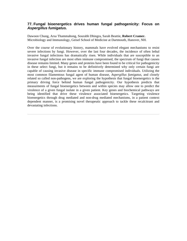#### **77. Fungal bioenergetics drives human fungal pathogenicity: Focus on Aspergillus fumigatus.**

Dawoon Chung, Arsa Thammahong, Sourabh Dhingra, Sarah Beattie, **Robert Cramer.**  Microbiology and Immunology, Geisel School of Medicine at Dartmouth, Hanover, NH.

Over the course of evolutionary history, mammals have evolved elegant mechanisms to resist severe infections by fungi. However, over the last four decades, the incidence of often lethal invasive fungal infections has dramatically risen. While individuals that are susceptible to an invasive fungal infection are most often immune compromised, the spectrum of fungi that causes disease remains limited. Many genes and proteins have been found to be critical for pathogenicity in these select fungi, but it remains to be definitively determined why only certain fungi are capable of causing invasive disease in specific immune compromised individuals. Utilizing the most common filamentous fungal agent of human disease, *Aspergillus fumigatus,* and closely related so called non-pathogens, we are exploring the hypothesis that fungal bioenergetics is the primary driving force behind human fungal pathogenicity. Our hypothesis predicts that measurments of fungal bioenergetics between and within species may allow one to predict the virulence of a given fungal isolate in a given patient. Key genes and biochemical pathways are being identified that drive these virulence associated bioenergetics. Targeting virulence bioenergetics through drug mediated and non-drug mediated mechanisms, in a patient context dependent manner, is a promising novel therapeutic approach to tackle these recalcitrant and devastating infections.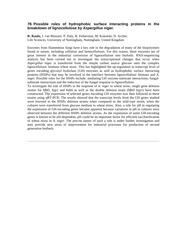#### **78. Possible roles of hydrophobic surface interacting proteins in the breakdown of lignocellulose by Aspergillus niger.**

**R. Raulo,** J. van Munster, P. Daly, R. Fetherston, M. Kokolski, D. Archer. Life Sciences, University of Nottingham, Nottingham, United Kingdom

Enzymes from filamentous fungi have a key role in the degradation of many of the biopolymers found in nature, including cellulose and hemicelluloses. For this reason, these enzymes are of great interest in the industrial conversion of lignocellulose into biofuels. RNA-sequencing analysis has been carried out to investigate the transcriptional changes that occur when *Aspergillus niger* is transferred from the simple carbon source glucose onto the complex lignocellulosic biomass wheat straw. This has highlighted the up-regulation in transcript level of genes encoding glycosyl hydrolase (GH) enzymes as well as hydrophobic surface interacting proteins (HSIPs) that may be involved in the interface between lignocellulosic biomass and *A. niger.* Possible roles for the HSIPs include: mediating GH enzyme-substrate interactions, fungalsubstrate interactions and the induction of the fungal response to lignocellulose.

To investigate the role of HSIPs in the response of *A. niger* to wheat straw, single gene deletion strains for *hfbD, hyp1* and *hsbA* as well as the double deletion strain (*hfbD hyp1)* have been constructed. The expression of selected genes encoding GH enzymes was then followed in these strains using qRT-PCR. The results showed that the transcript levels from the GH genes studied were lowered in the HSIPs deletion strains when compared to the wild-type strain, when the cultures were transferred from glucose medium to wheat straw. Also, a role for pH in regulating the expression of GH-encoding genes became apparent because variations in pH in cultures were observed between the different HSIPs deletion strains. As the expression of some GH-encoding genes is known to be pH-dependent, pH could be an important factor for efficient saccharification of wheat straw in *A. niger.* The precise nature of such a role is under further investigation and may provide new areas of improvement for industrial processes for production of second generation biofuels.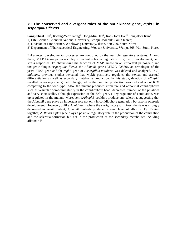#### **79. The conserved and divergent roles of the MAP kinase gene, mpkB, in Aspergillus flavus.**

 $\mathbf{Sang-Cheol\ Jun^1}\text{, Kwang-Yeop Jahng^1}\text{, Dong-Min Han^2}\text{, Kap-Hoon Han^3}\text{, Jong-Hwa Kim^3}\text{.}$ 

1) Life Science, Chonbuk National University, Jeonju, Jeonbuk, South Korea;

2) Division of Life Science, Wonkwang University, Iksan, 570-749, South Korea;

3) Department of Pharmaceutical Engineering, Woosuk University, Wanju, 565-701, South Korea

Eukaryotes' developmental processes are controlled by the multiple regulatory systems. Among them, MAP kinase pathways play important roles in regulation of growth, development, and stress responses. To characterize the function of MAP kinase in an important pathogenic and toxigenic fungus *Aspergillus flavus,* the *AflmpkB* gene (AFL2G\_02589), an orthologue of the yeast *FUS3* gene and the *mpkB* gene of *Aspergillus nidulans,* was deleted and analyzed. In *A. nidulans,* previous studies revealed that MpkB positively regulates the sexual and asexual differentiation as well as secondary metabolite production. In this study, deletion of *AflmpkB*  resulted in no mycelial growth change, while the conidial production was reduced about 60% comparing to the wild-type. Also, the mutant produced immature and abnormal conidiophores such as vesicular dome-immaturity in the conidiophore head, decreased number of the phialides and very short stalks, although expression of the *brlA* gene, a key regulator of conidiation, was up-regulated in the mutant. Moreover, Δ*AflmpkB* couldn't produce any sclerotia, suggesting that the *AflmpkB* gene plays an important role not only in conidiophore generation but also in sclerotia development. However, unlike *A. nidulans* where the sterigmatocystin biosynthesis was strongly decreased in *mpkB* mutant, *AflmpkB* mutants produced normal level of aflatoxin B1. Taking together, *A. flavus mpkB* gene plays a positive regulatory role in the production of the conidiation and the sclerotia formation but not in the production of the secondary metabolites including aflatoxin  $B_1$ .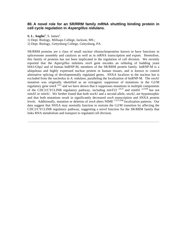#### **80. A novel role for an SR/RRM family mRNA shuttling binding protein in cell cycle regulation in Aspergillus nidulans.**

**S. L. Anglin<sup>1</sup>**, S. James<sup>2</sup>.

1) Dept. Biology, Millsaps College, Jackson, MS.;

2) Dept. Biology, Gettysburg College, Gettysburg, PA.

SR/RRM proteins are a class of small nuclear ribonucleoproteins known to have functions in spliceosome assembly and catalysis as well as in mRNA transcription and export. Heretofore, this family of proteins has not been implicated in the regulation of cell division. We recently reported that the *Aspergillus nidulans snxA* gene encodes an ortholog of budding yeast Hrb1/Gbp2 and of human hnRNP-M, members of the SR/RRM protein family. hnRNP-M is a ubiquitous and highly expressed nuclear protein in human tissues, and is known to control alternative splicing of developmentally regulated genes. SNXA localizes to the nucleus but is excluded from the nucleolus in *A. nidulans,* paralleling the localization of hnRNP-M. The *snxA1*  mutation was originally identified as an extragenic suppressor of mutations in the G2/M regulatory gene *nimX cdc2,* and we have shown that it suppresses mutations in multiple components of the CDC2/CYCLINB regulatory pathway, including *nimT23 cdc25* and *nimE6 cyclinB* but not *nimA5* or *nimA1.* We further found that both *snxA1* and a second allele, *snxA2,* are hypomorphic and that both mutations result in significantly decreased *snxA* transcription and SNXA protein levels. Additionally, mutation or deletion of *snxA* alters NIME CYCLINB localization patterns. Our data suggest that SNXA may normally function to restrain the G2/M transition by affecting the CDC2/CYCLINB regulatory pathway, suggesting a novel function for the SR/RRM family that links RNA metabolism and transport to regulated cell division.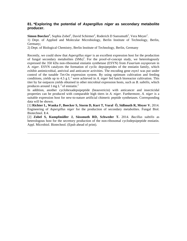#### **81. \*Exploring the potential of Aspergillus niger as secondary metabolite producer.**

Simon Boecker<sup>1</sup>, Sophia Zobel<sup>2</sup>, David Schirmer<sup>2</sup>, Roderich D Suessmuth<sup>2</sup>, Vera Meyer<sup>1</sup>.

1) Dept. of Applied and Molecular Microbiology, Berlin Institute of Technology, Berlin, Germany;

2) Dept. of Biological Chemistry, Berlin Institute of Technology, Berlin, Germany

Recently, we could show that *Aspergillus niger* is an excellent expression host for the production of fungal secondary metabolites  $(SMs)^{1}$ . For the proof-of-concept study, we heterologously expressed the 350 kDa non-ribosomal enniatin synthetase (ESYN) from *Fusarium oxysporum* in *A. niger.* ESYN catalyzes the formation of cyclic depsipeptides of the enniatin family, which exhibit antimicrobial, antiviral and anticancer activities. The encoding gene *esyn1* was put under control of the tunable Tet-On expression system. By using optimum cultivation and feeding conditions, yields up to 4.5 g  $L^{-1}$  were achieved in *A. niger* fed batch bioreactor cultivation. This titer by far outpaces yields obtained in other microbial expression hosts, such as *B. subtilis,* which produces around 1 mg  $L^{-1}$  of enniatin.<sup>2</sup>

In addition, another cyclohexadepsipeptide (beauvericin) with anticancer and insecticidal properties can be produced with comparable high titers in *A. niger.* Furthermore, *A. niger* is a suitable expression host for new-to-nature artificial chimeric peptide synthetases. Corresponding data will be shown.

[1] **Richter L, Wanka F, Boecker S, Storm D, Kurt T, Vural Ö, Süßmuth R, Meyer V.** 2014. Engineering of *Aspergillus niger* for the production of secondary metabolites. Fungal Biol. Biotechnol. **1**:4.

[2] **Zobel S, Kumpfmüller J, Süssmuth RD, Schweder T.** 2014. *Bacillus subtilis* as heterologous host for the secretory production of the non-ribosomal cyclodepsipeptide enniatin. Appl. Microbiol. Biotechnol. (Epub ahead of print).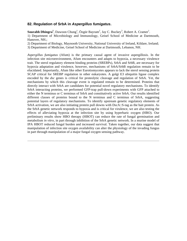#### **82. Regulation of SrbA in Aspergillus fumigatus.**

Sourabh Dhingra<sup>1</sup>, Dawoon Chung<sup>1</sup>, Özgür Bayram<sup>2</sup>, Jay C. Buckey<sup>3</sup>, Robert A. Cramer<sup>1</sup>.

1) Department of Microbiology and Immunology, Geisel School of Medicine at Dartmouth, Hanover, NH.;

2) Department of Biology, Maynooth University, National University of Ireland, Kildare, Ireland;

3) Department of Medicine, Geisel School of Medicine at Dartmouth, Lebanon, NH.

*Aspergillus fumigatus* (Afum) is the primary causal agent of invasive aspergillosis. In the infection site microenvironment, Afum encounters and adapts to hypoxia, a necessary virulence trait. The sterol regulatory element binding proteins (SREBPs), SrbA and SrbB, are necessary for hypoxia adaptation and virulence, however, mechanisms of SrbA/SrbB regulation remain to be elucidated. Importantly, Afum like other Eurotiomycetes appears to lack the sterol sensing protein SCAP critical for SREBP regulation in other eukaryotes. A golgi E3 ubiquitin ligase complex encoded by the *dsc* genes is critical for proteolytic cleavage and regulation of SrbA. Yet, the mechanisms by which this cleavage event is regulated remain to be determined. Proteins that directly interact with SrbA are candidates for potential novel regulatory mechanisms. To identify SrbA interacting proteins, we performed GFP-trap pull-down experiments with GFP attached to either the N terminus or C terminus of SrbA and constitutively active SrbA. Our results identified different classes of proteins bound to the N terminus and C terminus of SrbA, suggesting potential layers of regulatory mechanisms. To identify upstream genetic regulatory elements of SrbA activation, we are also initiating protein pull downs with DscA::S-tag as the bait protein. As the SrbA genetic network responds to hypoxia and is critical for virulence, we are also testing the effects of alleviating hypoxia at the infection site by using hyperbaric oxygen (HBO). Our preliminary results show HBO therapy (HBOT) can reduce the rate of fungal germination and metabolism *in vitro,* in part through inhibition of the SrbA genetic network. In a murine model of IPA HBOT reduced fungal burden and increased survival. Taken together, our data suggest that manipulation of infection site oxygen availability can alter the physiology of the invading fungus in part through manipulation of a major fungal oxygen sensing pathway.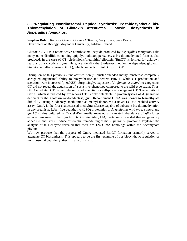#### **83. \*Regulating Nonribosomal Peptide Synthesis: Post-biosynthetic bis-Thiomethylation of Gliotoxin Attenuates Gliotoxin Biosynthesis in Aspergillus fumigatus.**

**Stephen Dolan,** Rebecca Owens, Grainne O'Keeffe, Gary Jones, Sean Doyle. Department of Biology, Maynooth University, Kildare, Ireland

Gliotoxin (GT) is a redox-active nonribosomal peptide produced by *Aspergillus fumigatus.* Like many other disulfide-containing epipolythiodioxopiperazines, a bis-thiomethylated form is also produced. In the case of GT, bisdethiobis(methylthio)gliotoxin (BmGT) is formed for unknown reasons by a cryptic enzyme. Here, we identify the S-adenosylmethionine dependent gliotoxin bis-thiomethyltransferase (GtmA), which converts dithiol GT to BmGT.

Disruption of this previously unclassified non-*gli* cluster encoded methyltransferase completely abrogated organismal ability to biosynthesize and secrete BmGT, while GT production and secretion were increased (p=0.0056). Surprisingly, exposure of *A. fumigatus ΔgtmA* to exogenous GT did not reveal the acquisition of a sensitive phenotype compared to the wild-type strain. Thus, GtmA-mediated GT bismethylation is not essential for self-protection against GT. The activity of GtmA, which is induced by exogenous GT, is only detectable in protein lysates of *A. fumigatus*  deficient in the gliotoxin oxidoreductase, *gliT.* Recombinant GtmA was shown to bismethylate dithiol GT using S-adenosyl methionine as methyl donor, via a novel LC-MS enabled activity assay. GtmA is the first characterised methyltransferase capable of substrate bis-thiomethylation in any organism. Label-free quantitative (LFQ) proteomics of *A. fumigatus* wild-type, *ΔgtmA,* and *gtmAC* strains cultured in Czapek-Dox media revealed an elevated abundance of *gli* cluster encoded enzymes in the *ΔgtmA* mutant strain. Also, LFQ proteomics revealed that exogenously added GT and BmGT induce differential remodelling of the *A. fumigatus* proteome. Phylogenetic analysis of this enzyme revealed that there are 124 GtmA homologs within the Ascomycota phylum.

We now propose that the purpose of GtmA mediated BmGT formation primarily serves to attenuate GT biosynthesis. This appears to be the first example of postbiosynthetic regulation of nonribosomal peptide synthesis in any organism.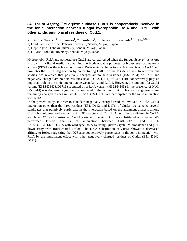#### **84. D73 of Aspergillus oryzae cutinase CutL1 is cooperatively involved in the ionic interaction between fungal hydrophobin RolA and CutL1 with other acidic amino acid residues of CutL1.**

Y. Kim<sup>1</sup>, Y. Terauchi<sup>2</sup>, T. Tanaka<sup>1</sup>, Y. Tsushima<sup>1</sup>, K. Uehara<sup>1</sup>, T. Takahashi<sup>3</sup>, K. Abe<sup>1,2,3.</sup>

- 1) Grad. Sci. Agric. Sci., Tohoku university, Sendai, Miyagi, Japan;
- 2) Dept. Agric., Tohoku university, Sendai, Miyagi, Japan;
- 3) NICHe., Tohoku university, Sendai, Miyagi, Japan

Hydrophobin RolA and polyesterase CutL1 are co-expressed when the fungus *Aspergillus oryzae*  is grown in a liquid medium containing the biodegradable polyester polybutylene succinate-*co*adipate (PBSA) as the sole carbon source. RolA which adheres to PBSA interacts with CutL1 and promotes the PBSA degradation by concentrating CutL1 on the PBSA surface. In our previous studies, we revealed that positively charged amino acid residues (H32, K34) of RolA and negatively charged amino acid residues (E31, D142, D171) of CutL1 are cooperatively play an important role in the ionic interaction between RolA and CutL1. However, the amount of a CutL1 variant (E31S/D142S/D171S) recruited by a RolA variant (H32S/K34S) in the presence of NaCl (250 mM) was decreased significantly compared to that without NaCl. This result suggested some remaining charged resides in CutL1-E31S/D142S/D171S are participated in the ionic interaction with RolA.

In the present study, in order to elucidate negatively charged residues involved in RolA-CutL1 interaction other than the three residues (E31, D142, and D171) of CutL1, we selected several candidates that putatively participate in the interaction based on the alignment analysis among CutL1 homologues and analysis using 3D-structure of CutL1. Among the candidates in CutL1, we chose D73 and constructed CutL1 variants of which D73 was substituted with serine. We performed kinetic analysis of interaction between CutL1-D73S and CutL1- E31S/D73S/D142S/D171S with wild-type RolA by using Quartz Crystal Microbalance and pulldown assay with RolA-coated Teflon. The D73S substitution of CutL1 showed a decreased affinity to RolA, suggesting that D73 also cooperatively participates in the ionic interaction with RolA by the multivalent effect with other negatively charged residues of CutL1 (E31, D142, D171).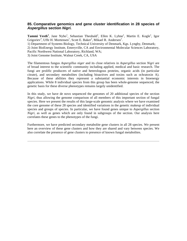#### **85. Comparative genomics and gene cluster identification in 28 species of Aspergillus section Nigri.**

Tammi Vesth<sup>1</sup>, Jane Nybo<sup>1</sup>, Sebastian Theobald<sup>1</sup>, Ellen K. Lyhne<sup>1</sup>, Martin E. Kogle<sup>1</sup>, Igor Grigoriev<sup>3</sup>, Uffe H. Mortensen<sup>1</sup>, Scott E. Baker<sup>2</sup>, Mikael R. Andersen<sup>1</sup>. 1) Department of Systems Biology, Technical University of Denmark, Kgs. Lyngby, Denmark; 2) Joint BioEnergy Institute, Emeryville, CA and Environmental Molecular Sciences Laboratory,

Pacific Northwest National Laboratory, Richland, WA;

3) Joint Genome Institute, Walnut Creek, CA, USA

The filamentous fungus *Aspergillus niger* and its close relatives in *Aspergillus* section *Nigri* are of broad interest to the scientific community including applied, medical and basic research. The fungi are prolific producers of native and heterologous proteins, organic acids (in particular citrate), and secondary metabolites (including bioactives and toxins such as ochratoxin A). Because of these abilities they represent a substantial economic interests in bioenergy applications. While 8 individual species from this group has been whole-genome sequenced, the genetic basis for these diverse phenotypes remains largely unidentified.

In this study, we have de novo sequenced the genomes of 20 additional species of the section *Nigri,* thus allowing the genome comparison of all members of this important section of fungal species. Here we present the results of this large-scale genomic analysis where we have examined the core genome of these 28 species and identified variations in the genetic makeup of individual species and groups of species. In particular, we have found genes unique to *Aspergillus* section *Nigri,* as well as genes which are only found in subgroups of the section. Our analysis here correlates these genes to the phenotypes of the fungi.

Furthermore, we have predicted secondary metabolite gene clusters in all 28 species. We present here an overview of these gene clusters and how they are shared and vary between species. We also correlate the presence of gene clusters to presence of known fungal metabolites.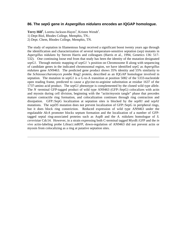#### **86. The sepG gene in Aspergillus nidulans encodes an IQGAP homologue.**

Terry Hill<sup>1</sup>, Loretta Jackson-Hayes<sup>2</sup>, Kristen Wendt<sup>1</sup>.

1) Dept Biol, Rhodes College, Memphis, TN.;

2) Dept. Chem, Rhodes College, Memphis, TN.

The study of septation in filamentous fungi received a significant boost twenty years ago through the identification and characterization of several temperature-sensitive septation (*sep)* mutants in *Aspergillus nidulans* by Steven Harris and colleagues (Harris et al., 1994, Genetics 136: 517- 532). One continuing loose end from that study has been the identity of the mutation designated *sepG1.* Through meiotic mapping of *sepG1* 's position on Chromosome II along with sequencing of candidate genes in the indicated chromosomal region, we have identified *sepG* as *Aspergillus nidulans* gene AN9463. The predicted gene product shows 35% identity and 55% similarity to the *Schizosaccharomyces pombe* Rng2 protein, described as an IQGAP homologue involved in septation. The mutation in *sepG1* is a G-to-A transition at position 5082 of the 5333-nucleotide open reading frame, predicted to cause a glycine-to-arginine substitution at residue 1637 of the 1737-amino acid product. The *sepG1* phenotype is complemented by the cloned wild type allele. The *N* -terminal GFP-tagged product of wild type AN9463 (GFP::SepG) colocalizes with actin and myosin during cell division, beginning with the "actin/myosin tangle" phase that precedes mature contractile ring formation, and colocalization continues through ring contraction and dissipation. GFP::SepG localization at septation sites is blocked by the *sepH1* and *sepA1*  mutations. The *sepD5* mutation does not prevent localization of GFP::SepG in peripheral rings, but it does block ring constriction. Reduced expression of wild type AN9463 under the regulatable *AlcA* promoter blocks septum formation and the localization of a number of GFPtagged septal ring-associated proteins such as AspB and the *A. nidulans* homologue of *S. cerevisiae* Cdc14. However, in a strain expressing both C-terminal tagged MyoB::GFP and the *in vivo* actin-labeling probe Lifeact::mRFP, down-regulation of AN9463 did not prevent actin or myosin from colocalizing as a ring at putative septation sites.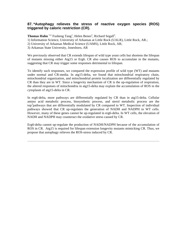### **87. \*Autophagy relieves the stress of reactive oxygen species (ROS) triggered by caloric restriction (CR).**

Thomas Hahn <sup>1,2,</sup> Fusheng Tang<sup>1</sup>, Helen Benes<sup>2</sup>, Richard Segall<sup>3</sup>.

1) Information Science, University of Arkansas at Little Rock (UALR), Little Rock, AR.;

2) University of Arkansas Medical Science (UAMS), Little Rock, AR;

3) Arkansas State University, Jonesboro, AR

We previously observed that CR extends lifespan of wild type yeast cells but shortens the lifespan of mutants missing either Atg15 or Erg6. CR also causes ROS to accumulate in the mutants, suggesting that CR may trigger some responses detrimental to lifespan.

To identify such responses, we compared the expression profile of wild type (WT) and mutants under normal and CR-media. In atg15-delta, we found that mitochondrial respiratory chain, mitochondrial organization, and mitochondrial protein localization are differentially regulated by CR than they are in WT. Since a longevity mechanism of CR is the up-regulation of respiration, the altered responses of mitochondria in atg15-delta may explain the accumulation of ROS in the cytoplasm of atg15-delta in CR.

In erg6-delta, more pathways are differentially regulated by CR than in atg15-delta. Cellular amino acid metabolic process, biosynthetic process, and sterol metabolic process are the top<sup>3</sup>pathways that are differentially modulated by CR compared to WT. Inspection of individual pathways showed that CR up-regulates the generation of NADH and NADPH in WT cells. However, many of these genes cannot be up-regulated in erg6-delta. In WT cells, the elevation of NADH and NADPH may counteract the oxidative stress caused by CR.

Erg6-delta cannot up-regulate the production of NADH/NADPH because of the accumulation of ROS in CR. Atg15 is required for lifespan extension longevity mutants mimicking CR. Thus, we propose that autophagy relieves the ROS-stress induced by CR.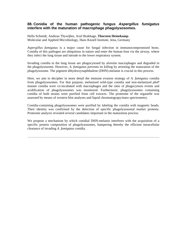#### **88. Conidia of the human pathogenic fungus Aspergillus fumigatus interfere with the maturation of macrophage phagolysosomes.**

Hella Schmidt, Andreas Thywiβen, Axel Brakhage, **Thorsten Heinekamp.** Molecular and Applied Microbiology, Hans Knoell Institute, Jena, Germany

*Aspergillus fumigatus* is a major cause for fungal infection in immunocompromised hosts. Conidia of this pathogen are ubiquitous in nature and enter the human host via the airway, where they infect the lung tissue and intrude to the lower respiratory system.

Invading conidia in the lung tissue are phagocytosed by alveolar macrophages and degraded in the phagolysosome. However, *A. fumigatus* prevents its killing by arresting the maturation of the phagolysosome. The pigment dihydroxynaphthalene (DHN)-melanin is crucial in this process.

Here, we aim to decipher in more detail the immune evasion strategy of *A. fumigatus* conidia from phagolysosomes. For that purpose, melanized wild-type conidia and non-melanized *pksP*  mutant conidia were co-incubated with macrophages and the ratio of phagocytosis events and acidification of phagolysosomes was monitored. Furthermore, phagolysosomes containing conidia of both strains were purified from cell extracts. The proteome of the organelle was assessed by means of western blot analyses and liquid chromatograpy/mass spectrometry.

Conidia-containing phagolysosomes were purified by labeling the conidia with magnetic beads. Their identity was confirmed by the detection of specific phagolysosomal marker proteins. Proteome analysis revealed several candidates important in the maturation process.

We propose a mechanism by which conidial DHN-melanin interferes with the acquisition of a specific protein composition of phagolysosomes, hampering thereby the efficient intracellular clearance of invading *A. fumigatus* conidia.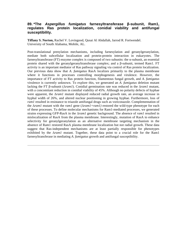#### **89. \*The Aspergillus fumigatus farnesyltransferase β-subunit, Ram1, regulates Ras protein localization, conidial viability and antifungal susceptibility.**

**Tiffany S. Norton,** Rachel V. Lovingood, Qusai Al Abdallah, Jarrod R. Fortwendel. University of South Alabama, Mobile, AL.

Post-translational prenylation mechanisms, including farnesylation and geranylgeranylation, mediate both subcellular localization and protein-protein interaction in eukaryotes. The farnesyltransferase (FT) enzyme complex is composed of two subunits: the  $\alpha$ -subunit, an essential protein shared with the geranylgeranyltransferase complex; and a β-subunit, termed Ram1. FT activity is an important mediator of Ras pathway signaling via control of Ras protein localization. Our previous data show that *A. fumigatus* RasA localizes primarily to the plasma membrane where it functions in processes controlling morphogenesis and virulence. However, the importance of FT activity to Ras protein function, filamentous fungal growth, and *A. fumigatus*  virulence is currently unknown. To explore this, we generated an *A. fumigatus* deletion mutant lacking the FT β-subunit (Δ*ram1*). Conidial germination rate was reduced in the Δ*ram1* mutant, with a concomitant reduction in conidial viability of 45%. Although no polarity defects of hyphae were apparent, the Δ*ram1* mutant displayed reduced radial growth rate, an average increase in hyphal width of 26%, and altered nuclear positioning in growing hyphae. Furthermore, loss of *ram1* resulted in resistance to triazole antifungal drugs such as voriconazole. Complementation of the Δ*ram1* mutant with the *ram1* gene (Δ*ram1+ram1)* restored the wild-type phenotype for each of these processes. To define molecular mechanisms for Ram1-mediated processes, we generated strains expressing GFP-RasA in the Δ*ram1* genetic background. The absence of *ram1* resulted in mislocalization of RasA from the plasma membrane. Interestingly, mutation of RasA to enhance selectivity for geranylgeranylation as an alternative membrane targeting mechanism in the absence of Ram1 restored RasA plasma membrane localization but not radial growth. These data suggest that Ras-independent mechanisms are at least partially responsible for phenotypes exhibited by the Δ*ram1* mutant. Together, these data point to a crucial role for the Ram1 farnesyltransferase in mediating *A. fumigatus* growth and antifungal susceptibility.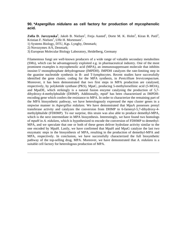#### **90. \*Aspergillus nidulans as cell factory for production of mycophenolic acid.**

Zofia D. Jarczynska<sup>1</sup>, Jakob B. Nielsen<sup>1</sup>, Freja Aasted<sup>1</sup>, Dorte M. K. Holm<sup>2</sup>, Kiran R. Patil<sup>3</sup>, Kristian F. Nielsen<sup>1</sup>, Uffe H. Mortensen<sup>1</sup>.

1) Systems Biology, DTU, Kgs. Lyngby, Denmark;

2) Novozymes A/S, Denmark;

3) European Molecular Biology Laboratory, Heidelberg, Germany

Filamentous fungi are well-known producers of a wide range of valuable secondary metabolites (SMs), which can be advantageously exploited e.g. in pharmaceutical industry. One of the most prominent examples is mycophenolic acid (MPA), an immunosuppressant molecule that inhibits inosine-5'-monophosphate dehydrogenase (IMPDH). IMPDH catalyzes the rate-limiting step in the guanine nucleotide synthesis in B- and T-lymphocytes. Recent studies have successfully identified the gene cluster, coding for the MPA synthesis, in *Penicillium brevicompactum.*  Moreover, it has been demonstrated that two first steps in MPA production are catalysed, respectively, by polyketide synthase (PKS), MpaC, producing 5-methylorsellinic acid (5-MOA), and MpaDE, which strikingly is a natural fusion enzyme catalysing the production of 5,7 dihydroxy-4-methylphtalide (DHMP). Additionally, *mpaF* has been characterized as IMPDHencoding gene which confers the resistance to MPA. In order to characterize the remaining part of the MPA biosynthetic pathway, we have heterologously expressed the *mpa* cluster genes in a stepwise manner in *Aspergillus nidulans.* We have demonstrated that MpaA possesses prenyl transferase activity and catalyzes the conversion from DHMP to 6-farnesyl-5,7-dihydroxy-4 methylphtalide (FDHMP). To our surprise, this strain was also able to produce demethyl-MPA, which is the next intermediate in MPA biosynthesis. Interestingly, we have found two homologs of *mpaH* in *A. nidulans,* which is hypothesized to encode the conversion of FDHMP to demethyl-MPA, and we speculate that one or both of these genes deliver hydrolase activity similar to the one encoded by MpaH. Lastly, we have confirmed that MpaH and MpaG catalyze the last two enzymatic steps in the biosynthesis of MPA, resulting in the production of demethyl-MPA and MPA, respectively. In conclusion, we have successfully characterized the full biosynthetic pathway of the top-selling drug, MPA. Moreover, we have demonstrated that *A. nidulans* is a suitable cell factory for heterologous production of MPA.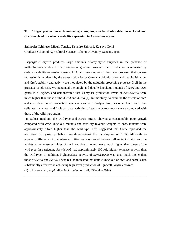### **91. \* Hyperproduction of biomass-degrading enzymes by double deletion of CreA and CreB involved in carbon catabolite repression in** *Aspergillus oryzae*

**Sakurako Ichinose**, Mizuki Tanaka, Takahiro Shintani, Katsuya Gomi Graduate School of Agricultural Science, Tohoku University, Sendai, Japan

*Aspergillus oryzae* produces large amounts of amylolytic enzymes in the presence of maltooligosaccharides. In the presence of glucose, however, their production is repressed by carbon catabolite repression system. In *Aspergillus nidulans*, it has been proposed that glucose repression is regulated by the transcription factor CreA via ubiquitination and deubiquitination, and CreA stability and activity are modulated by the ubiquitin processing protease CreB in the presence of glucose. We generated the single and double knockout mutants of *creA* and *creB* genes in *A. oryzae*, and demonstrated that α-amylase production levels of *ΔcreAΔcreB* were much higher than those of the *ΔcreA* and *ΔcreB* (1). In this study, to examine the effects of *creA*  and *creB* deletion on production levels of various hydrolytic enzymes other than α-amylase, cellulase, xylanase, and β-glucosidase activities of each knockout mutant were compared with those of the wild-type strain.

In xylose medium, the wild-type and *ΔcreB* strains showed a considerably poor growth compared with *creA* knockout mutants and thus dry mycelia weights of *creA* mutants were approximately 3-fold higher than the wild-type. This suggested that CreA repressed the utilization of xylose, probably through repressing the transcription of XlnR. Although no apparent differences in cellulase activities were observed between all mutant strains and the wild-type, xylanase activities of *creA* knockout mutants were much higher than those of the wild-type. In particular, *ΔcreAΔcreB* had approximately 100-fold higher xylanase activity than the wild-type. In addition, β-glucosidase activity of *ΔcreAΔcreB* was also much higher than those of *ΔcreA* and *ΔcreB.* These results indicated that double knockout of *creA* and *creB* is also substantially effective in achieving high-level production of lignocellulolytic enzymes.

\_\_\_\_\_\_\_\_\_\_\_\_\_\_\_\_\_\_\_\_\_\_\_\_\_\_\_\_\_\_\_\_\_\_\_\_\_\_\_\_\_\_\_\_\_\_\_\_\_\_\_\_\_\_\_\_\_\_\_\_\_\_\_\_\_\_\_\_\_\_\_\_\_\_\_\_\_

(1) Ichinose et al., *Appl. Microbiol. Biotechnol.* **98**, 335–343 (2014)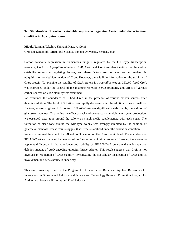### **92. Stabilization of carbon catabolite repression regulator CreA under the activation condition in** *Aspergillus oryzae*

#### **Mizuki Tanaka**, Takahiro Shintani, Katsuya Gomi

Graduate School of Agricultural Science, Tohoku University, Sendai, Japan

Carbon catabolite repression in filamentous fungi is regulated by the  $C_2H_2$ -type transcription regulator, CreA. In *Aspergillus nidulans*, CreB, CreC and CreD are also identified as the carbon catabolite repression regulating factors, and these factors are presumed to be involved in ubiquitination or deubiquitination of CreA. However, there is little information on the stability of CreA protein. To examine the stability of CreA protein in *Aspergillus oryzae*, 3FLAG-fused CreA was expressed under the control of the thiamine-repressible *thiA* promoter, and effect of various carbon sources on CreA stability was examined.

We examined the abundance of 3FLAG-CreA in the presence of various carbon sources after thiamine addition. The level of 3FLAG-CreA rapidly decreased after the addition of water, maltose, fructose, xylose, or glycerol. In contrast, 3FLAG-CreA was significantly stabilized by the addition of glucose or mannose. To examine the effect of each carbon source on amylolytic enzymes production, we observed clear zone around the colony on starch media supplemented with each sugar. The formation of clear zone around the wild-type colony was strongly inhibited by the addition of glucose or mannose. These results suggest that CreA is stabilized under the activation condition.

We also examined the effect of *creB* and *creD* deletion on the CreA protein level. The abundance of 3FLAG-CreA was reduced by deletion of *creB* encoding ubiquitin protease. However, there were no apparent differences in the abundance and stability of 3FLAG-CreA between the wild-type and deletion mutant of *creD* encoding ubiquitin ligase adaptor. This result suggests that CreD is not involved in regulation of CreA stability. Investigating the subcellular localization of CreA and its involvement in CreA stability is underway.

This study was supported by the Program for Promotion of Basic and Applied Researches for Innovations in Bio-oriented Industry, and Science and Technology Research Promotion Program for Agriculture, Forestry, Fisheries and Food Industry.

\_\_\_\_\_\_\_\_\_\_\_\_\_\_\_\_\_\_\_\_\_\_\_\_\_\_\_\_\_\_\_\_\_\_\_\_\_\_\_\_\_\_\_\_\_\_\_\_\_\_\_\_\_\_\_\_\_\_\_\_\_\_\_\_\_\_\_\_\_\_\_\_\_\_\_\_\_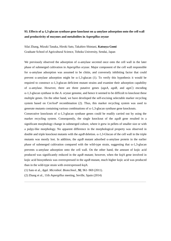### **93. Effects of -1,3-glucan synthase gene knockout on -amylase adsorption onto the cell wall and productivity of enzymes and metabolites in** *Aspergillus oryzae*

Silai Zhang, Mizuki Tanaka, Hiroki Sato, Takahiro Shintani, **Katsuya Gomi** Graduate School of Agricultural Science, Tohoku University, Sendai, Japan

We previously observed the adsorption of  $\alpha$ -amylase secreted once onto the cell wall in the later phase of submerged cultivation in *Aspergillus oryzae*. Major component of the cell wall responsible for  $\alpha$ -amylase adsorption was assumed to be chitin, and conversely inhibiting factor that could prevent  $\alpha$ -amylase adsorption might be  $\alpha$ -1,3-glucan (1). To verify this hypothesis it would be required to construct  $\alpha$ -1,3-glucan deficient mutant strains and examine their adsorption capability of  $\alpha$ -amylase. However, there are three putative genes ( $agsA$ ,  $agsB$ , and  $agsC$ ) encoding  $\alpha$ -1,3-glucan synthase in the *A. oryzae* genome, and hence it seemed to be difficult to knockout these multiple genes. On the other hand, we have developed the self-excising selectable marker recycling system based on Cre/*loxP* recombination (2). Thus, this marker recycling system was used to generate mutants containing various combinations of  $\alpha$ -1,3-glucan synthase gene knockouts.

Consecutive knockouts of  $\alpha$ -1,3-glucan synthase genes could be readily carried out by using the marker recycling system. Consequently, the single knockout of the *agsB* gene resulted in a significant morphology change in submerged culture, where it grew in pellets of smaller size or with a pulpy-like morphology. No apparent difference in the morphological property was observed in double and triple knockout mutants with the  $a \rho s B$  deletion.  $\alpha$ -1,3-Glucan of the cell wall in the triple mutants was mostly lost. In addition, the  $agsB$  mutant adsorbed  $\alpha$ -amylase protein in the earlier phase of submerged cultivation compared with the wild-type strain, suggesting that  $\alpha$ -1,3-glucan prevents  $\alpha$ -amylase adsorption onto the cell wall. On the other hand, the amount of kojic acid produced was significantly reduced in the *agsB* mutant; however, when the *kojA* gene involved in kojic acid biosynthesis was overexpressed in the *agsB* mutant, much higher kojic acid was produced than in the wild-type strain with overexpressed *kojA*.

\_\_\_\_\_\_\_\_\_\_\_\_\_\_\_\_\_\_\_\_\_\_\_\_\_\_\_\_\_\_\_\_\_\_\_\_\_\_\_\_\_\_\_\_\_\_\_\_\_\_\_\_\_\_\_\_\_\_\_\_\_\_\_\_\_\_\_\_\_\_\_\_\_\_\_\_\_

(1) Sato et al., *Appl. Microbiol. Biotechnol.*, **92**, 961‒969 (2011).

(2) Zhang et al., 11th *Aspergillus* meeting, Seville, Spain (2014)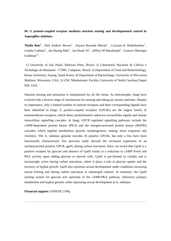## **94. G protein-coupled receptor mediates nutrient sensing and developmental control in Aspergillus nidulans.**

Thaila Reis<sup>1</sup>, Neil Andrew Brown<sup>1</sup>, Enyara Rezende Morais<sup>1</sup>, Lizziane K Winkelströter<sup>1</sup>, Camila Caldana<sup>2</sup>, Jae-Hyung Mah<sup>3</sup>, Jae-Hyuk Yu<sup>4</sup>, Jeffrey M Macdonald<sup>5</sup>, Gustavo Henrique Goldman $^{1,2}$ .

1) University of Sao Paulo, Ribeirao Preto, Brazil; 2) Laboratório Nacional de Ciência e Tecnologia do Bioetanol - CTBE, Campinas, Brazil; 3) Department of Food and Biotechnology, Korea University, Sejong, South Korea; 4) Department of Bacteriology, University of Wisconsin, Madison, Wisconsin, USA; 5) UNC Metabolomic Facility, University of North Carolina,Chapel Hill, USA.

Nutrient sensing and utilization is fundamental for all life forms. As heterotrophs, fungi have evolved with a diverse range of mechanisms for sensing and taking up various nutrients. Despite its importance, only a limited number of nutrient receptors and their corresponding ligands have been identified in fungi. G protein-coupled receptors (GPCRs) are the largest family of transmembrane receptors, which detect predominately unknown extracellular signals and initiate intracellular signalling cascades. In fungi, GPCR regulated signalling pathways include the cAMP-dependent protein kinase (PKA) and the mitogen-activated protein kinase (MAPK) cascades, which regulate metabolism, growth, morphogenesis, mating, stress responses and virulence. The A. nidulans genome encodes 16 putative GPCRs, but only a few have been functionally characterized. Our previous study showed the increased expression of an uncharacterised putative GPCR, gprH, during carbon starvation. Here, we reveal that GprH is a putative receptor for glucose and absence of GprH results in a reduction in cAMP levels and PKA activity upon adding glucose to starved cells. GprH is pre-formed in conidia and is increasingly active during carbon starvation, where it plays a role in glucose uptake and the recovery of hyphal growth. GprH also represses sexual development under conditions favouring sexual fruiting and during carbon starvation in submerged cultures. In summary, the GprH sensing system for glucose acts upstream of the cAMP-PKA pathway, influences primary metabolism and hyphal growth, while repressing sexual development in A. nidulans.

\_\_\_\_\_\_\_\_\_\_\_\_\_\_\_\_\_\_\_\_\_\_\_\_\_\_\_\_\_\_\_\_\_\_\_\_\_\_\_\_\_\_\_\_\_\_\_\_\_\_\_\_\_\_\_\_\_\_\_\_\_\_\_\_\_\_\_\_\_\_\_\_\_\_\_\_\_

**Financial support:** FAPESP, CNPq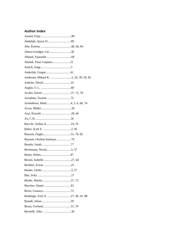# **Author Index**

| Abreu-Goodger, Cei 38                 |
|---------------------------------------|
|                                       |
| Ahmed, Yasar Luqman31                 |
|                                       |
|                                       |
| Andersen, Mikael R. 2, 29, 39, 59, 85 |
|                                       |
|                                       |
|                                       |
|                                       |
|                                       |
|                                       |
|                                       |
|                                       |
|                                       |
|                                       |
|                                       |
| Bayram, Oezlem Sarikaya 70            |
|                                       |
|                                       |
|                                       |
|                                       |
|                                       |
|                                       |
|                                       |
|                                       |
|                                       |
|                                       |
| Brakhage, Axel A. 27, 40, 41, 88      |
|                                       |
|                                       |
|                                       |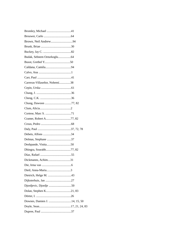| Budak, Sebnem Ozturkoglu64    |
|-------------------------------|
|                               |
|                               |
|                               |
|                               |
| Carreras-Villaseñor, Nohemí38 |
|                               |
|                               |
|                               |
|                               |
|                               |
|                               |
|                               |
|                               |
|                               |
|                               |
| Delmas, Stephane 37           |
|                               |
|                               |
|                               |
| Dickmanns, Achim31            |
|                               |
|                               |
|                               |
|                               |
|                               |
|                               |
|                               |
| Downes, Damien J. 14, 15, 50  |
|                               |
|                               |
|                               |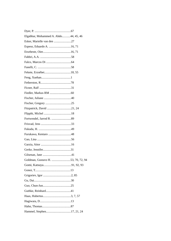| Elgabbar, Mohammed A. Abdo44, 45, 46 |  |
|--------------------------------------|--|
| Esker, Marielle van den 27           |  |
| Espeso, Eduardo A. 16, 71            |  |
|                                      |  |
|                                      |  |
|                                      |  |
|                                      |  |
|                                      |  |
|                                      |  |
|                                      |  |
|                                      |  |
|                                      |  |
|                                      |  |
|                                      |  |
| Fitzpatrick, David 21, 24            |  |
|                                      |  |
|                                      |  |
|                                      |  |
|                                      |  |
|                                      |  |
|                                      |  |
|                                      |  |
|                                      |  |
|                                      |  |
| Goldman, Gustavo H. 53, 70, 72, 94   |  |
|                                      |  |
|                                      |  |
|                                      |  |
|                                      |  |
|                                      |  |
|                                      |  |
|                                      |  |
|                                      |  |
|                                      |  |
| Hammel, Stephen17, 21, 24            |  |
|                                      |  |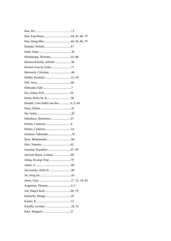| Heinekamp, Thorsten41, 88    |  |
|------------------------------|--|
| Herrera-Estrella, Alfredo 38 |  |
|                              |  |
|                              |  |
|                              |  |
|                              |  |
|                              |  |
|                              |  |
|                              |  |
|                              |  |
|                              |  |
|                              |  |
| Hukuhara, Shinichiro47       |  |
|                              |  |
|                              |  |
|                              |  |
|                              |  |
|                              |  |
|                              |  |
|                              |  |
|                              |  |
|                              |  |
|                              |  |
|                              |  |
|                              |  |
|                              |  |
|                              |  |
|                              |  |
|                              |  |
|                              |  |
|                              |  |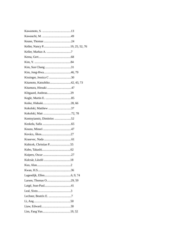| Kissinger, Jessica C 30       |  |
|-------------------------------|--|
| Kitamoto, Katsuhiko42, 43, 73 |  |
|                               |  |
|                               |  |
|                               |  |
|                               |  |
| Kokolski, Matthew 37          |  |
|                               |  |
| Kontoyiannis, Dimitrios 52    |  |
|                               |  |
|                               |  |
|                               |  |
|                               |  |
|                               |  |
|                               |  |
|                               |  |
|                               |  |
|                               |  |
|                               |  |
|                               |  |
|                               |  |
|                               |  |
|                               |  |
|                               |  |
|                               |  |
|                               |  |
|                               |  |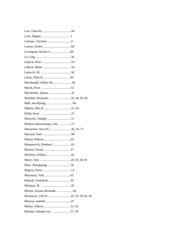| Macdonald, Jeffrey M94              |
|-------------------------------------|
|                                     |
| Macheleidt, Juliane 41              |
| Machida, Masayuki28, 44, 62, 66     |
|                                     |
|                                     |
|                                     |
|                                     |
| Markina-Iñarrairaegui, Ane 71       |
| Maruyama, Jun-ichi 42, 43, 73       |
|                                     |
|                                     |
|                                     |
|                                     |
| Melchers, Willem 34                 |
|                                     |
|                                     |
|                                     |
|                                     |
| Moktali, Venkatesh30                |
|                                     |
| Morais, Enyara Rezende94            |
| Mortensen, Uffe H10, 29, 59, 85, 90 |
|                                     |
|                                     |
| Munster, Jolanda van37, 78          |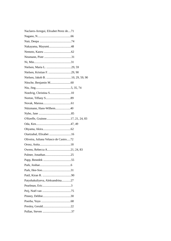| Naclares-Arregui, Elixabet Perez de71 |  |
|---------------------------------------|--|
|                                       |  |
|                                       |  |
| Nakayama, Mayumi48                    |  |
|                                       |  |
|                                       |  |
|                                       |  |
|                                       |  |
| Nielsen, Kristian F. 29, 90           |  |
|                                       |  |
|                                       |  |
|                                       |  |
| Noedvig, Christina S10                |  |
|                                       |  |
|                                       |  |
| Nützmann, Hans-Wilhem40               |  |
|                                       |  |
|                                       |  |
|                                       |  |
|                                       |  |
| Oiartzabal, Elixabet 16               |  |
| Oliveira, Juliana Velasco de Castro72 |  |
|                                       |  |
| Owens, Rebecca A21, 24, 83            |  |
|                                       |  |
|                                       |  |
|                                       |  |
|                                       |  |
|                                       |  |
| Patyshakuliyeva, Aleksandrina27       |  |
|                                       |  |
|                                       |  |
|                                       |  |
|                                       |  |
|                                       |  |
|                                       |  |
|                                       |  |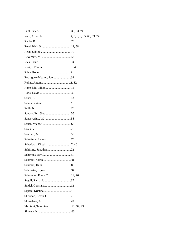| Rodríguez-Medina, Joel38   |
|----------------------------|
|                            |
|                            |
|                            |
|                            |
|                            |
|                            |
|                            |
|                            |
|                            |
|                            |
|                            |
|                            |
|                            |
|                            |
|                            |
|                            |
|                            |
|                            |
| Schroeder, Frank C. 19, 76 |
|                            |
|                            |
|                            |
|                            |
|                            |
|                            |
|                            |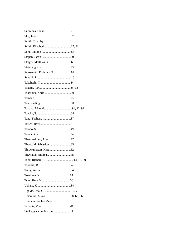| Suessmuth, Roderich D 81  |
|---------------------------|
|                           |
|                           |
|                           |
|                           |
|                           |
|                           |
|                           |
|                           |
|                           |
|                           |
|                           |
|                           |
| Thammahong, Arsa77        |
|                           |
|                           |
|                           |
|                           |
|                           |
|                           |
|                           |
|                           |
|                           |
|                           |
|                           |
| Ummeln, Sophie Meier zu9  |
|                           |
| Venkateswaran, Kasthuri11 |